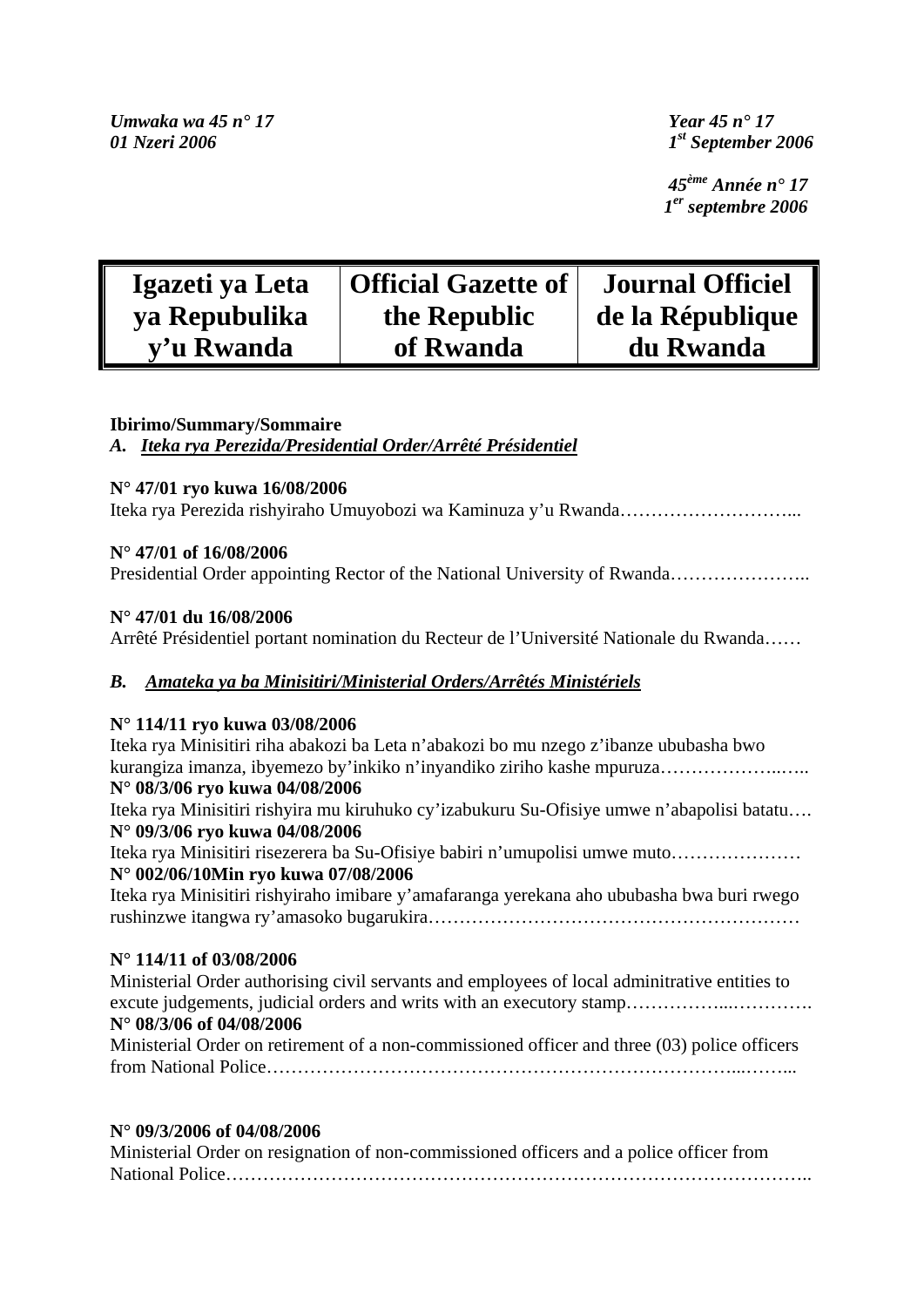*Umwaka wa 45 n° 17 Year 45 n° 17 01 Nzeri 2006 1st September 2006* 

 *45ème Année n° 17 1er septembre 2006*

| Igazeti ya Leta | <b>Official Gazette of</b> | <b>Journal Officiel</b> |
|-----------------|----------------------------|-------------------------|
| ya Repubulika   | the Republic               | de la République        |
| y'u Rwanda      | of Rwanda                  | du Rwanda               |

# **Ibirimo/Summary/Sommaire**

*A. Iteka rya Perezida/Presidential Order/Arrêté Présidentiel*

# **N° 47/01 ryo kuwa 16/08/2006**

Iteka rya Perezida rishyiraho Umuyobozi wa Kaminuza y'u Rwanda………………………...

# **N° 47/01 of 16/08/2006**

Presidential Order appointing Rector of the National University of Rwanda……………………

# **N° 47/01 du 16/08/2006**

Arrêté Présidentiel portant nomination du Recteur de l'Université Nationale du Rwanda……

# *B. Amateka ya ba Minisitiri/Ministerial Orders/Arrêtés Ministériels*

# **N° 114/11 ryo kuwa 03/08/2006**

Iteka rya Minisitiri riha abakozi ba Leta n'abakozi bo mu nzego z'ibanze ububasha bwo kurangiza imanza, ibyemezo by'inkiko n'inyandiko ziriho kashe mpuruza………………..…..

# **N° 08/3/06 ryo kuwa 04/08/2006**

Iteka rya Minisitiri rishyira mu kiruhuko cy'izabukuru Su-Ofisiye umwe n'abapolisi batatu…. **N° 09/3/06 ryo kuwa 04/08/2006** 

Iteka rya Minisitiri risezerera ba Su-Ofisiye babiri n'umupolisi umwe muto………………… **N° 002/06/10Min ryo kuwa 07/08/2006** 

Iteka rya Minisitiri rishyiraho imibare y'amafaranga yerekana aho ububasha bwa buri rwego rushinzwe itangwa ry'amasoko bugarukira……………………………………………………

# **N° 114/11 of 03/08/2006**

Ministerial Order authorising civil servants and employees of local adminitrative entities to excute judgements, judicial orders and writs with an executory stamp............................... **N° 08/3/06 of 04/08/2006**  Ministerial Order on retirement of a non-commissioned officer and three (03) police officers from National Police…………………………………………………………………...……...

# **N° 09/3/2006 of 04/08/2006**

| Ministerial Order on resignation of non-commissioned officers and a police officer from |
|-----------------------------------------------------------------------------------------|
|                                                                                         |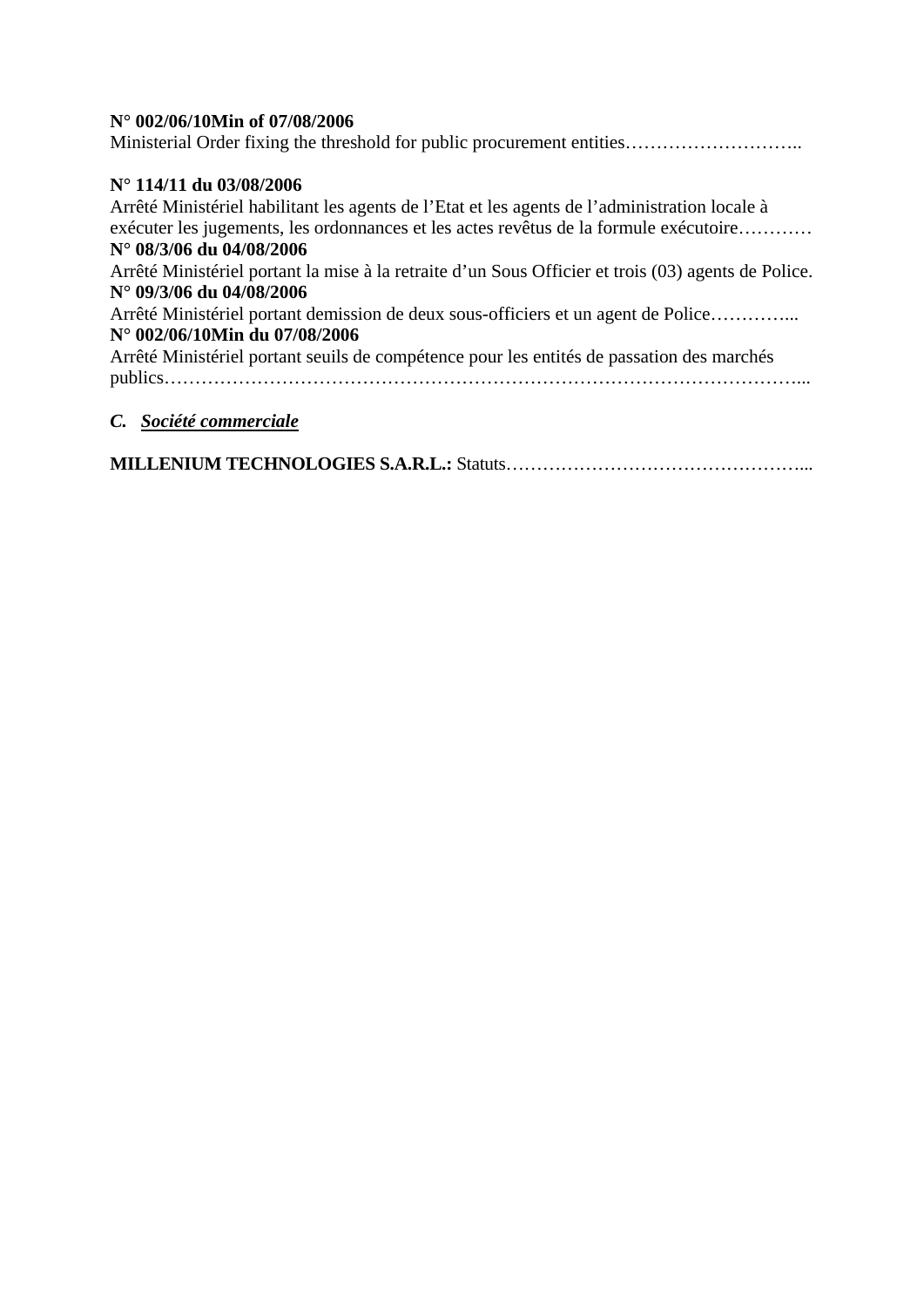# **N° 002/06/10Min of 07/08/2006**

Ministerial Order fixing the threshold for public procurement entities……………………………

# **N° 114/11 du 03/08/2006**

Arrêté Ministériel habilitant les agents de l'Etat et les agents de l'administration locale à exécuter les jugements, les ordonnances et les actes revêtus de la formule exécutoire………… **N° 08/3/06 du 04/08/2006**  Arrêté Ministériel portant la mise à la retraite d'un Sous Officier et trois (03) agents de Police. **N° 09/3/06 du 04/08/2006**  Arrêté Ministériel portant demission de deux sous-officiers et un agent de Police…………... **N° 002/06/10Min du 07/08/2006**  Arrêté Ministériel portant seuils de compétence pour les entités de passation des marchés publics…………………………………………………………………………………………...

# *C. Société commerciale*

**MILLENIUM TECHNOLOGIES S.A.R.L.:** Statuts…………………………………………...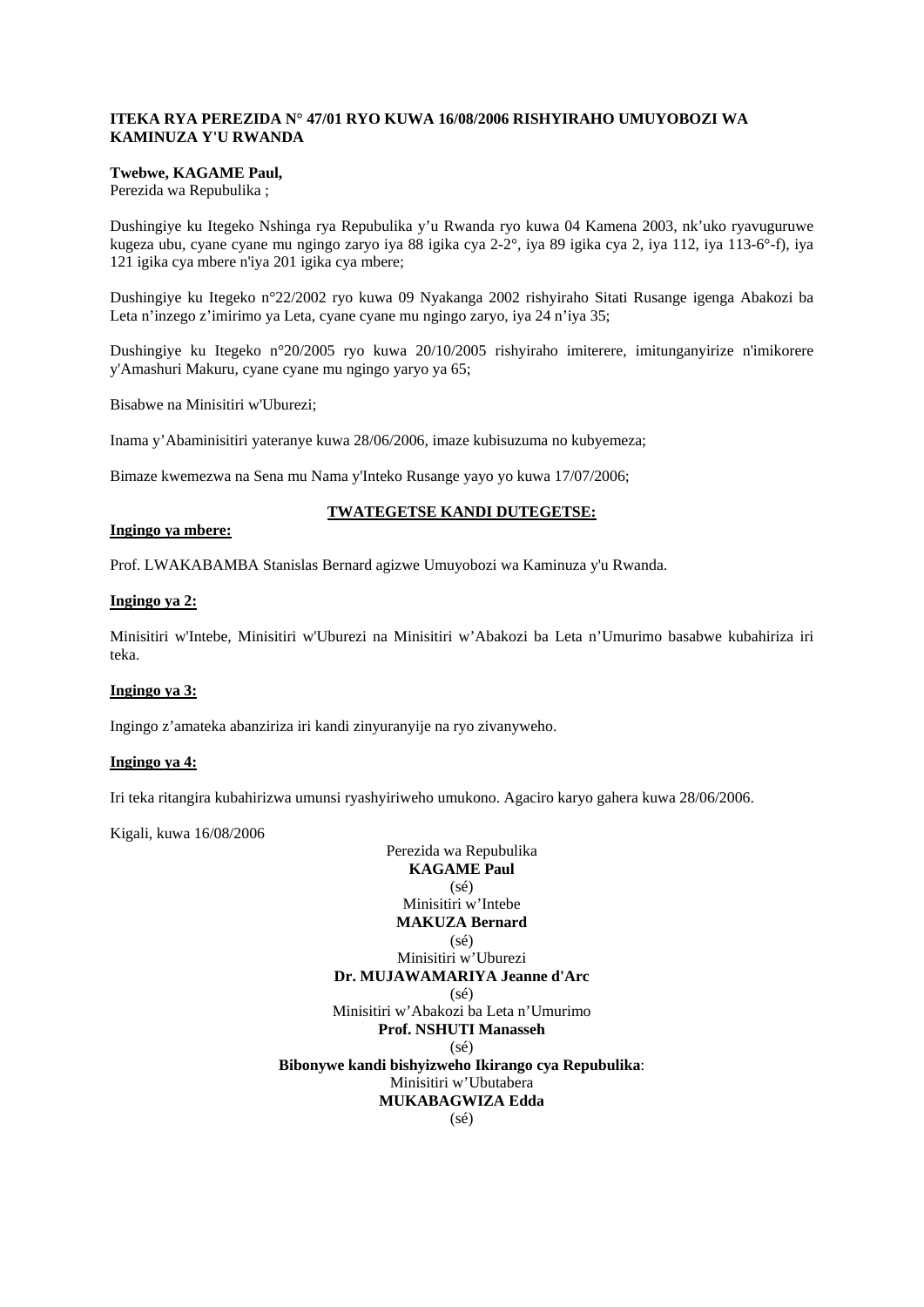### **ITEKA RYA PEREZIDA N° 47/01 RYO KUWA 16/08/2006 RISHYIRAHO UMUYOBOZI WA KAMINUZA Y'U RWANDA**

# **Twebwe, KAGAME Paul,**

Perezida wa Repubulika ;

Dushingiye ku Itegeko Nshinga rya Repubulika y'u Rwanda ryo kuwa 04 Kamena 2003, nk'uko ryavuguruwe kugeza ubu, cyane cyane mu ngingo zaryo iya 88 igika cya 2-2°, iya 89 igika cya 2, iya 112, iya 113-6°-f), iya 121 igika cya mbere n'iya 201 igika cya mbere;

Dushingiye ku Itegeko n°22/2002 ryo kuwa 09 Nyakanga 2002 rishyiraho Sitati Rusange igenga Abakozi ba Leta n'inzego z'imirimo ya Leta, cyane cyane mu ngingo zaryo, iya 24 n'iya 35;

Dushingiye ku Itegeko n°20/2005 ryo kuwa 20/10/2005 rishyiraho imiterere, imitunganyirize n'imikorere y'Amashuri Makuru, cyane cyane mu ngingo yaryo ya 65;

Bisabwe na Minisitiri w'Uburezi;

Inama y'Abaminisitiri yateranye kuwa 28/06/2006, imaze kubisuzuma no kubyemeza;

Bimaze kwemezwa na Sena mu Nama y'Inteko Rusange yayo yo kuwa 17/07/2006;

### **TWATEGETSE KANDI DUTEGETSE:**

#### **Ingingo ya mbere:**

Prof. LWAKABAMBA Stanislas Bernard agizwe Umuyobozi wa Kaminuza y'u Rwanda.

### **Ingingo ya 2:**

Minisitiri w'Intebe, Minisitiri w'Uburezi na Minisitiri w'Abakozi ba Leta n'Umurimo basabwe kubahiriza iri teka.

### **Ingingo ya 3:**

Ingingo z'amateka abanziriza iri kandi zinyuranyije na ryo zivanyweho.

### **Ingingo ya 4:**

Iri teka ritangira kubahirizwa umunsi ryashyiriweho umukono. Agaciro karyo gahera kuwa 28/06/2006.

Kigali, kuwa 16/08/2006

Perezida wa Repubulika **KAGAME Paul**   $(s<sub>ef</sub>)$ Minisitiri w'Intebe **MAKUZA Bernard**  (sé) Minisitiri w'Uburezi **Dr. MUJAWAMARIYA Jeanne d'Arc**   $(s<sub>e</sub>)$ Minisitiri w'Abakozi ba Leta n'Umurimo **Prof. NSHUTI Manasseh**   $(sé)$ **Bibonywe kandi bishyizweho Ikirango cya Repubulika**: Minisitiri w'Ubutabera **MUKABAGWIZA Edda** 

(sé)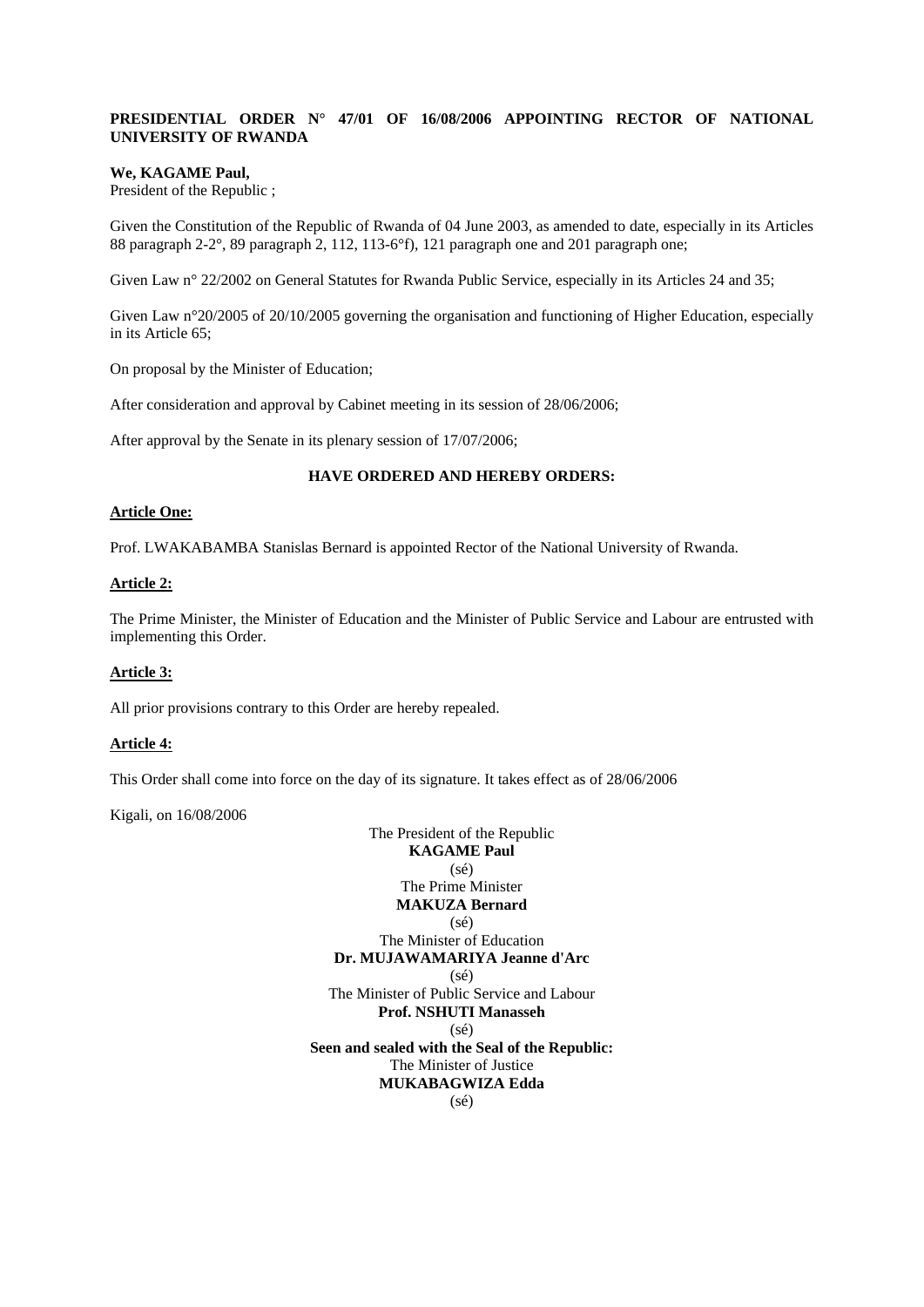# **PRESIDENTIAL ORDER N° 47/01 OF 16/08/2006 APPOINTING RECTOR OF NATIONAL UNIVERSITY OF RWANDA**

#### **We, KAGAME Paul,**

President of the Republic ;

Given the Constitution of the Republic of Rwanda of 04 June 2003, as amended to date, especially in its Articles 88 paragraph 2-2°, 89 paragraph 2, 112, 113-6°f), 121 paragraph one and 201 paragraph one;

Given Law n° 22/2002 on General Statutes for Rwanda Public Service, especially in its Articles 24 and 35;

Given Law n°20/2005 of 20/10/2005 governing the organisation and functioning of Higher Education, especially in its Article 65;

On proposal by the Minister of Education;

After consideration and approval by Cabinet meeting in its session of 28/06/2006;

After approval by the Senate in its plenary session of 17/07/2006;

#### **HAVE ORDERED AND HEREBY ORDERS:**

#### **Article One:**

Prof. LWAKABAMBA Stanislas Bernard is appointed Rector of the National University of Rwanda.

### **Article 2:**

The Prime Minister, the Minister of Education and the Minister of Public Service and Labour are entrusted with implementing this Order.

# **Article 3:**

All prior provisions contrary to this Order are hereby repealed.

### **Article 4:**

This Order shall come into force on the day of its signature. It takes effect as of 28/06/2006

Kigali, on 16/08/2006

The President of the Republic **KAGAME Paul**  (sé) The Prime Minister **MAKUZA Bernard**   $(s<sub>e</sub>)$ The Minister of Education **Dr. MUJAWAMARIYA Jeanne d'Arc**  (sé) The Minister of Public Service and Labour **Prof. NSHUTI Manasseh**  (sé) **Seen and sealed with the Seal of the Republic:**  The Minister of Justice **MUKABAGWIZA Edda**  (sé)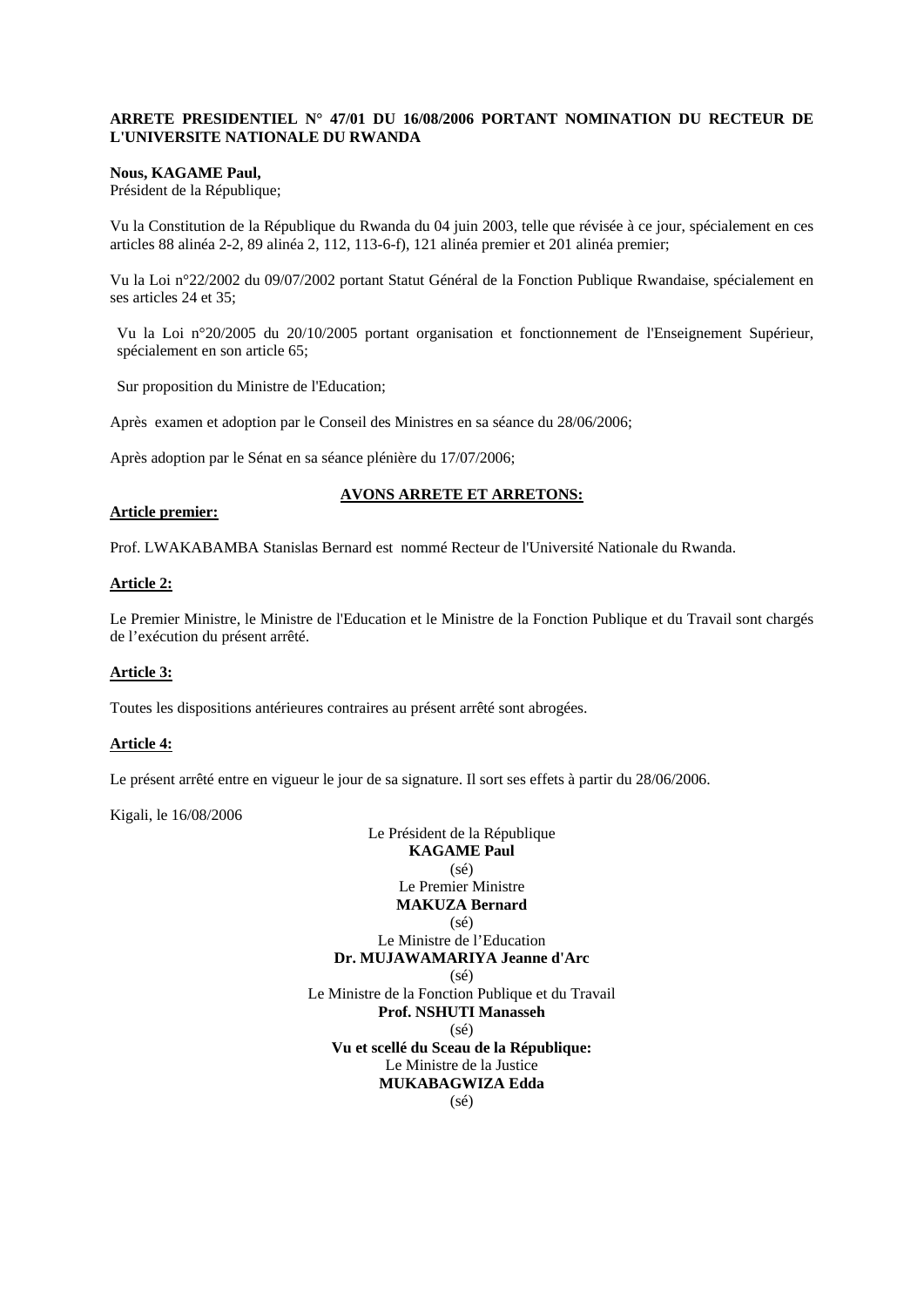### **ARRETE PRESIDENTIEL N° 47/01 DU 16/08/2006 PORTANT NOMINATION DU RECTEUR DE L'UNIVERSITE NATIONALE DU RWANDA**

### **Nous, KAGAME Paul,**

Président de la République;

Vu la Constitution de la République du Rwanda du 04 juin 2003, telle que révisée à ce jour, spécialement en ces articles 88 alinéa 2-2, 89 alinéa 2, 112, 113-6-f), 121 alinéa premier et 201 alinéa premier;

Vu la Loi n°22/2002 du 09/07/2002 portant Statut Général de la Fonction Publique Rwandaise, spécialement en ses articles 24 et 35;

Vu la Loi n°20/2005 du 20/10/2005 portant organisation et fonctionnement de l'Enseignement Supérieur, spécialement en son article 65;

Sur proposition du Ministre de l'Education;

Après examen et adoption par le Conseil des Ministres en sa séance du 28/06/2006;

Après adoption par le Sénat en sa séance plénière du 17/07/2006;

# **AVONS ARRETE ET ARRETONS:**

#### **Article premier:**

Prof. LWAKABAMBA Stanislas Bernard est nommé Recteur de l'Université Nationale du Rwanda.

### **Article 2:**

Le Premier Ministre, le Ministre de l'Education et le Ministre de la Fonction Publique et du Travail sont chargés de l'exécution du présent arrêté.

# **Article 3:**

Toutes les dispositions antérieures contraires au présent arrêté sont abrogées.

### **Article 4:**

Le présent arrêté entre en vigueur le jour de sa signature. Il sort ses effets à partir du 28/06/2006.

Kigali, le 16/08/2006

Le Président de la République **KAGAME Paul**  (sé) Le Premier Ministre **MAKUZA Bernard**   $(s<sub>e</sub>)$ Le Ministre de l'Education **Dr. MUJAWAMARIYA Jeanne d'Arc**   $(s<sub>e</sub>)$ Le Ministre de la Fonction Publique et du Travail **Prof. NSHUTI Manasseh**   $(sé)$ **Vu et scellé du Sceau de la République:**  Le Ministre de la Justice **MUKABAGWIZA Edda**   $(s<sub>ef</sub>)$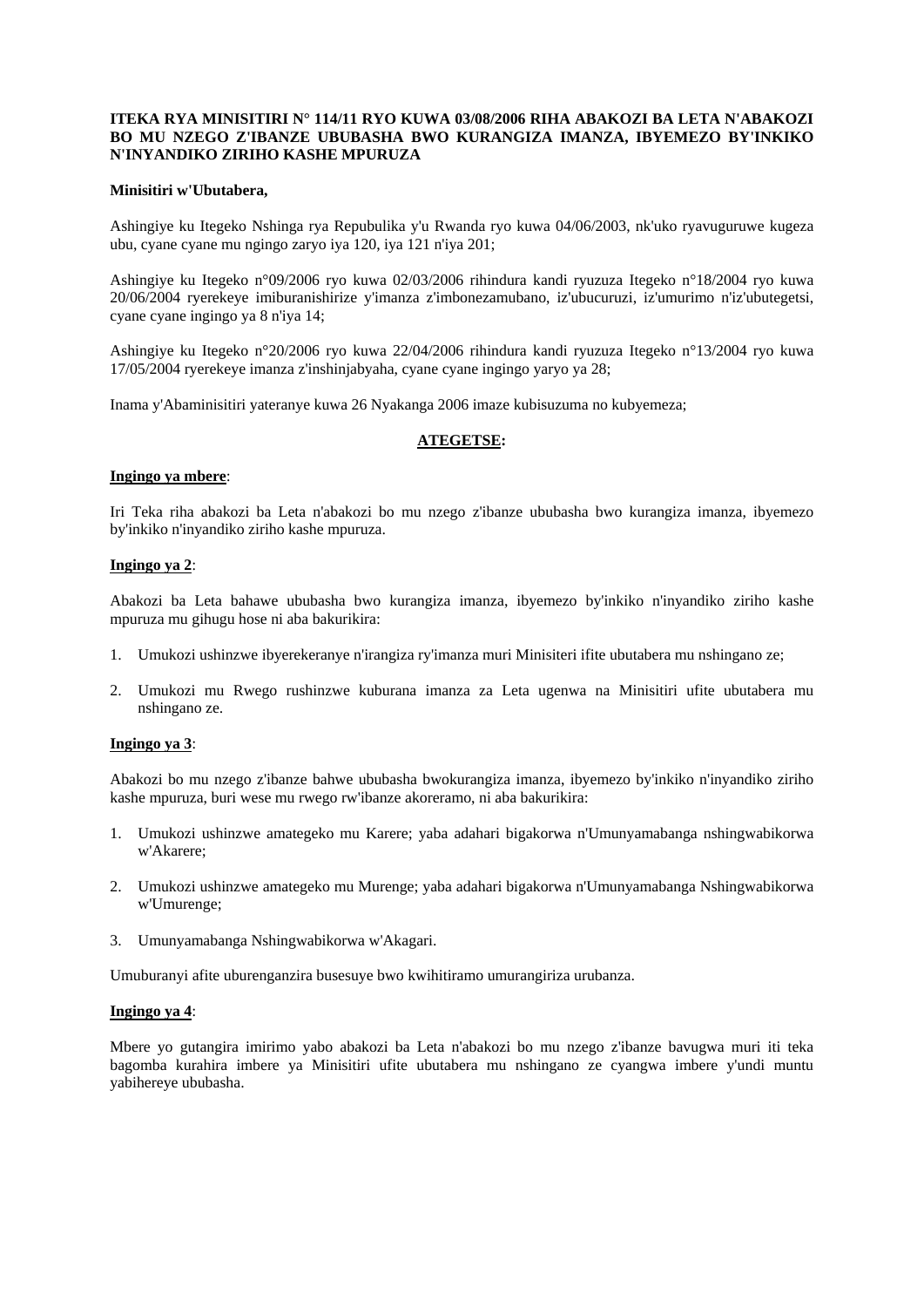#### **ITEKA RYA MINISITIRI N° 114/11 RYO KUWA 03/08/2006 RIHA ABAKOZI BA LETA N'ABAKOZI BO MU NZEGO Z'IBANZE UBUBASHA BWO KURANGIZA IMANZA, IBYEMEZO BY'INKIKO N'INYANDIKO ZIRIHO KASHE MPURUZA**

#### **Minisitiri w'Ubutabera,**

Ashingiye ku Itegeko Nshinga rya Repubulika y'u Rwanda ryo kuwa 04/06/2003, nk'uko ryavuguruwe kugeza ubu, cyane cyane mu ngingo zaryo iya 120, iya 121 n'iya 201;

Ashingiye ku Itegeko n°09/2006 ryo kuwa 02/03/2006 rihindura kandi ryuzuza Itegeko n°18/2004 ryo kuwa 20/06/2004 ryerekeye imiburanishirize y'imanza z'imbonezamubano, iz'ubucuruzi, iz'umurimo n'iz'ubutegetsi, cyane cyane ingingo ya 8 n'iya 14;

Ashingiye ku Itegeko n°20/2006 ryo kuwa 22/04/2006 rihindura kandi ryuzuza Itegeko n°13/2004 ryo kuwa 17/05/2004 ryerekeye imanza z'inshinjabyaha, cyane cyane ingingo yaryo ya 28;

Inama y'Abaminisitiri yateranye kuwa 26 Nyakanga 2006 imaze kubisuzuma no kubyemeza;

### **ATEGETSE:**

### **Ingingo ya mbere**:

Iri Teka riha abakozi ba Leta n'abakozi bo mu nzego z'ibanze ububasha bwo kurangiza imanza, ibyemezo by'inkiko n'inyandiko ziriho kashe mpuruza.

#### **Ingingo ya 2**:

Abakozi ba Leta bahawe ububasha bwo kurangiza imanza, ibyemezo by'inkiko n'inyandiko ziriho kashe mpuruza mu gihugu hose ni aba bakurikira:

- 1. Umukozi ushinzwe ibyerekeranye n'irangiza ry'imanza muri Minisiteri ifite ubutabera mu nshingano ze;
- 2. Umukozi mu Rwego rushinzwe kuburana imanza za Leta ugenwa na Minisitiri ufite ubutabera mu nshingano ze.

#### **Ingingo ya 3**:

Abakozi bo mu nzego z'ibanze bahwe ububasha bwokurangiza imanza, ibyemezo by'inkiko n'inyandiko ziriho kashe mpuruza, buri wese mu rwego rw'ibanze akoreramo, ni aba bakurikira:

- 1. Umukozi ushinzwe amategeko mu Karere; yaba adahari bigakorwa n'Umunyamabanga nshingwabikorwa w'Akarere;
- 2. Umukozi ushinzwe amategeko mu Murenge; yaba adahari bigakorwa n'Umunyamabanga Nshingwabikorwa w'Umurenge;
- 3. Umunyamabanga Nshingwabikorwa w'Akagari.

Umuburanyi afite uburenganzira busesuye bwo kwihitiramo umurangiriza urubanza.

# **Ingingo ya 4**:

Mbere yo gutangira imirimo yabo abakozi ba Leta n'abakozi bo mu nzego z'ibanze bavugwa muri iti teka bagomba kurahira imbere ya Minisitiri ufite ubutabera mu nshingano ze cyangwa imbere y'undi muntu yabihereye ububasha.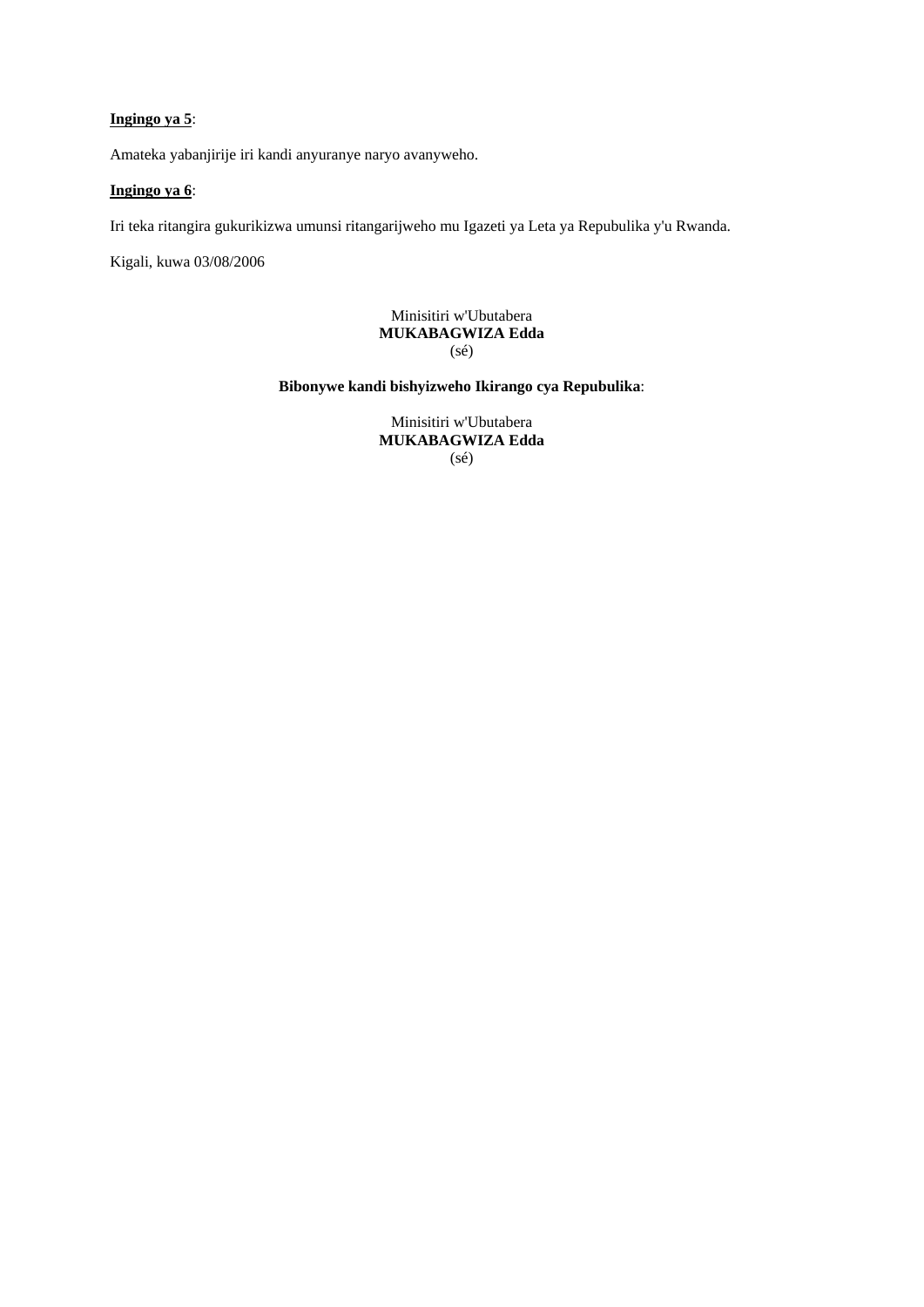# **Ingingo ya 5**:

Amateka yabanjirije iri kandi anyuranye naryo avanyweho.

# **Ingingo ya 6**:

Iri teka ritangira gukurikizwa umunsi ritangarijweho mu Igazeti ya Leta ya Repubulika y'u Rwanda.

Kigali, kuwa 03/08/2006

# Minisitiri w'Ubutabera **MUKABAGWIZA Edda**  (sé)

**Bibonywe kandi bishyizweho Ikirango cya Repubulika**:

Minisitiri w'Ubutabera **MUKABAGWIZA Edda**  (sé)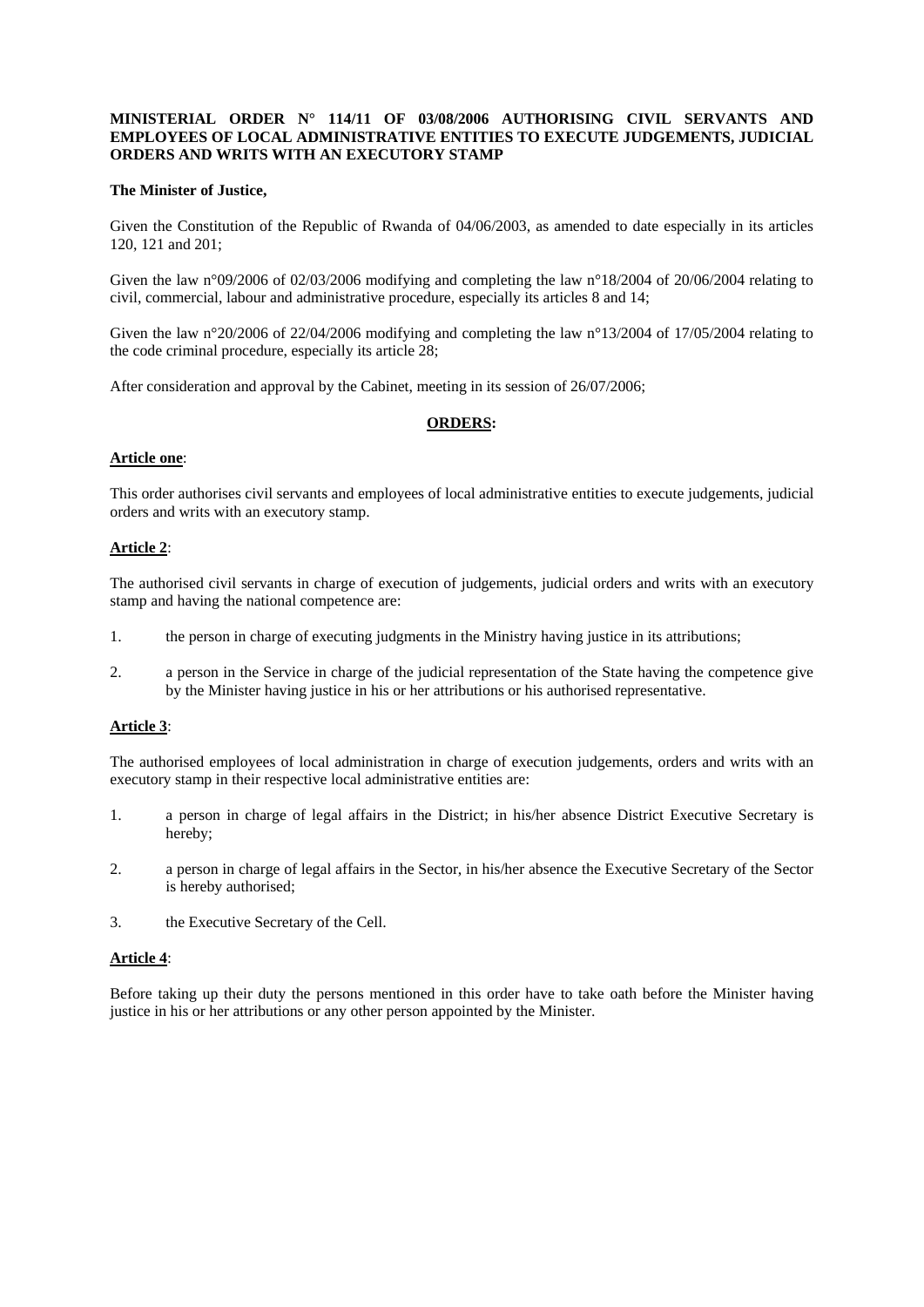#### **MINISTERIAL ORDER N° 114/11 OF 03/08/2006 AUTHORISING CIVIL SERVANTS AND EMPLOYEES OF LOCAL ADMINISTRATIVE ENTITIES TO EXECUTE JUDGEMENTS, JUDICIAL ORDERS AND WRITS WITH AN EXECUTORY STAMP**

#### **The Minister of Justice,**

Given the Constitution of the Republic of Rwanda of 04/06/2003, as amended to date especially in its articles 120, 121 and 201;

Given the law n°09/2006 of 02/03/2006 modifying and completing the law n°18/2004 of 20/06/2004 relating to civil, commercial, labour and administrative procedure, especially its articles 8 and 14;

Given the law n°20/2006 of 22/04/2006 modifying and completing the law n°13/2004 of 17/05/2004 relating to the code criminal procedure, especially its article 28;

After consideration and approval by the Cabinet, meeting in its session of 26/07/2006;

# **ORDERS:**

#### **Article one**:

This order authorises civil servants and employees of local administrative entities to execute judgements, judicial orders and writs with an executory stamp.

### **Article 2**:

The authorised civil servants in charge of execution of judgements, judicial orders and writs with an executory stamp and having the national competence are:

- 1. the person in charge of executing judgments in the Ministry having justice in its attributions;
- 2. a person in the Service in charge of the judicial representation of the State having the competence give by the Minister having justice in his or her attributions or his authorised representative.

### **Article 3**:

The authorised employees of local administration in charge of execution judgements, orders and writs with an executory stamp in their respective local administrative entities are:

- 1. a person in charge of legal affairs in the District; in his/her absence District Executive Secretary is hereby;
- 2. a person in charge of legal affairs in the Sector, in his/her absence the Executive Secretary of the Sector is hereby authorised;
- 3. the Executive Secretary of the Cell.

#### **Article 4**:

Before taking up their duty the persons mentioned in this order have to take oath before the Minister having justice in his or her attributions or any other person appointed by the Minister.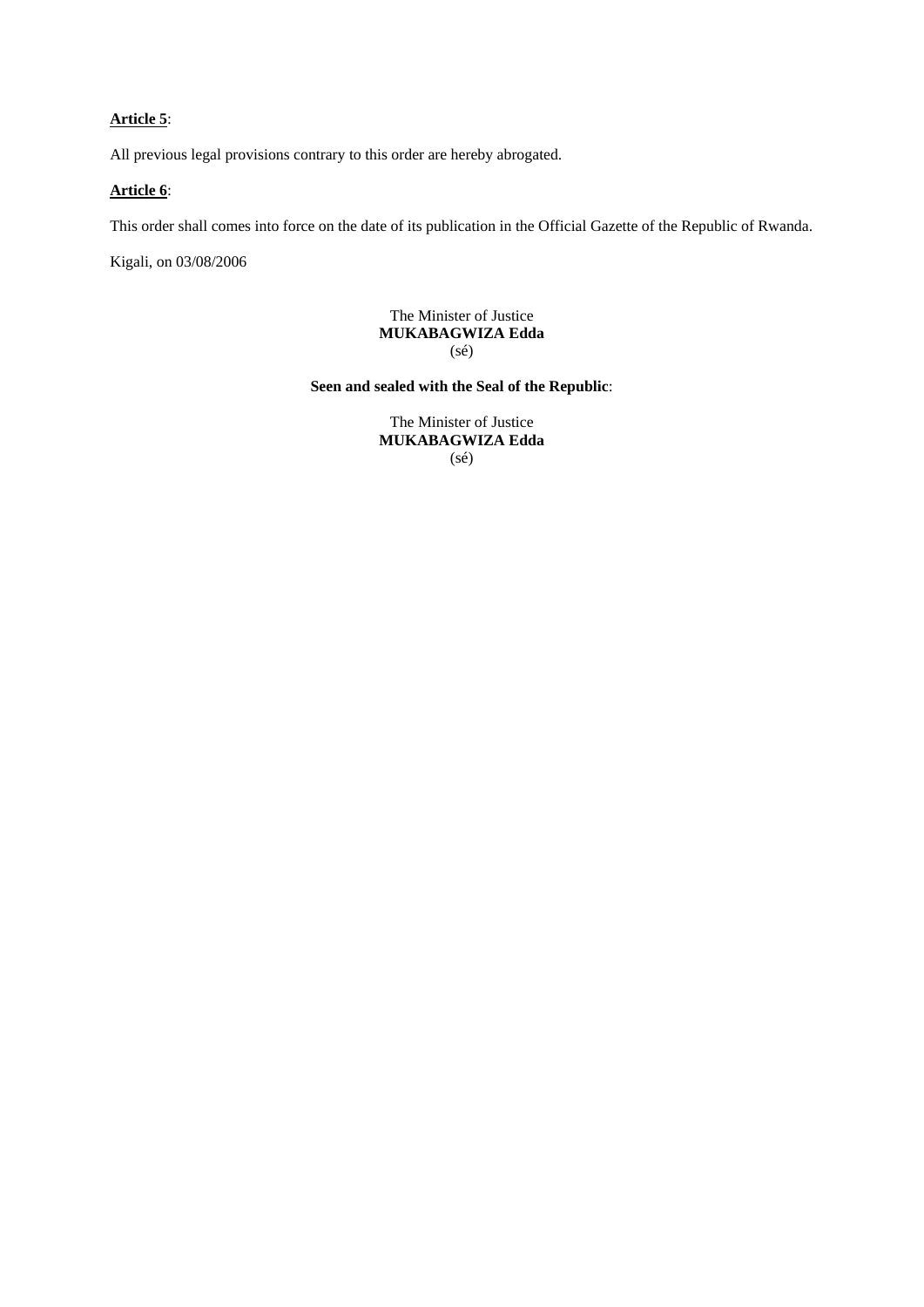# **Article 5**:

All previous legal provisions contrary to this order are hereby abrogated.

# **Article 6**:

This order shall comes into force on the date of its publication in the Official Gazette of the Republic of Rwanda.

Kigali, on 03/08/2006

The Minister of Justice **MUKABAGWIZA Edda**  (sé)

**Seen and sealed with the Seal of the Republic**:

The Minister of Justice **MUKABAGWIZA Edda**  (sé)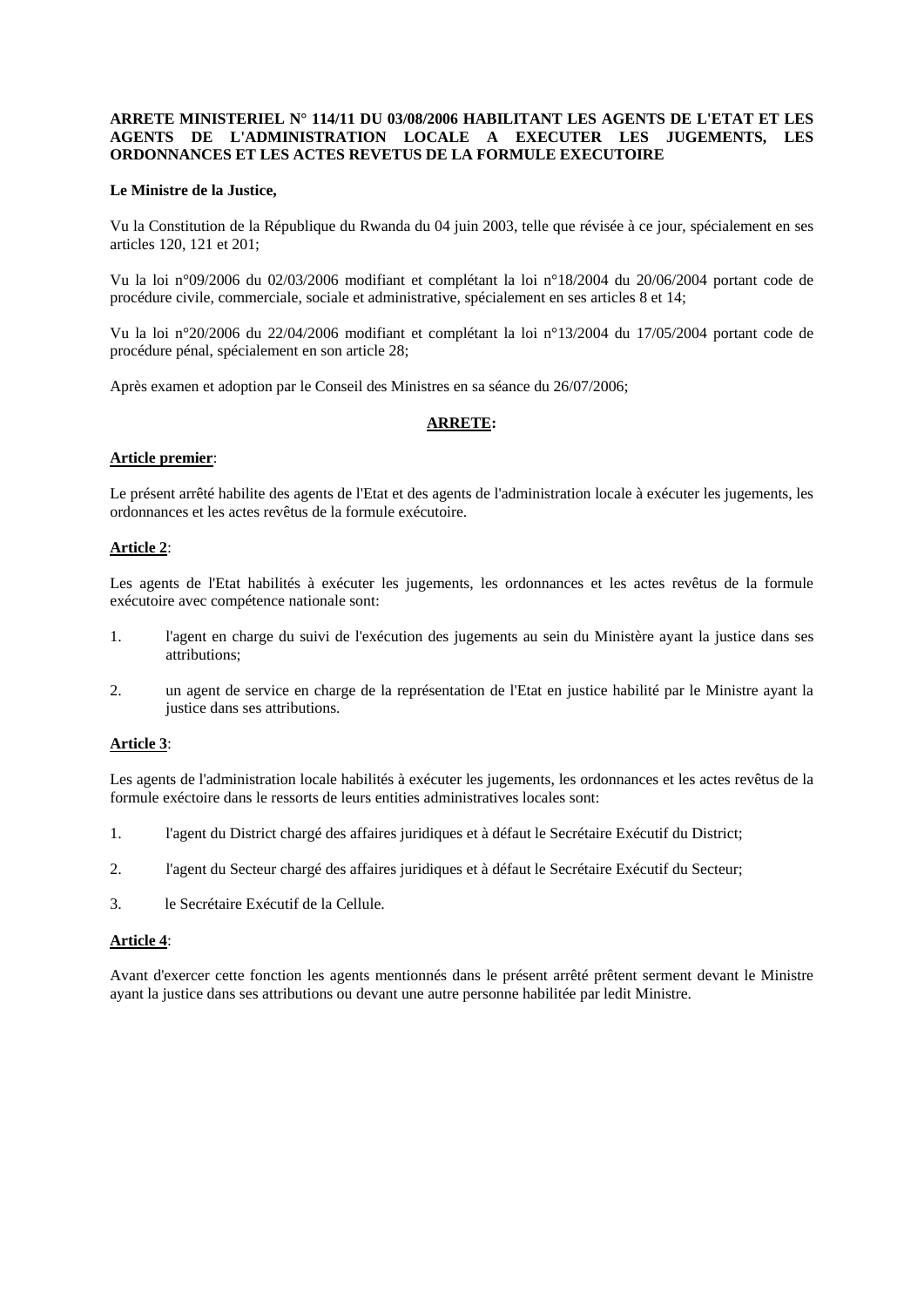#### **ARRETE MINISTERIEL N° 114/11 DU 03/08/2006 HABILITANT LES AGENTS DE L'ETAT ET LES AGENTS DE L'ADMINISTRATION LOCALE A EXECUTER LES JUGEMENTS, LES ORDONNANCES ET LES ACTES REVETUS DE LA FORMULE EXECUTOIRE**

#### **Le Ministre de la Justice,**

Vu la Constitution de la République du Rwanda du 04 juin 2003, telle que révisée à ce jour, spécialement en ses articles 120, 121 et 201;

Vu la loi n°09/2006 du 02/03/2006 modifiant et complétant la loi n°18/2004 du 20/06/2004 portant code de procédure civile, commerciale, sociale et administrative, spécialement en ses articles 8 et 14;

Vu la loi n°20/2006 du 22/04/2006 modifiant et complétant la loi n°13/2004 du 17/05/2004 portant code de procédure pénal, spécialement en son article 28;

Après examen et adoption par le Conseil des Ministres en sa séance du 26/07/2006;

# **ARRETE:**

#### **Article premier**:

Le présent arrêté habilite des agents de l'Etat et des agents de l'administration locale à exécuter les jugements, les ordonnances et les actes revêtus de la formule exécutoire.

#### **Article 2**:

Les agents de l'Etat habilités à exécuter les jugements, les ordonnances et les actes revêtus de la formule exécutoire avec compétence nationale sont:

- 1. l'agent en charge du suivi de l'exécution des jugements au sein du Ministère ayant la justice dans ses attributions;
- 2. un agent de service en charge de la représentation de l'Etat en justice habilité par le Ministre ayant la justice dans ses attributions.

### **Article 3**:

Les agents de l'administration locale habilités à exécuter les jugements, les ordonnances et les actes revêtus de la formule exéctoire dans le ressorts de leurs entities administratives locales sont:

- 1. l'agent du District chargé des affaires juridiques et à défaut le Secrétaire Exécutif du District;
- 2. l'agent du Secteur chargé des affaires juridiques et à défaut le Secrétaire Exécutif du Secteur;
- 3. le Secrétaire Exécutif de la Cellule.

#### **Article 4**:

Avant d'exercer cette fonction les agents mentionnés dans le présent arrêté prêtent serment devant le Ministre ayant la justice dans ses attributions ou devant une autre personne habilitée par ledit Ministre.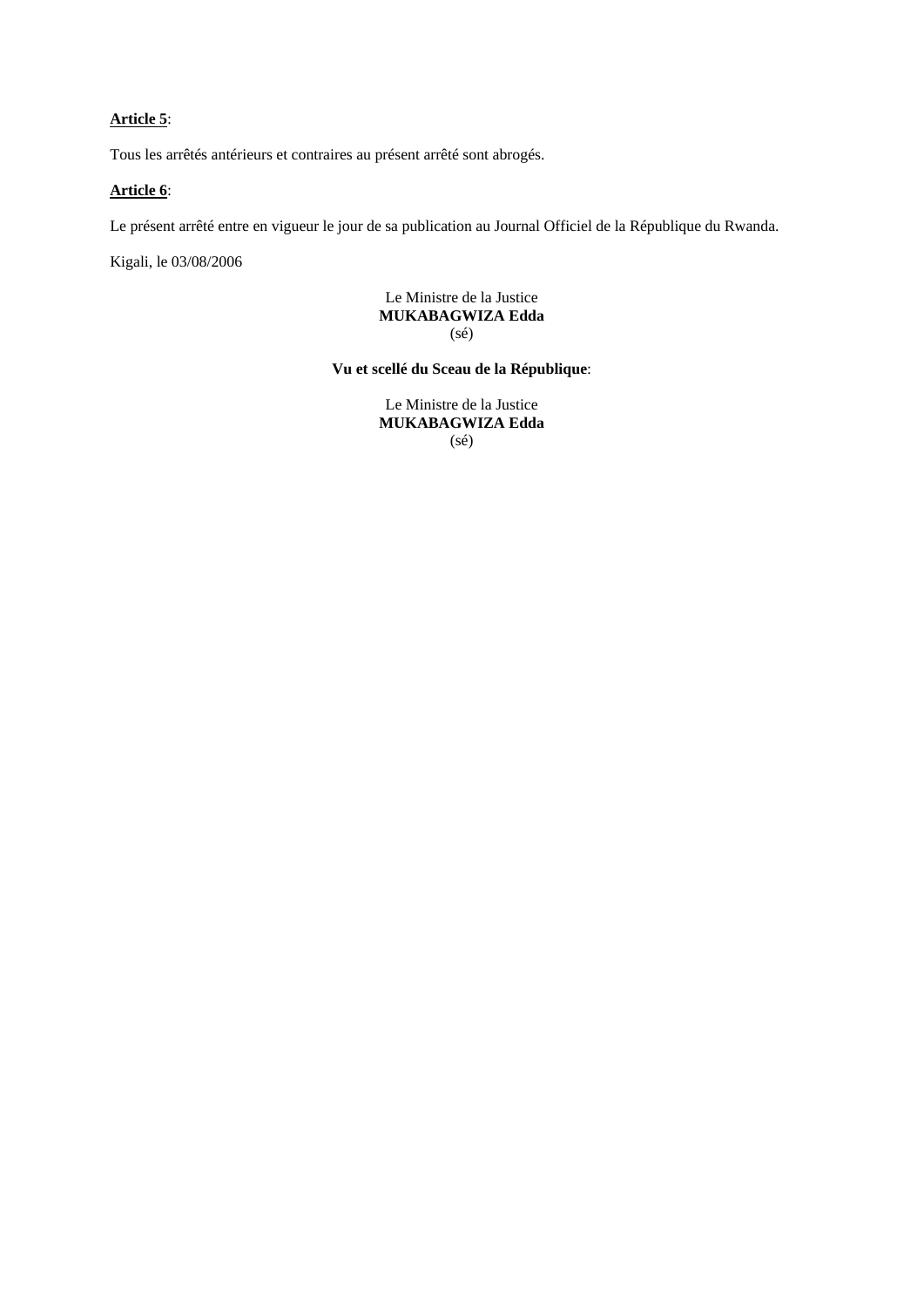# **Article 5**:

Tous les arrêtés antérieurs et contraires au présent arrêté sont abrogés.

# **Article 6**:

Le présent arrêté entre en vigueur le jour de sa publication au Journal Officiel de la République du Rwanda.

Kigali, le 03/08/2006

# Le Ministre de la Justice **MUKABAGWIZA Edda**  (sé)

**Vu et scellé du Sceau de la République**:

Le Ministre de la Justice **MUKABAGWIZA Edda**  (sé)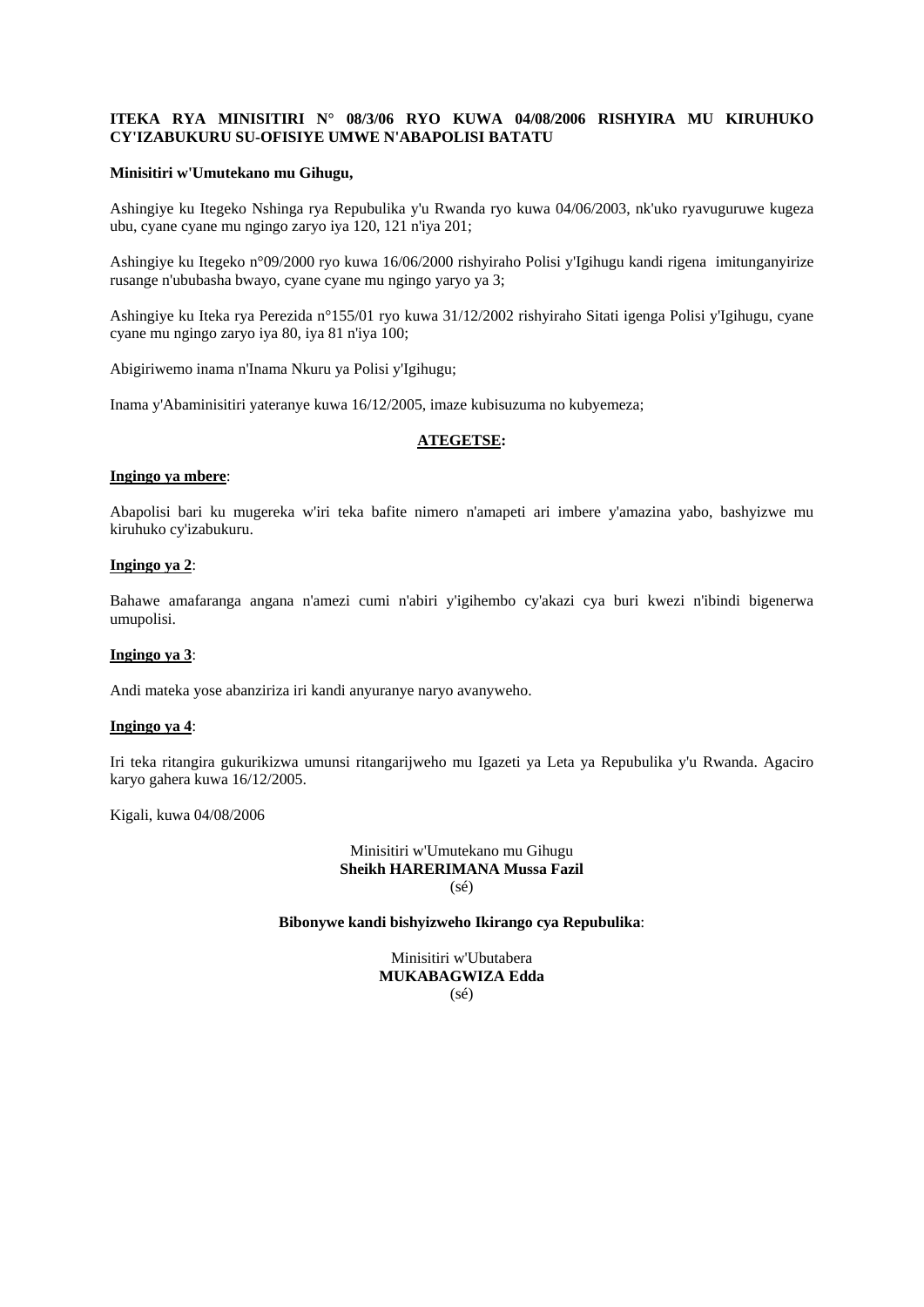# **ITEKA RYA MINISITIRI N° 08/3/06 RYO KUWA 04/08/2006 RISHYIRA MU KIRUHUKO CY'IZABUKURU SU-OFISIYE UMWE N'ABAPOLISI BATATU**

#### **Minisitiri w'Umutekano mu Gihugu,**

Ashingiye ku Itegeko Nshinga rya Repubulika y'u Rwanda ryo kuwa 04/06/2003, nk'uko ryavuguruwe kugeza ubu, cyane cyane mu ngingo zaryo iya 120, 121 n'iya 201;

Ashingiye ku Itegeko n°09/2000 ryo kuwa 16/06/2000 rishyiraho Polisi y'Igihugu kandi rigena imitunganyirize rusange n'ububasha bwayo, cyane cyane mu ngingo yaryo ya 3;

Ashingiye ku Iteka rya Perezida n°155/01 ryo kuwa 31/12/2002 rishyiraho Sitati igenga Polisi y'Igihugu, cyane cyane mu ngingo zaryo iya 80, iya 81 n'iya 100;

Abigiriwemo inama n'Inama Nkuru ya Polisi y'Igihugu;

Inama y'Abaminisitiri yateranye kuwa 16/12/2005, imaze kubisuzuma no kubyemeza;

### **ATEGETSE:**

### **Ingingo ya mbere**:

Abapolisi bari ku mugereka w'iri teka bafite nimero n'amapeti ari imbere y'amazina yabo, bashyizwe mu kiruhuko cy'izabukuru.

#### **Ingingo ya 2**:

Bahawe amafaranga angana n'amezi cumi n'abiri y'igihembo cy'akazi cya buri kwezi n'ibindi bigenerwa umupolisi.

#### **Ingingo ya 3**:

Andi mateka yose abanziriza iri kandi anyuranye naryo avanyweho.

#### **Ingingo ya 4**:

Iri teka ritangira gukurikizwa umunsi ritangarijweho mu Igazeti ya Leta ya Repubulika y'u Rwanda. Agaciro karyo gahera kuwa 16/12/2005.

Kigali, kuwa 04/08/2006

Minisitiri w'Umutekano mu Gihugu **Sheikh HARERIMANA Mussa Fazil**  (sé)

#### **Bibonywe kandi bishyizweho Ikirango cya Repubulika**:

Minisitiri w'Ubutabera **MUKABAGWIZA Edda**  (sé)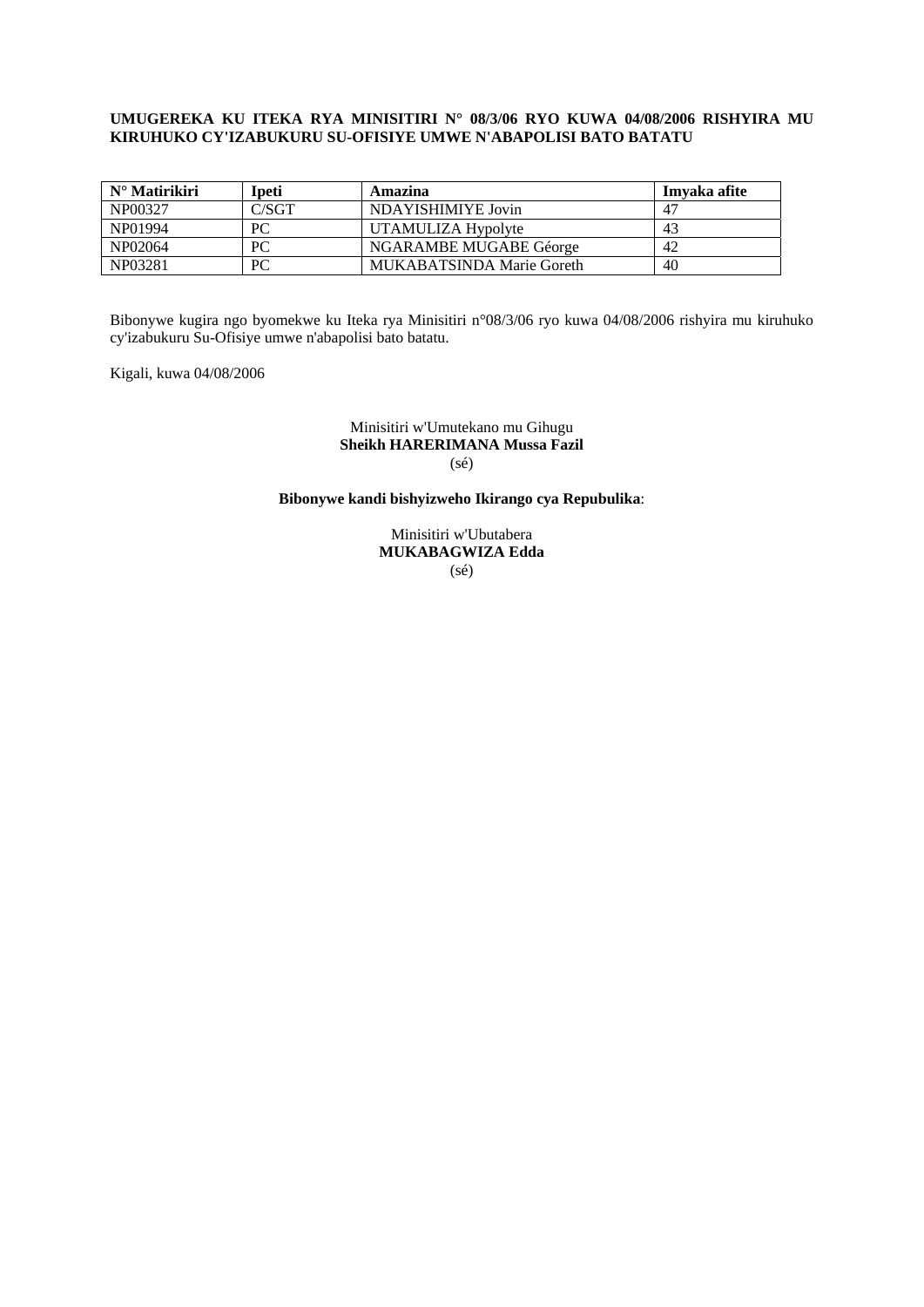### **UMUGEREKA KU ITEKA RYA MINISITIRI N° 08/3/06 RYO KUWA 04/08/2006 RISHYIRA MU KIRUHUKO CY'IZABUKURU SU-OFISIYE UMWE N'ABAPOLISI BATO BATATU**

| $N^{\circ}$ Matirikiri | Ipeti | Amazina                          | Imvaka afite   |
|------------------------|-------|----------------------------------|----------------|
| NP00327                | C/SGT | NDAYISHIMIYE Jovin               | 4 <sup>7</sup> |
| NP01994                | PС    | UTAMULIZA Hypolyte               | 43             |
| NP02064                | PС    | NGARAMBE MUGABE Géorge           | -42            |
| NP03281                | PС    | <b>MUKABATSINDA Marie Goreth</b> | 40             |

Bibonywe kugira ngo byomekwe ku Iteka rya Minisitiri n°08/3/06 ryo kuwa 04/08/2006 rishyira mu kiruhuko cy'izabukuru Su-Ofisiye umwe n'abapolisi bato batatu.

Kigali, kuwa 04/08/2006

#### Minisitiri w'Umutekano mu Gihugu **Sheikh HARERIMANA Mussa Fazil**   $(sé)$

# **Bibonywe kandi bishyizweho Ikirango cya Repubulika**:

Minisitiri w'Ubutabera **MUKABAGWIZA Edda**   $(s\acute{e})$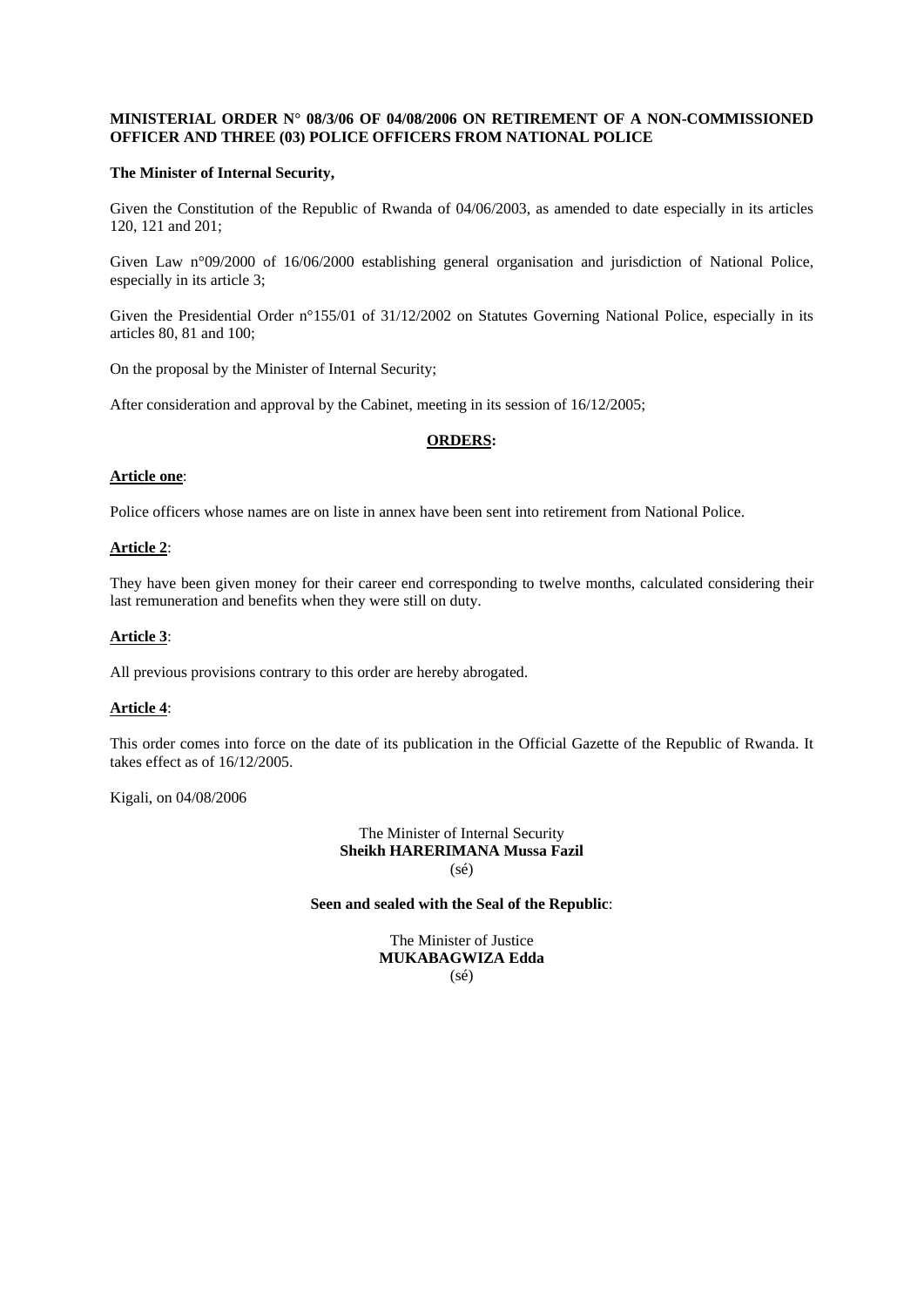#### **MINISTERIAL ORDER N° 08/3/06 OF 04/08/2006 ON RETIREMENT OF A NON-COMMISSIONED OFFICER AND THREE (03) POLICE OFFICERS FROM NATIONAL POLICE**

#### **The Minister of Internal Security,**

Given the Constitution of the Republic of Rwanda of 04/06/2003, as amended to date especially in its articles 120, 121 and 201;

Given Law n°09/2000 of 16/06/2000 establishing general organisation and jurisdiction of National Police, especially in its article 3;

Given the Presidential Order n°155/01 of 31/12/2002 on Statutes Governing National Police, especially in its articles 80, 81 and 100;

On the proposal by the Minister of Internal Security;

After consideration and approval by the Cabinet, meeting in its session of 16/12/2005;

### **ORDERS:**

#### **Article one**:

Police officers whose names are on liste in annex have been sent into retirement from National Police.

### **Article 2**:

They have been given money for their career end corresponding to twelve months, calculated considering their last remuneration and benefits when they were still on duty.

### **Article 3**:

All previous provisions contrary to this order are hereby abrogated.

### **Article 4**:

This order comes into force on the date of its publication in the Official Gazette of the Republic of Rwanda. It takes effect as of 16/12/2005.

Kigali, on 04/08/2006

The Minister of Internal Security **Sheikh HARERIMANA Mussa Fazil**  (sé)

#### **Seen and sealed with the Seal of the Republic**:

The Minister of Justice **MUKABAGWIZA Edda**  (sé)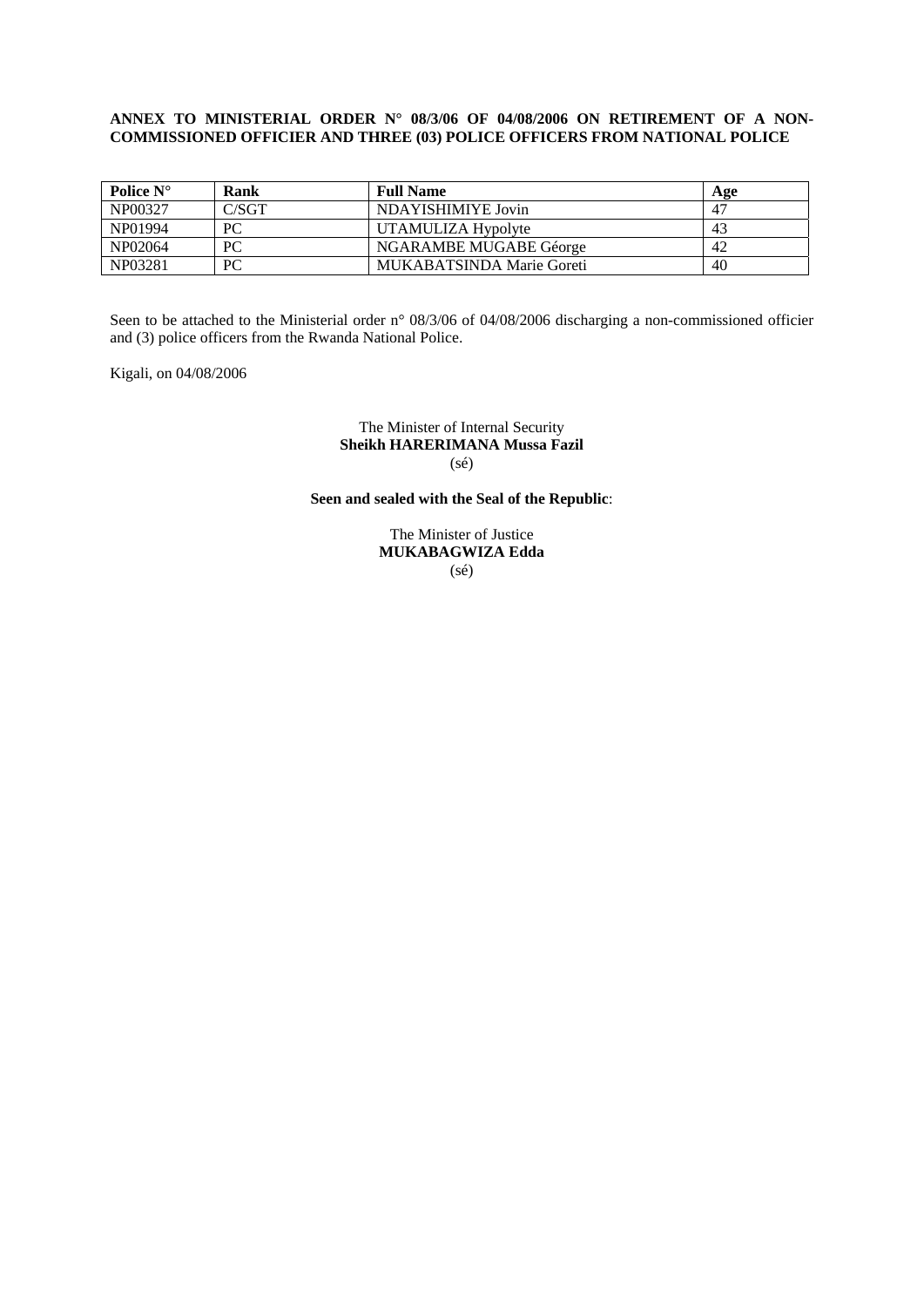#### **ANNEX TO MINISTERIAL ORDER N° 08/3/06 OF 04/08/2006 ON RETIREMENT OF A NON-COMMISSIONED OFFICIER AND THREE (03) POLICE OFFICERS FROM NATIONAL POLICE**

| Police $N^{\circ}$ | Rank  | <b>Full Name</b>          | Age         |
|--------------------|-------|---------------------------|-------------|
| NP00327            | C/SGT | NDAYISHIMIYE Jovin        | $4^{\circ}$ |
| NP01994            | PС    | UTAMULIZA Hypolyte        | $4^3$       |
| NP02064            | PС    | NGARAMBE MUGABE Géorge    | 42          |
| NP03281            | PС    | MUKABATSINDA Marie Goreti | 40          |

Seen to be attached to the Ministerial order n° 08/3/06 of 04/08/2006 discharging a non-commissioned officier and (3) police officers from the Rwanda National Police.

Kigali, on 04/08/2006

#### The Minister of Internal Security **Sheikh HARERIMANA Mussa Fazil**   $(sé)$

# **Seen and sealed with the Seal of the Republic**:

The Minister of Justice **MUKABAGWIZA Edda**   $(s\acute{e})$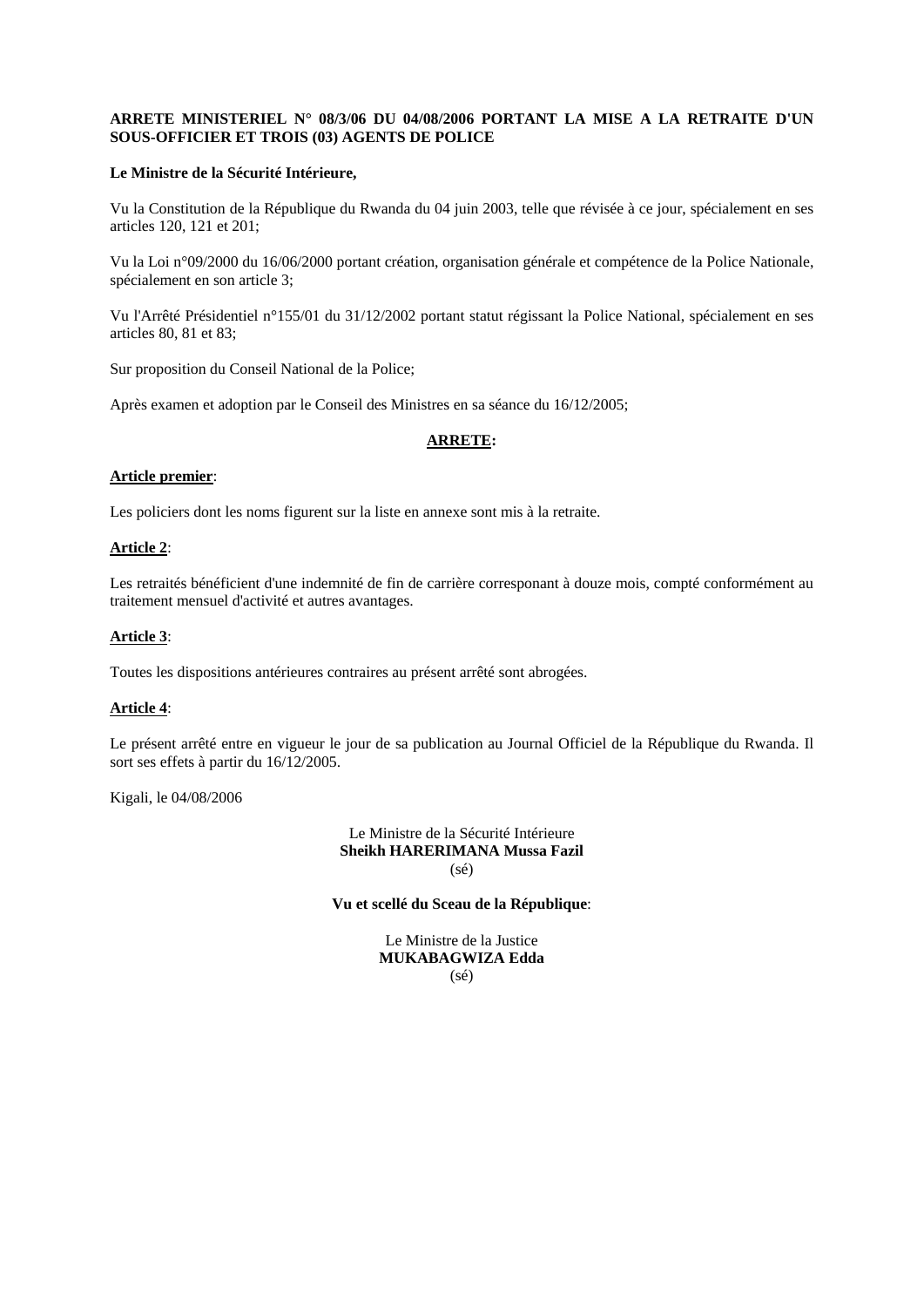# **ARRETE MINISTERIEL N° 08/3/06 DU 04/08/2006 PORTANT LA MISE A LA RETRAITE D'UN SOUS-OFFICIER ET TROIS (03) AGENTS DE POLICE**

#### **Le Ministre de la Sécurité Intérieure,**

Vu la Constitution de la République du Rwanda du 04 juin 2003, telle que révisée à ce jour, spécialement en ses articles 120, 121 et 201;

Vu la Loi n°09/2000 du 16/06/2000 portant création, organisation générale et compétence de la Police Nationale, spécialement en son article 3;

Vu l'Arrêté Présidentiel n°155/01 du 31/12/2002 portant statut régissant la Police National, spécialement en ses articles 80, 81 et 83;

Sur proposition du Conseil National de la Police;

Après examen et adoption par le Conseil des Ministres en sa séance du 16/12/2005;

### **ARRETE:**

#### **Article premier**:

Les policiers dont les noms figurent sur la liste en annexe sont mis à la retraite.

### **Article 2**:

Les retraités bénéficient d'une indemnité de fin de carrière corresponant à douze mois, compté conformément au traitement mensuel d'activité et autres avantages.

### **Article 3**:

Toutes les dispositions antérieures contraires au présent arrêté sont abrogées.

### **Article 4**:

Le présent arrêté entre en vigueur le jour de sa publication au Journal Officiel de la République du Rwanda. Il sort ses effets à partir du 16/12/2005.

Kigali, le 04/08/2006

Le Ministre de la Sécurité Intérieure **Sheikh HARERIMANA Mussa Fazil**  (sé)

**Vu et scellé du Sceau de la République**:

Le Ministre de la Justice **MUKABAGWIZA Edda**  (sé)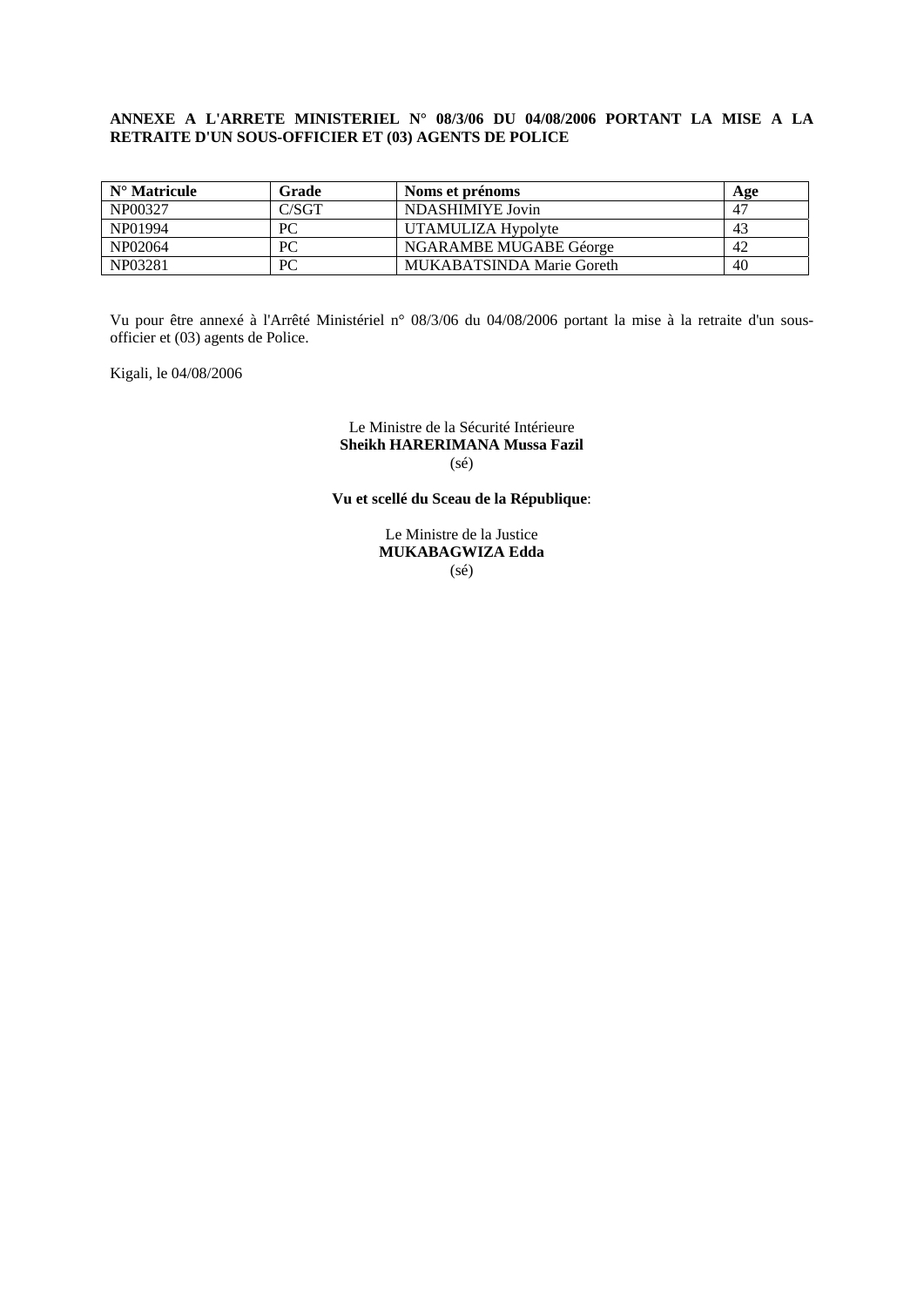## **ANNEXE A L'ARRETE MINISTERIEL N° 08/3/06 DU 04/08/2006 PORTANT LA MISE A LA RETRAITE D'UN SOUS-OFFICIER ET (03) AGENTS DE POLICE**

| $N^{\circ}$ Matricule | Grade | Noms et prénoms           | Age |
|-----------------------|-------|---------------------------|-----|
| NP00327               | C/SGT | NDASHIMIYE Jovin          |     |
| NP01994               | PС    | UTAMULIZA Hypolyte        | 43  |
| NP02064               | PС    | NGARAMBE MUGABE Géorge    | 42  |
| NP03281               | PC    | MUKABATSINDA Marie Goreth | 40  |

Vu pour être annexé à l'Arrêté Ministériel n° 08/3/06 du 04/08/2006 portant la mise à la retraite d'un sousofficier et (03) agents de Police.

Kigali, le 04/08/2006

#### Le Ministre de la Sécurité Intérieure **Sheikh HARERIMANA Mussa Fazil**  (sé)

# **Vu et scellé du Sceau de la République**:

Le Ministre de la Justice **MUKABAGWIZA Edda**   $(s\acute{e})$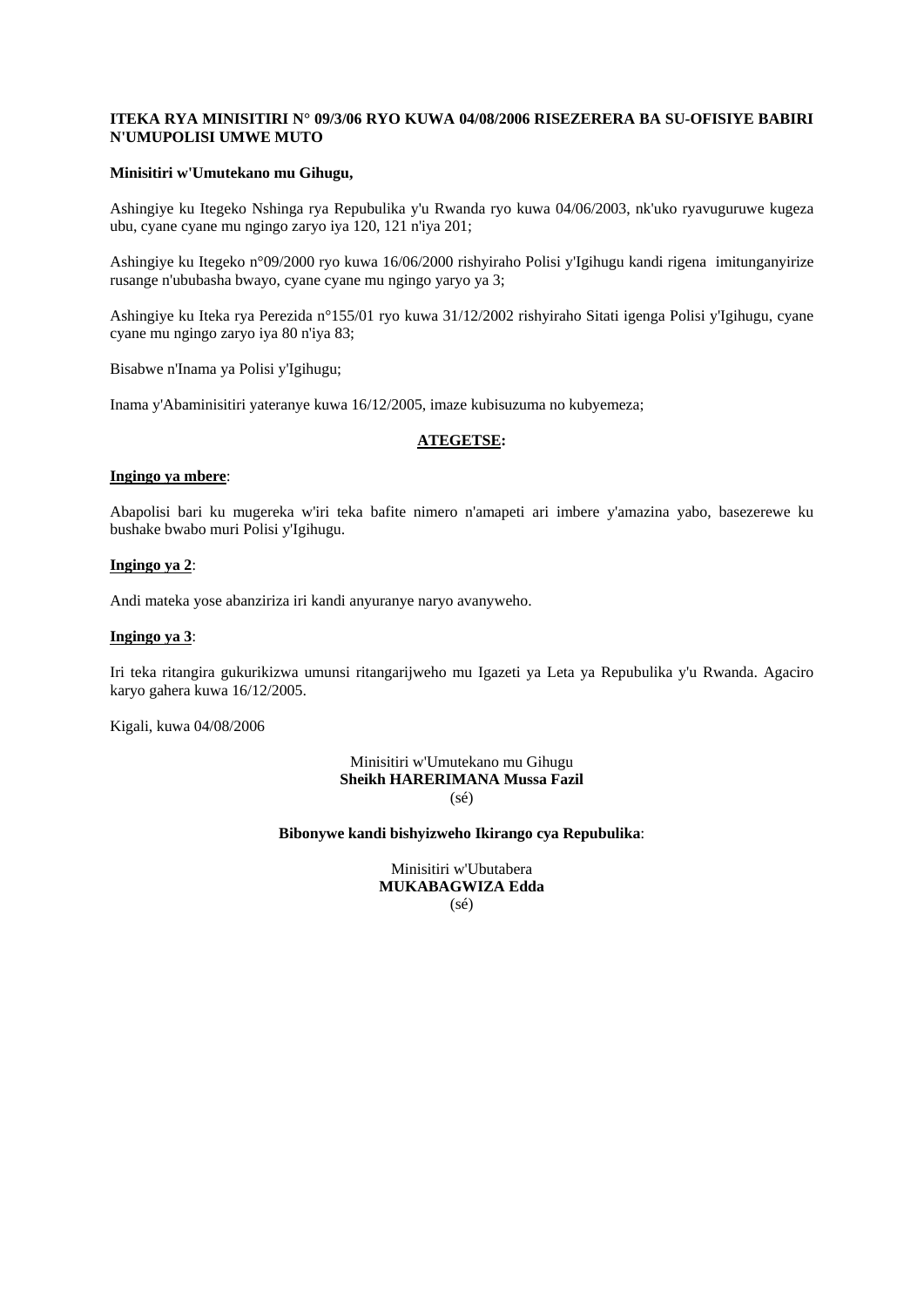### **ITEKA RYA MINISITIRI N° 09/3/06 RYO KUWA 04/08/2006 RISEZERERA BA SU-OFISIYE BABIRI N'UMUPOLISI UMWE MUTO**

### **Minisitiri w'Umutekano mu Gihugu,**

Ashingiye ku Itegeko Nshinga rya Repubulika y'u Rwanda ryo kuwa 04/06/2003, nk'uko ryavuguruwe kugeza ubu, cyane cyane mu ngingo zaryo iya 120, 121 n'iya 201;

Ashingiye ku Itegeko n°09/2000 ryo kuwa 16/06/2000 rishyiraho Polisi y'Igihugu kandi rigena imitunganyirize rusange n'ububasha bwayo, cyane cyane mu ngingo yaryo ya 3;

Ashingiye ku Iteka rya Perezida n°155/01 ryo kuwa 31/12/2002 rishyiraho Sitati igenga Polisi y'Igihugu, cyane cyane mu ngingo zaryo iya 80 n'iya 83;

Bisabwe n'Inama ya Polisi y'Igihugu;

Inama y'Abaminisitiri yateranye kuwa 16/12/2005, imaze kubisuzuma no kubyemeza;

### **ATEGETSE:**

#### **Ingingo ya mbere**:

Abapolisi bari ku mugereka w'iri teka bafite nimero n'amapeti ari imbere y'amazina yabo, basezerewe ku bushake bwabo muri Polisi y'Igihugu.

#### **Ingingo ya 2**:

Andi mateka yose abanziriza iri kandi anyuranye naryo avanyweho.

#### **Ingingo ya 3**:

Iri teka ritangira gukurikizwa umunsi ritangarijweho mu Igazeti ya Leta ya Repubulika y'u Rwanda. Agaciro karyo gahera kuwa 16/12/2005.

Kigali, kuwa 04/08/2006

#### Minisitiri w'Umutekano mu Gihugu **Sheikh HARERIMANA Mussa Fazil**  (sé)

#### **Bibonywe kandi bishyizweho Ikirango cya Repubulika**:

Minisitiri w'Ubutabera **MUKABAGWIZA Edda**  (sé)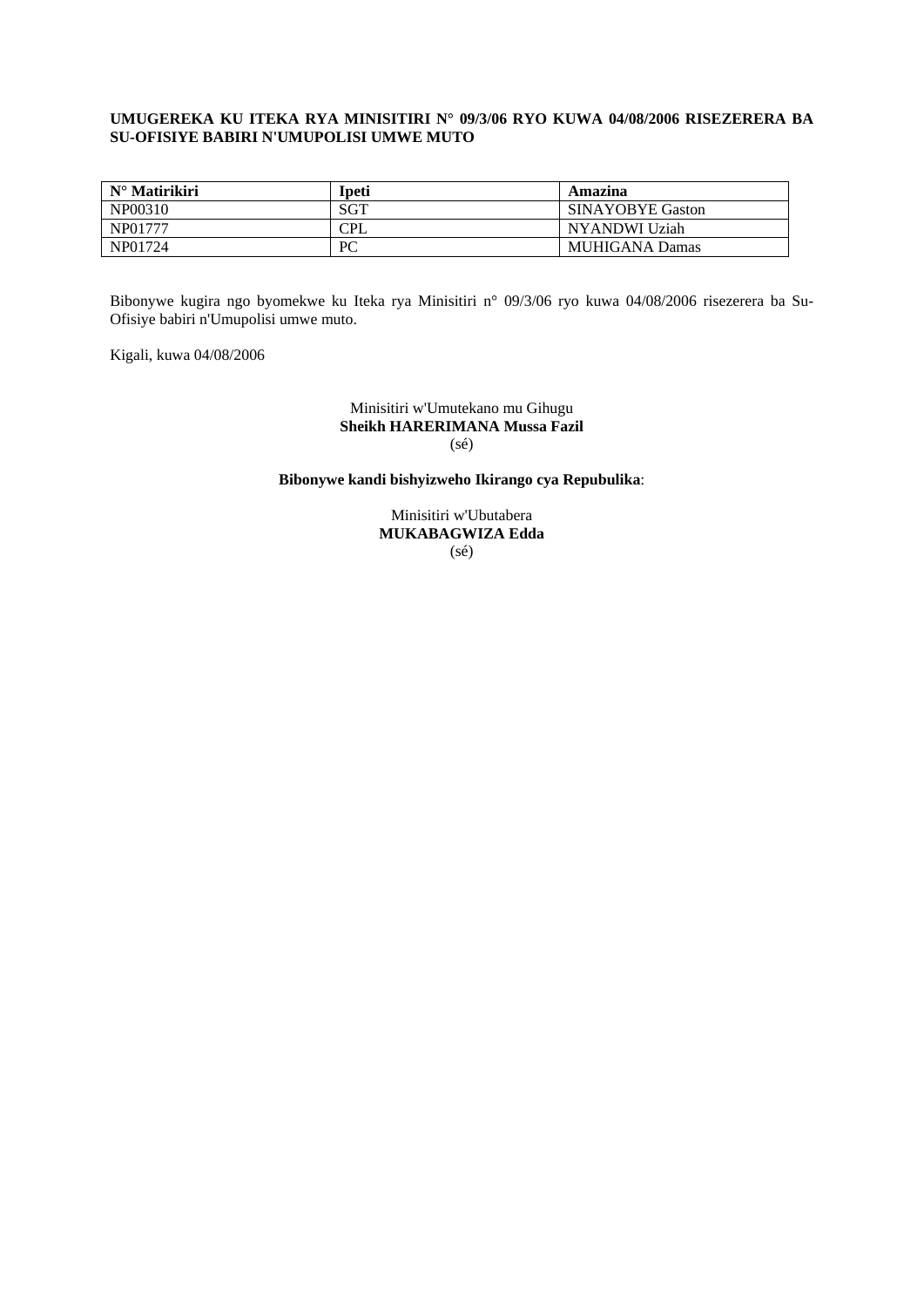### **UMUGEREKA KU ITEKA RYA MINISITIRI N° 09/3/06 RYO KUWA 04/08/2006 RISEZERERA BA SU-OFISIYE BABIRI N'UMUPOLISI UMWE MUTO**

| $N^{\circ}$ Matirikiri | Ipeti | Amazina                 |
|------------------------|-------|-------------------------|
| NP00310                | SGT   | <b>SINAYOBYE Gaston</b> |
| NP01777                | CPL   | NYANDWI Uziah           |
| NP01724                | PC    | <b>MUHIGANA Damas</b>   |

Bibonywe kugira ngo byomekwe ku Iteka rya Minisitiri n° 09/3/06 ryo kuwa 04/08/2006 risezerera ba Su-Ofisiye babiri n'Umupolisi umwe muto.

Kigali, kuwa 04/08/2006

#### Minisitiri w'Umutekano mu Gihugu **Sheikh HARERIMANA Mussa Fazil**  (sé)

# **Bibonywe kandi bishyizweho Ikirango cya Repubulika**:

Minisitiri w'Ubutabera **MUKABAGWIZA Edda**  (sé)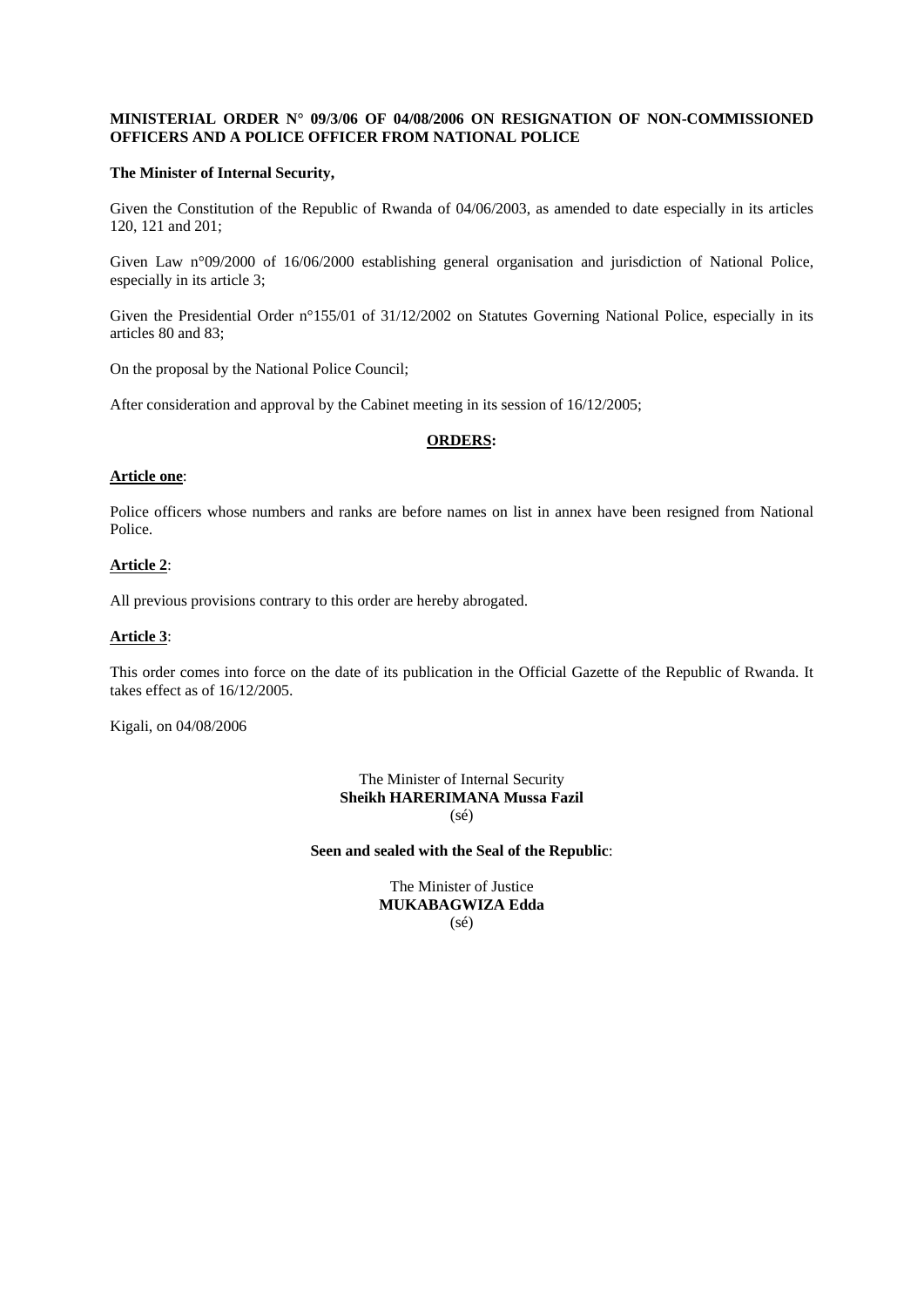# **MINISTERIAL ORDER N° 09/3/06 OF 04/08/2006 ON RESIGNATION OF NON-COMMISSIONED OFFICERS AND A POLICE OFFICER FROM NATIONAL POLICE**

#### **The Minister of Internal Security,**

Given the Constitution of the Republic of Rwanda of 04/06/2003, as amended to date especially in its articles 120, 121 and 201;

Given Law n°09/2000 of 16/06/2000 establishing general organisation and jurisdiction of National Police, especially in its article 3;

Given the Presidential Order n°155/01 of 31/12/2002 on Statutes Governing National Police, especially in its articles 80 and 83;

On the proposal by the National Police Council;

After consideration and approval by the Cabinet meeting in its session of 16/12/2005;

### **ORDERS:**

#### **Article one**:

Police officers whose numbers and ranks are before names on list in annex have been resigned from National Police.

#### **Article 2**:

All previous provisions contrary to this order are hereby abrogated.

### **Article 3**:

This order comes into force on the date of its publication in the Official Gazette of the Republic of Rwanda. It takes effect as of 16/12/2005.

Kigali, on 04/08/2006

The Minister of Internal Security **Sheikh HARERIMANA Mussa Fazil**  (sé)

**Seen and sealed with the Seal of the Republic**:

The Minister of Justice **MUKABAGWIZA Edda**  (sé)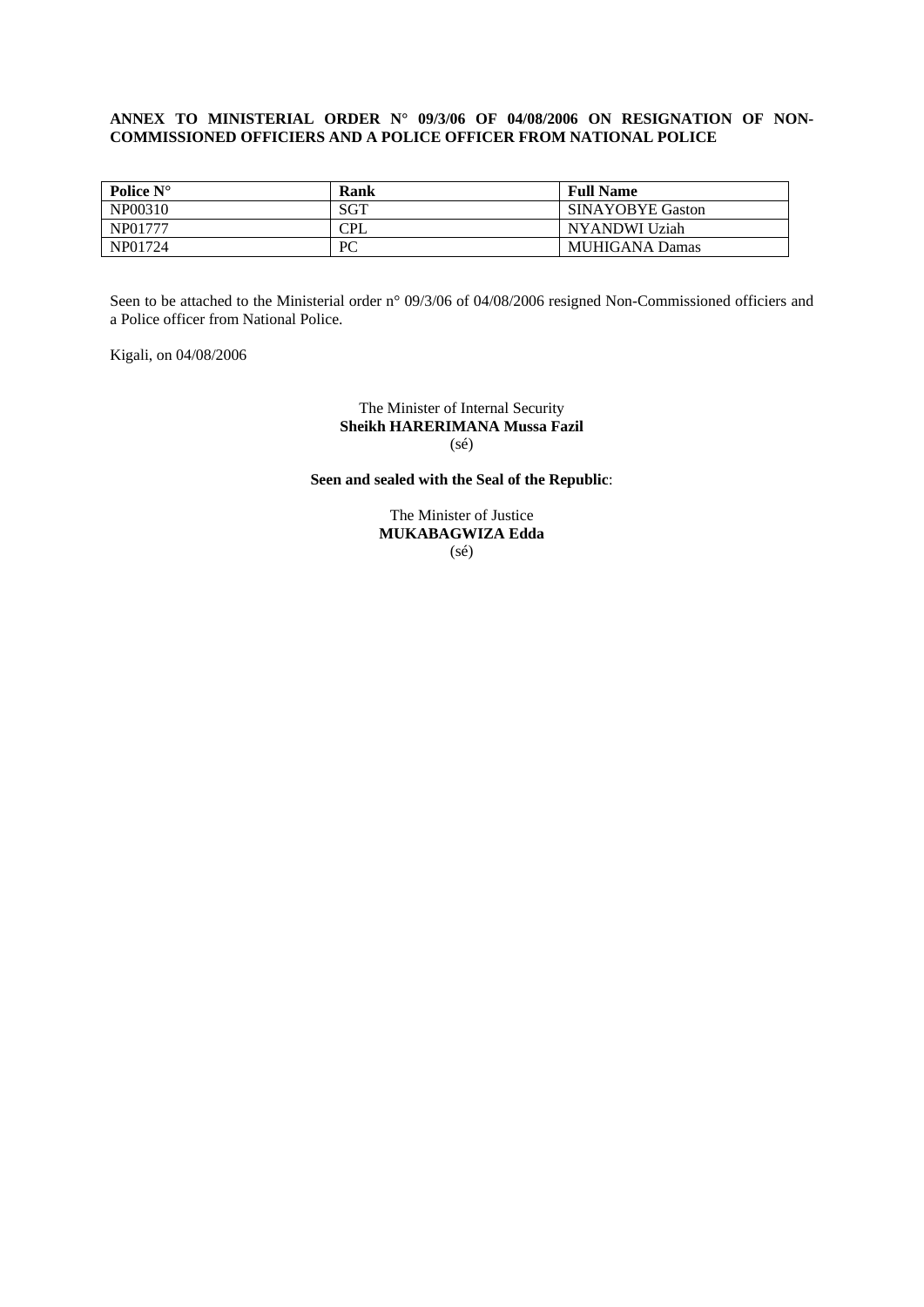### **ANNEX TO MINISTERIAL ORDER N° 09/3/06 OF 04/08/2006 ON RESIGNATION OF NON-COMMISSIONED OFFICIERS AND A POLICE OFFICER FROM NATIONAL POLICE**

| Police $N^{\circ}$ | Rank | <b>Full Name</b>        |
|--------------------|------|-------------------------|
| NP00310            | SGT  | <b>SINAYOBYE Gaston</b> |
| NP01777            | CPL  | NYANDWI Uziah           |
| NP01724            | PC   | <b>MUHIGANA Damas</b>   |

Seen to be attached to the Ministerial order n° 09/3/06 of 04/08/2006 resigned Non-Commissioned officiers and a Police officer from National Police.

Kigali, on 04/08/2006

#### The Minister of Internal Security **Sheikh HARERIMANA Mussa Fazil**  (sé)

**Seen and sealed with the Seal of the Republic**:

The Minister of Justice **MUKABAGWIZA Edda**  (sé)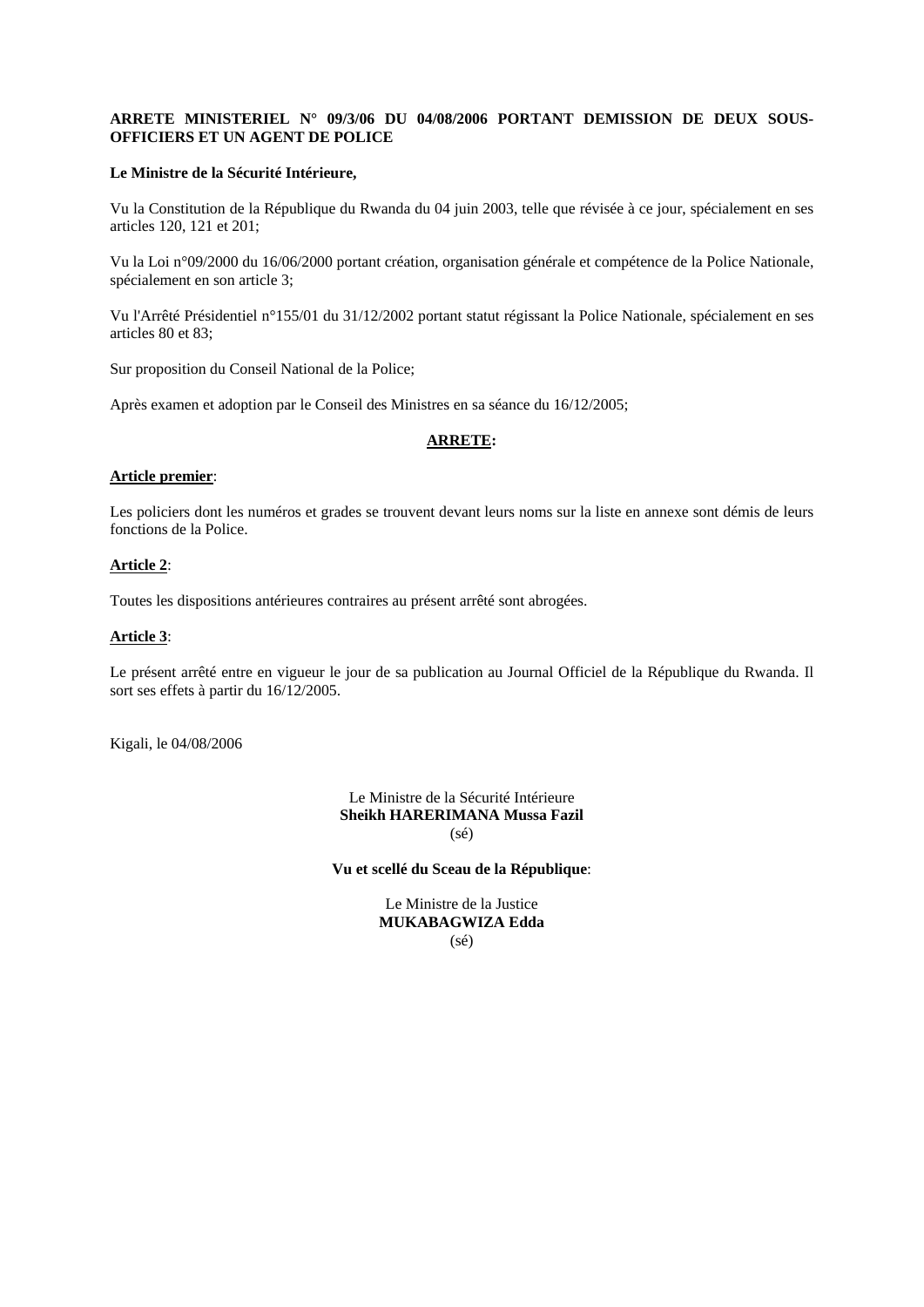### **ARRETE MINISTERIEL N° 09/3/06 DU 04/08/2006 PORTANT DEMISSION DE DEUX SOUS-OFFICIERS ET UN AGENT DE POLICE**

#### **Le Ministre de la Sécurité Intérieure,**

Vu la Constitution de la République du Rwanda du 04 juin 2003, telle que révisée à ce jour, spécialement en ses articles 120, 121 et 201;

Vu la Loi n°09/2000 du 16/06/2000 portant création, organisation générale et compétence de la Police Nationale, spécialement en son article 3;

Vu l'Arrêté Présidentiel n°155/01 du 31/12/2002 portant statut régissant la Police Nationale, spécialement en ses articles 80 et 83;

Sur proposition du Conseil National de la Police;

Après examen et adoption par le Conseil des Ministres en sa séance du 16/12/2005;

### **ARRETE:**

#### **Article premier**:

Les policiers dont les numéros et grades se trouvent devant leurs noms sur la liste en annexe sont démis de leurs fonctions de la Police.

#### **Article 2**:

Toutes les dispositions antérieures contraires au présent arrêté sont abrogées.

### **Article 3**:

Le présent arrêté entre en vigueur le jour de sa publication au Journal Officiel de la République du Rwanda. Il sort ses effets à partir du 16/12/2005.

Kigali, le 04/08/2006

Le Ministre de la Sécurité Intérieure **Sheikh HARERIMANA Mussa Fazil**  (sé)

**Vu et scellé du Sceau de la République**:

Le Ministre de la Justice **MUKABAGWIZA Edda**  (sé)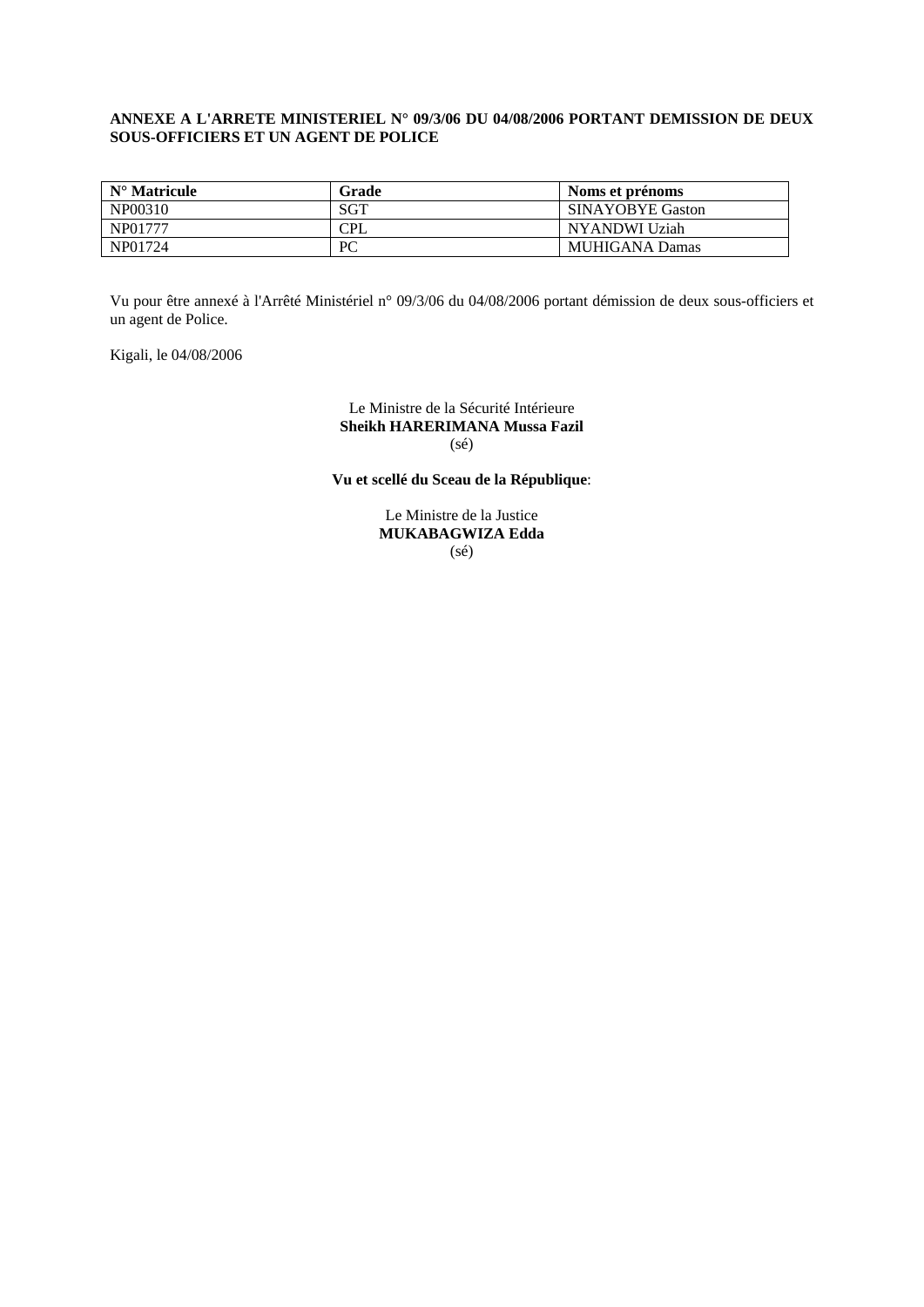### **ANNEXE A L'ARRETE MINISTERIEL N° 09/3/06 DU 04/08/2006 PORTANT DEMISSION DE DEUX SOUS-OFFICIERS ET UN AGENT DE POLICE**

| $N^{\circ}$ Matricule | Grade | Noms et prénoms         |
|-----------------------|-------|-------------------------|
| NP00310               | SGT   | <b>SINAYOBYE Gaston</b> |
| NP01777               | CPL   | NYANDWI Uziah           |
| NP01724               | PC    | MUHIGANA Damas          |

Vu pour être annexé à l'Arrêté Ministériel n° 09/3/06 du 04/08/2006 portant démission de deux sous-officiers et un agent de Police.

Kigali, le 04/08/2006

Le Ministre de la Sécurité Intérieure **Sheikh HARERIMANA Mussa Fazil**  (sé)

**Vu et scellé du Sceau de la République**:

Le Ministre de la Justice **MUKABAGWIZA Edda**  (sé)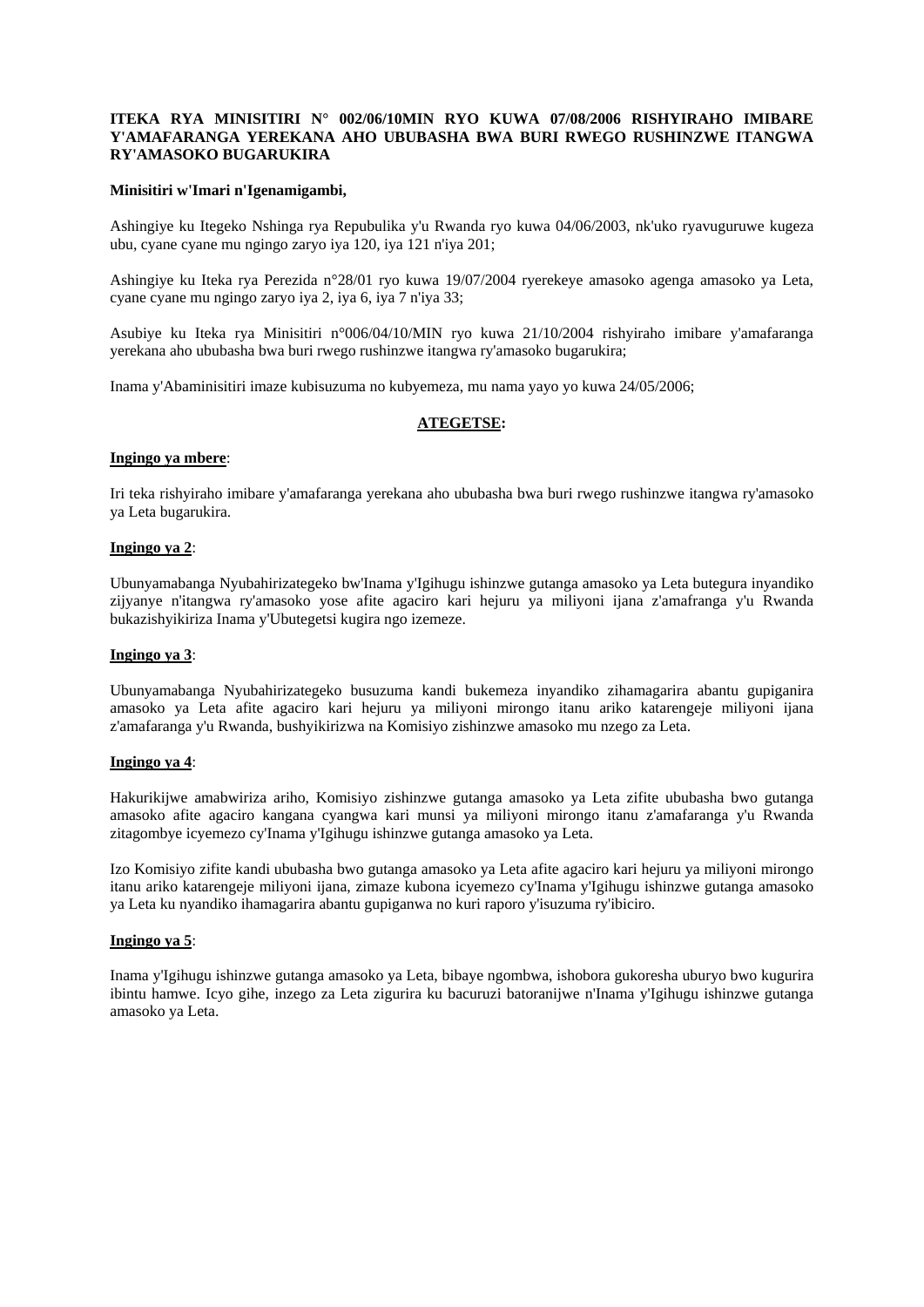#### **ITEKA RYA MINISITIRI N° 002/06/10MIN RYO KUWA 07/08/2006 RISHYIRAHO IMIBARE Y'AMAFARANGA YEREKANA AHO UBUBASHA BWA BURI RWEGO RUSHINZWE ITANGWA RY'AMASOKO BUGARUKIRA**

#### **Minisitiri w'Imari n'Igenamigambi,**

Ashingiye ku Itegeko Nshinga rya Repubulika y'u Rwanda ryo kuwa 04/06/2003, nk'uko ryavuguruwe kugeza ubu, cyane cyane mu ngingo zaryo iya 120, iya 121 n'iya 201;

Ashingiye ku Iteka rya Perezida n°28/01 ryo kuwa 19/07/2004 ryerekeye amasoko agenga amasoko ya Leta, cyane cyane mu ngingo zaryo iya 2, iya 6, iya 7 n'iya 33;

Asubiye ku Iteka rya Minisitiri n°006/04/10/MIN ryo kuwa 21/10/2004 rishyiraho imibare y'amafaranga yerekana aho ububasha bwa buri rwego rushinzwe itangwa ry'amasoko bugarukira;

Inama y'Abaminisitiri imaze kubisuzuma no kubyemeza, mu nama yayo yo kuwa 24/05/2006;

### **ATEGETSE:**

#### **Ingingo ya mbere**:

Iri teka rishyiraho imibare y'amafaranga yerekana aho ububasha bwa buri rwego rushinzwe itangwa ry'amasoko ya Leta bugarukira.

#### **Ingingo ya 2**:

Ubunyamabanga Nyubahirizategeko bw'Inama y'Igihugu ishinzwe gutanga amasoko ya Leta butegura inyandiko zijyanye n'itangwa ry'amasoko yose afite agaciro kari hejuru ya miliyoni ijana z'amafranga y'u Rwanda bukazishyikiriza Inama y'Ubutegetsi kugira ngo izemeze.

#### **Ingingo ya 3**:

Ubunyamabanga Nyubahirizategeko busuzuma kandi bukemeza inyandiko zihamagarira abantu gupiganira amasoko ya Leta afite agaciro kari hejuru ya miliyoni mirongo itanu ariko katarengeje miliyoni ijana z'amafaranga y'u Rwanda, bushyikirizwa na Komisiyo zishinzwe amasoko mu nzego za Leta.

#### **Ingingo ya 4**:

Hakurikijwe amabwiriza ariho, Komisiyo zishinzwe gutanga amasoko ya Leta zifite ububasha bwo gutanga amasoko afite agaciro kangana cyangwa kari munsi ya miliyoni mirongo itanu z'amafaranga y'u Rwanda zitagombye icyemezo cy'Inama y'Igihugu ishinzwe gutanga amasoko ya Leta.

Izo Komisiyo zifite kandi ububasha bwo gutanga amasoko ya Leta afite agaciro kari hejuru ya miliyoni mirongo itanu ariko katarengeje miliyoni ijana, zimaze kubona icyemezo cy'Inama y'Igihugu ishinzwe gutanga amasoko ya Leta ku nyandiko ihamagarira abantu gupiganwa no kuri raporo y'isuzuma ry'ibiciro.

#### **Ingingo ya 5**:

Inama y'Igihugu ishinzwe gutanga amasoko ya Leta, bibaye ngombwa, ishobora gukoresha uburyo bwo kugurira ibintu hamwe. Icyo gihe, inzego za Leta zigurira ku bacuruzi batoranijwe n'Inama y'Igihugu ishinzwe gutanga amasoko ya Leta.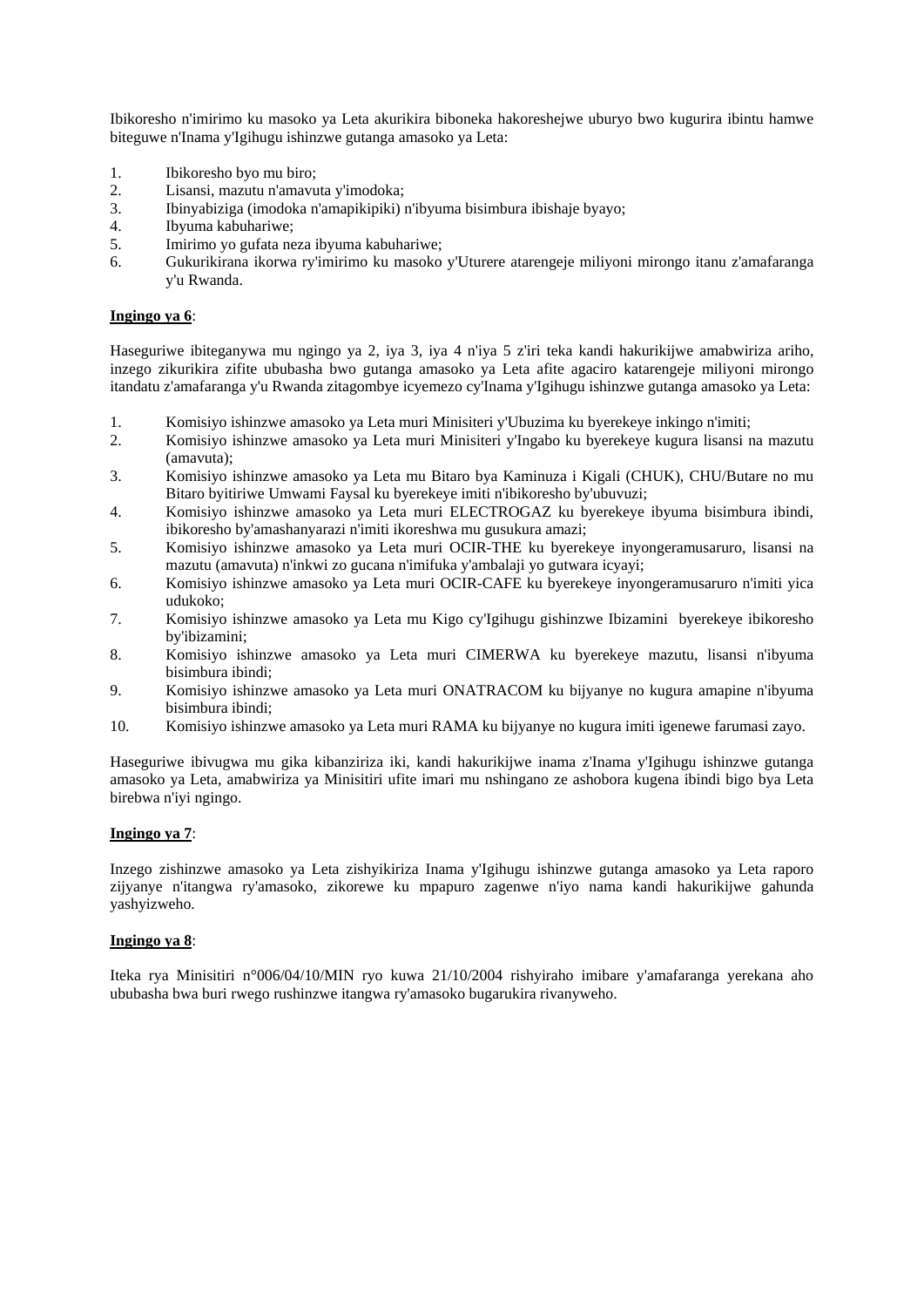Ibikoresho n'imirimo ku masoko ya Leta akurikira biboneka hakoreshejwe uburyo bwo kugurira ibintu hamwe biteguwe n'Inama y'Igihugu ishinzwe gutanga amasoko ya Leta:

- 1. Ibikoresho byo mu biro;
- 2. Lisansi, mazutu n'amavuta y'imodoka;
- 3. Ibinyabiziga (imodoka n'amapikipiki) n'ibyuma bisimbura ibishaje byayo;
- 4. Ibyuma kabuhariwe;
- 5. Imirimo yo gufata neza ibyuma kabuhariwe;
- 6. Gukurikirana ikorwa ry'imirimo ku masoko y'Uturere atarengeje miliyoni mirongo itanu z'amafaranga y'u Rwanda.

#### **Ingingo ya 6**:

Haseguriwe ibiteganywa mu ngingo ya 2, iya 3, iya 4 n'iya 5 z'iri teka kandi hakurikijwe amabwiriza ariho, inzego zikurikira zifite ububasha bwo gutanga amasoko ya Leta afite agaciro katarengeje miliyoni mirongo itandatu z'amafaranga y'u Rwanda zitagombye icyemezo cy'Inama y'Igihugu ishinzwe gutanga amasoko ya Leta:

- 1. Komisiyo ishinzwe amasoko ya Leta muri Minisiteri y'Ubuzima ku byerekeye inkingo n'imiti;
- 2. Komisiyo ishinzwe amasoko ya Leta muri Minisiteri y'Ingabo ku byerekeye kugura lisansi na mazutu (amavuta);
- 3. Komisiyo ishinzwe amasoko ya Leta mu Bitaro bya Kaminuza i Kigali (CHUK), CHU/Butare no mu Bitaro byitiriwe Umwami Faysal ku byerekeye imiti n'ibikoresho by'ubuvuzi;
- 4. Komisiyo ishinzwe amasoko ya Leta muri ELECTROGAZ ku byerekeye ibyuma bisimbura ibindi, ibikoresho by'amashanyarazi n'imiti ikoreshwa mu gusukura amazi;
- 5. Komisiyo ishinzwe amasoko ya Leta muri OCIR-THE ku byerekeye inyongeramusaruro, lisansi na mazutu (amavuta) n'inkwi zo gucana n'imifuka y'ambalaji yo gutwara icyayi;
- 6. Komisiyo ishinzwe amasoko ya Leta muri OCIR-CAFE ku byerekeye inyongeramusaruro n'imiti yica udukoko;
- 7. Komisiyo ishinzwe amasoko ya Leta mu Kigo cy'Igihugu gishinzwe Ibizamini byerekeye ibikoresho by'ibizamini;
- 8. Komisiyo ishinzwe amasoko ya Leta muri CIMERWA ku byerekeye mazutu, lisansi n'ibyuma bisimbura ibindi;
- 9. Komisiyo ishinzwe amasoko ya Leta muri ONATRACOM ku bijyanye no kugura amapine n'ibyuma bisimbura ibindi;
- 10. Komisiyo ishinzwe amasoko ya Leta muri RAMA ku bijyanye no kugura imiti igenewe farumasi zayo.

Haseguriwe ibivugwa mu gika kibanziriza iki, kandi hakurikijwe inama z'Inama y'Igihugu ishinzwe gutanga amasoko ya Leta, amabwiriza ya Minisitiri ufite imari mu nshingano ze ashobora kugena ibindi bigo bya Leta birebwa n'iyi ngingo.

### **Ingingo ya 7**:

Inzego zishinzwe amasoko ya Leta zishyikiriza Inama y'Igihugu ishinzwe gutanga amasoko ya Leta raporo zijyanye n'itangwa ry'amasoko, zikorewe ku mpapuro zagenwe n'iyo nama kandi hakurikijwe gahunda yashyizweho.

### **Ingingo ya 8**:

Iteka rya Minisitiri n°006/04/10/MIN ryo kuwa 21/10/2004 rishyiraho imibare y'amafaranga yerekana aho ububasha bwa buri rwego rushinzwe itangwa ry'amasoko bugarukira rivanyweho.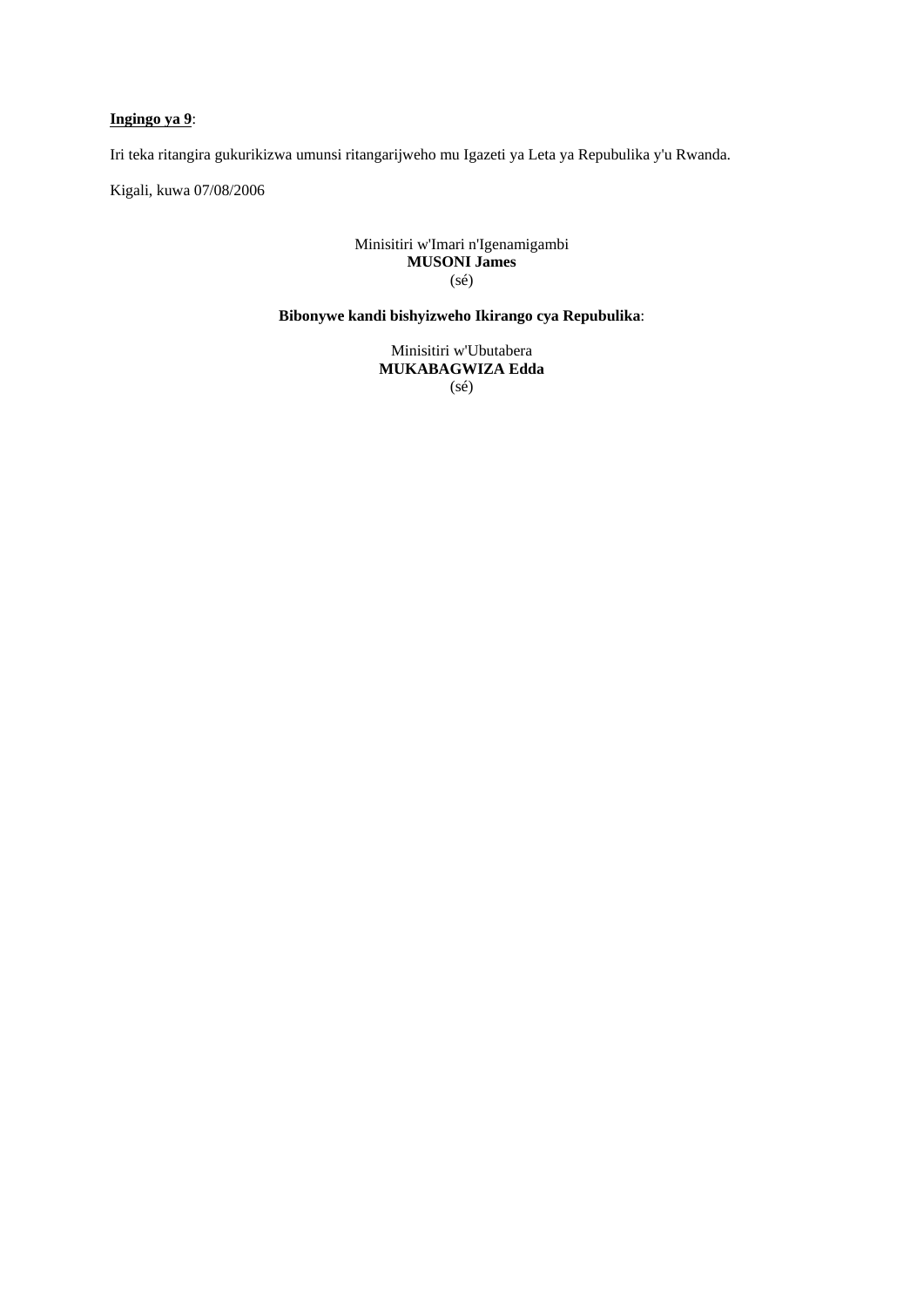# **Ingingo ya 9**:

Iri teka ritangira gukurikizwa umunsi ritangarijweho mu Igazeti ya Leta ya Repubulika y'u Rwanda.

Kigali, kuwa 07/08/2006

# Minisitiri w'Imari n'Igenamigambi **MUSONI James**  (sé)

# **Bibonywe kandi bishyizweho Ikirango cya Repubulika**:

Minisitiri w'Ubutabera **MUKABAGWIZA Edda**  (sé)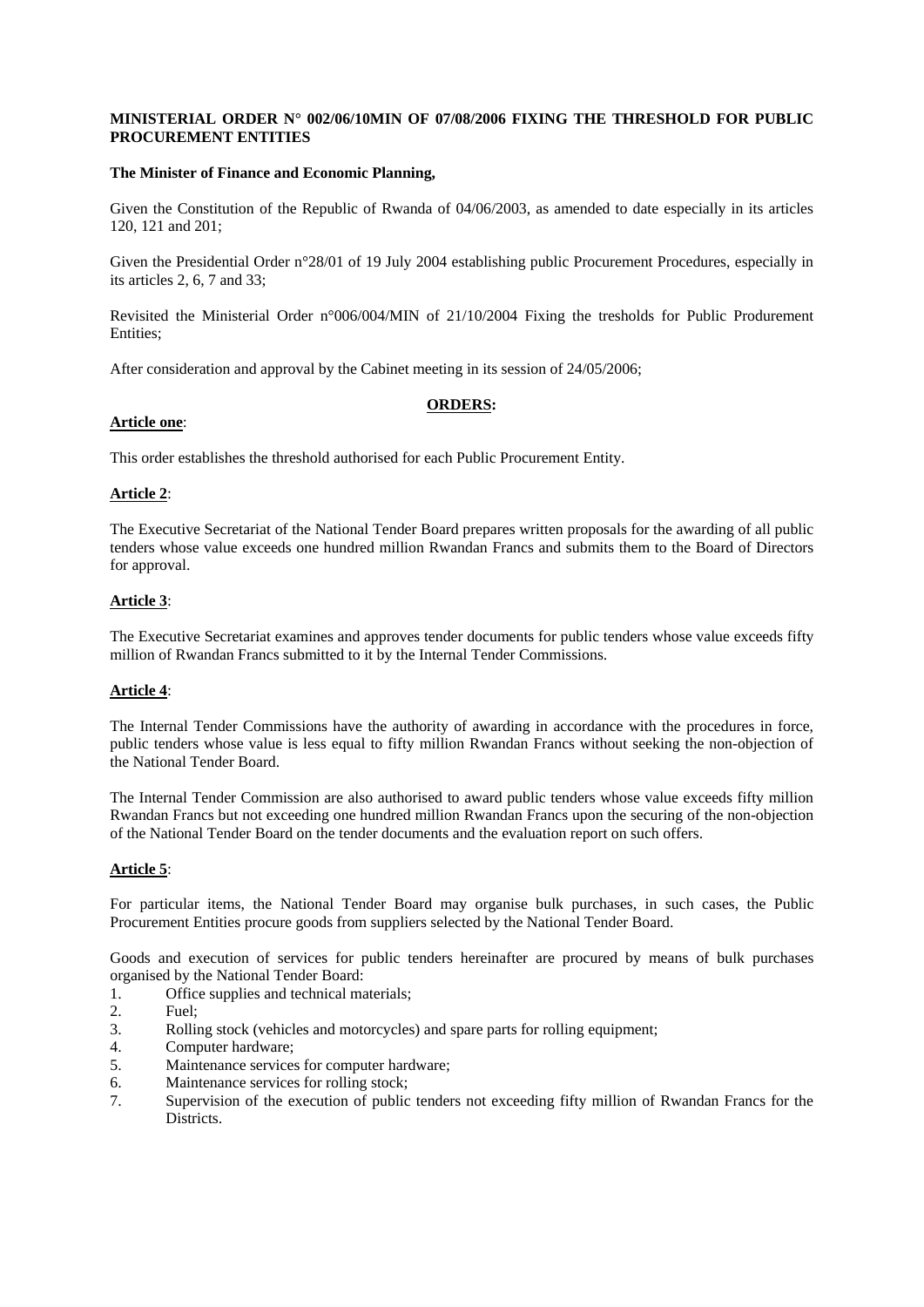### **MINISTERIAL ORDER N° 002/06/10MIN OF 07/08/2006 FIXING THE THRESHOLD FOR PUBLIC PROCUREMENT ENTITIES**

#### **The Minister of Finance and Economic Planning,**

Given the Constitution of the Republic of Rwanda of 04/06/2003, as amended to date especially in its articles 120, 121 and 201;

Given the Presidential Order n°28/01 of 19 July 2004 establishing public Procurement Procedures, especially in its articles 2, 6, 7 and 33;

Revisited the Ministerial Order n°006/004/MIN of 21/10/2004 Fixing the tresholds for Public Produrement Entities;

After consideration and approval by the Cabinet meeting in its session of 24/05/2006;

### **ORDERS:**

### **Article one**:

This order establishes the threshold authorised for each Public Procurement Entity.

### **Article 2**:

The Executive Secretariat of the National Tender Board prepares written proposals for the awarding of all public tenders whose value exceeds one hundred million Rwandan Francs and submits them to the Board of Directors for approval.

### **Article 3**:

The Executive Secretariat examines and approves tender documents for public tenders whose value exceeds fifty million of Rwandan Francs submitted to it by the Internal Tender Commissions.

### **Article 4**:

The Internal Tender Commissions have the authority of awarding in accordance with the procedures in force, public tenders whose value is less equal to fifty million Rwandan Francs without seeking the non-objection of the National Tender Board.

The Internal Tender Commission are also authorised to award public tenders whose value exceeds fifty million Rwandan Francs but not exceeding one hundred million Rwandan Francs upon the securing of the non-objection of the National Tender Board on the tender documents and the evaluation report on such offers.

### **Article 5**:

For particular items, the National Tender Board may organise bulk purchases, in such cases, the Public Procurement Entities procure goods from suppliers selected by the National Tender Board.

Goods and execution of services for public tenders hereinafter are procured by means of bulk purchases organised by the National Tender Board:

- 1. Office supplies and technical materials;
- 2. Fuel;
- 3. Rolling stock (vehicles and motorcycles) and spare parts for rolling equipment;
- 4. Computer hardware;
- 5. Maintenance services for computer hardware;
- 6. Maintenance services for rolling stock;
- 7. Supervision of the execution of public tenders not exceeding fifty million of Rwandan Francs for the Districts.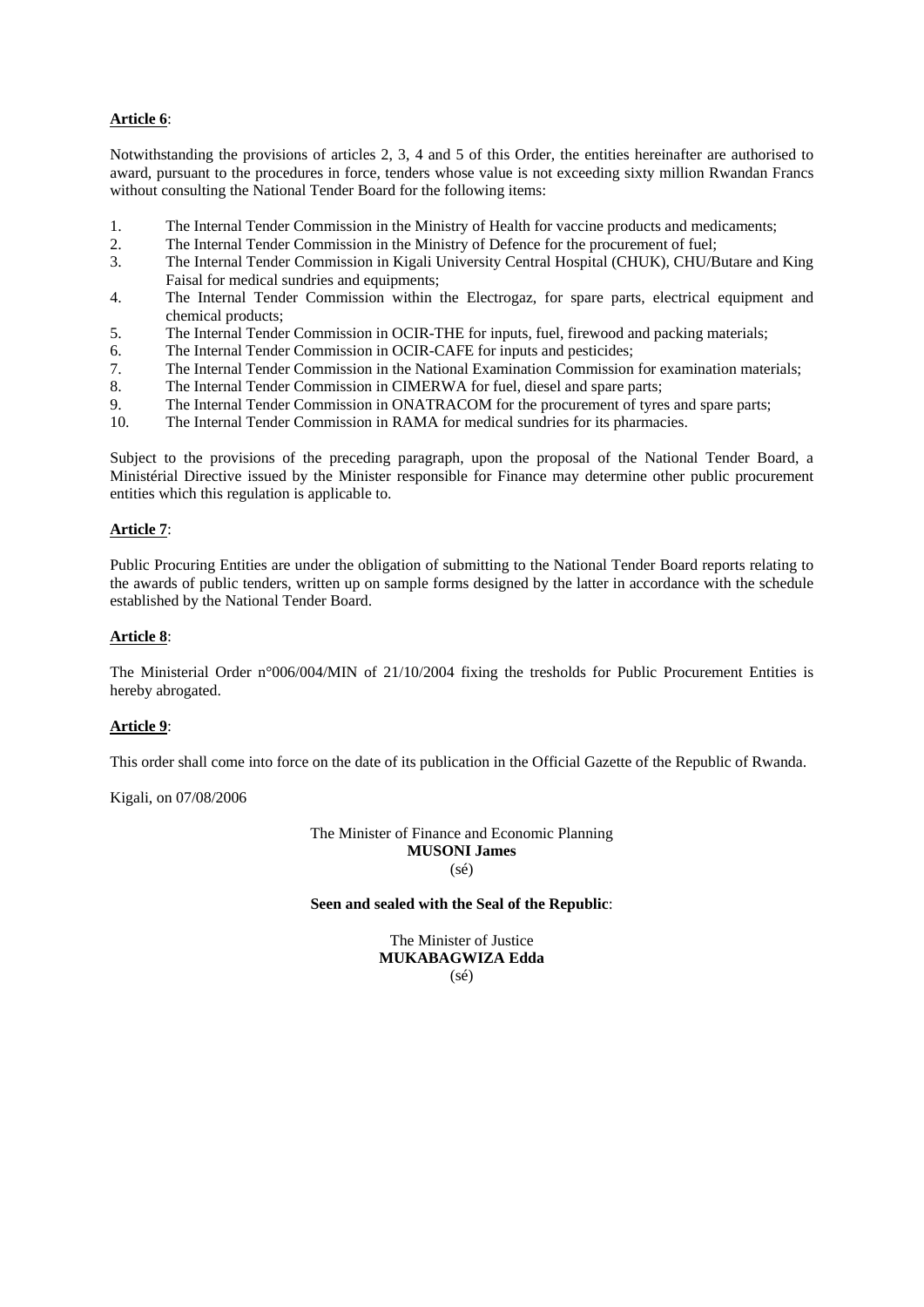# **Article 6**:

Notwithstanding the provisions of articles 2, 3, 4 and 5 of this Order, the entities hereinafter are authorised to award, pursuant to the procedures in force, tenders whose value is not exceeding sixty million Rwandan Francs without consulting the National Tender Board for the following items:

- 1. The Internal Tender Commission in the Ministry of Health for vaccine products and medicaments;
- 2. The Internal Tender Commission in the Ministry of Defence for the procurement of fuel;
- 3. The Internal Tender Commission in Kigali University Central Hospital (CHUK), CHU/Butare and King Faisal for medical sundries and equipments;
- 4. The Internal Tender Commission within the Electrogaz, for spare parts, electrical equipment and chemical products;
- 5. The Internal Tender Commission in OCIR-THE for inputs, fuel, firewood and packing materials;
- 6. The Internal Tender Commission in OCIR-CAFE for inputs and pesticides;
- 7. The Internal Tender Commission in the National Examination Commission for examination materials;
- 8. The Internal Tender Commission in CIMERWA for fuel, diesel and spare parts;
- 9. The Internal Tender Commission in ONATRACOM for the procurement of tyres and spare parts;
- 10. The Internal Tender Commission in RAMA for medical sundries for its pharmacies.

Subject to the provisions of the preceding paragraph, upon the proposal of the National Tender Board, a Ministérial Directive issued by the Minister responsible for Finance may determine other public procurement entities which this regulation is applicable to.

### **Article 7**:

Public Procuring Entities are under the obligation of submitting to the National Tender Board reports relating to the awards of public tenders, written up on sample forms designed by the latter in accordance with the schedule established by the National Tender Board.

### **Article 8**:

The Ministerial Order n°006/004/MIN of 21/10/2004 fixing the tresholds for Public Procurement Entities is hereby abrogated.

### **Article 9**:

This order shall come into force on the date of its publication in the Official Gazette of the Republic of Rwanda.

Kigali, on 07/08/2006

The Minister of Finance and Economic Planning **MUSONI James**  (sé)

#### **Seen and sealed with the Seal of the Republic**:

The Minister of Justice **MUKABAGWIZA Edda**  (sé)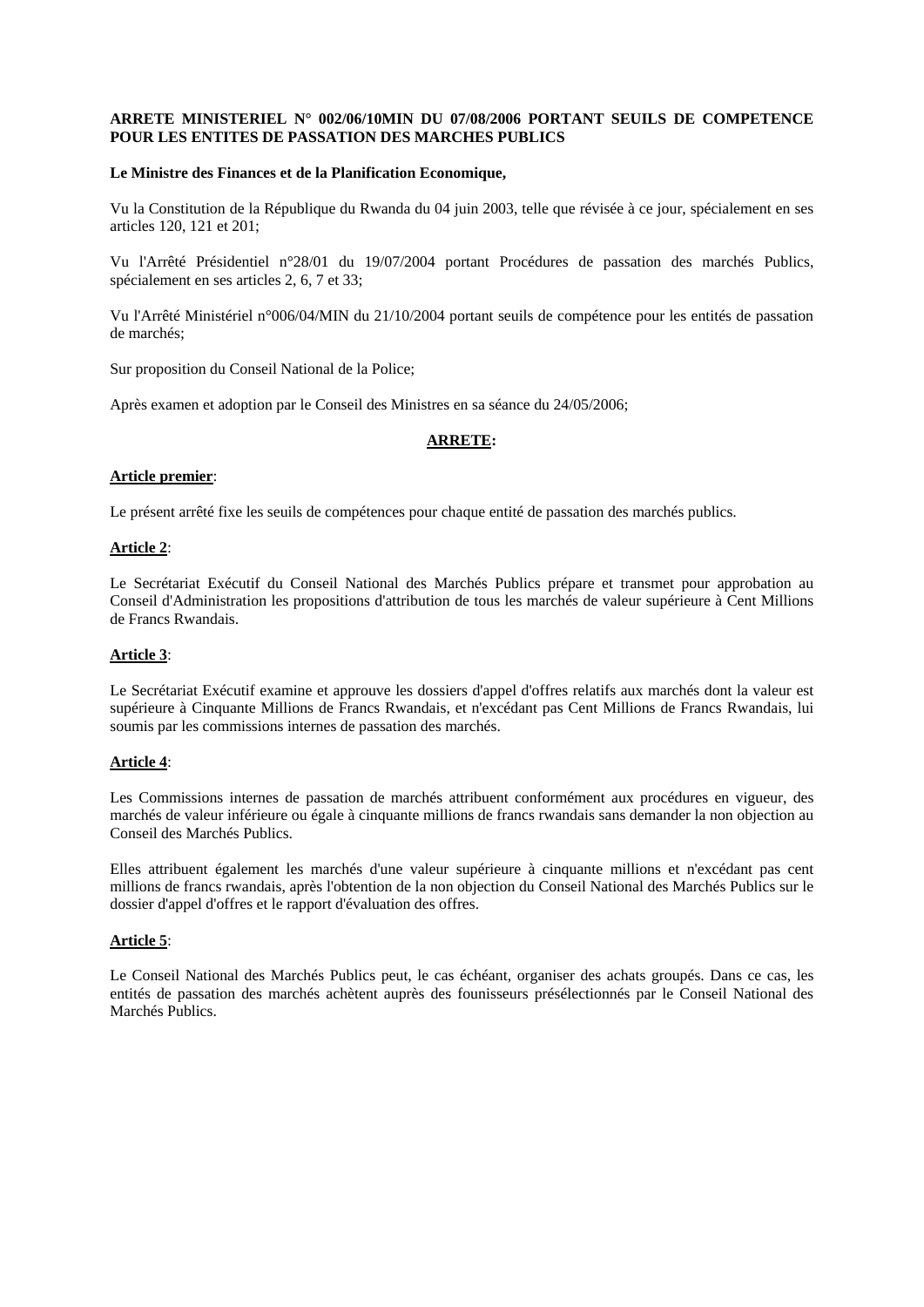#### **ARRETE MINISTERIEL N° 002/06/10MIN DU 07/08/2006 PORTANT SEUILS DE COMPETENCE POUR LES ENTITES DE PASSATION DES MARCHES PUBLICS**

#### **Le Ministre des Finances et de la Planification Economique,**

Vu la Constitution de la République du Rwanda du 04 juin 2003, telle que révisée à ce jour, spécialement en ses articles 120, 121 et 201;

Vu l'Arrêté Présidentiel n°28/01 du 19/07/2004 portant Procédures de passation des marchés Publics, spécialement en ses articles 2, 6, 7 et 33;

Vu l'Arrêté Ministériel n°006/04/MIN du 21/10/2004 portant seuils de compétence pour les entités de passation de marchés;

Sur proposition du Conseil National de la Police;

Après examen et adoption par le Conseil des Ministres en sa séance du 24/05/2006;

### **ARRETE:**

#### **Article premier**:

Le présent arrêté fixe les seuils de compétences pour chaque entité de passation des marchés publics.

#### **Article 2**:

Le Secrétariat Exécutif du Conseil National des Marchés Publics prépare et transmet pour approbation au Conseil d'Administration les propositions d'attribution de tous les marchés de valeur supérieure à Cent Millions de Francs Rwandais.

# **Article 3**:

Le Secrétariat Exécutif examine et approuve les dossiers d'appel d'offres relatifs aux marchés dont la valeur est supérieure à Cinquante Millions de Francs Rwandais, et n'excédant pas Cent Millions de Francs Rwandais, lui soumis par les commissions internes de passation des marchés.

### **Article 4**:

Les Commissions internes de passation de marchés attribuent conformément aux procédures en vigueur, des marchés de valeur inférieure ou égale à cinquante millions de francs rwandais sans demander la non objection au Conseil des Marchés Publics.

Elles attribuent également les marchés d'une valeur supérieure à cinquante millions et n'excédant pas cent millions de francs rwandais, après l'obtention de la non objection du Conseil National des Marchés Publics sur le dossier d'appel d'offres et le rapport d'évaluation des offres.

### **Article 5**:

Le Conseil National des Marchés Publics peut, le cas échéant, organiser des achats groupés. Dans ce cas, les entités de passation des marchés achètent auprès des founisseurs présélectionnés par le Conseil National des Marchés Publics.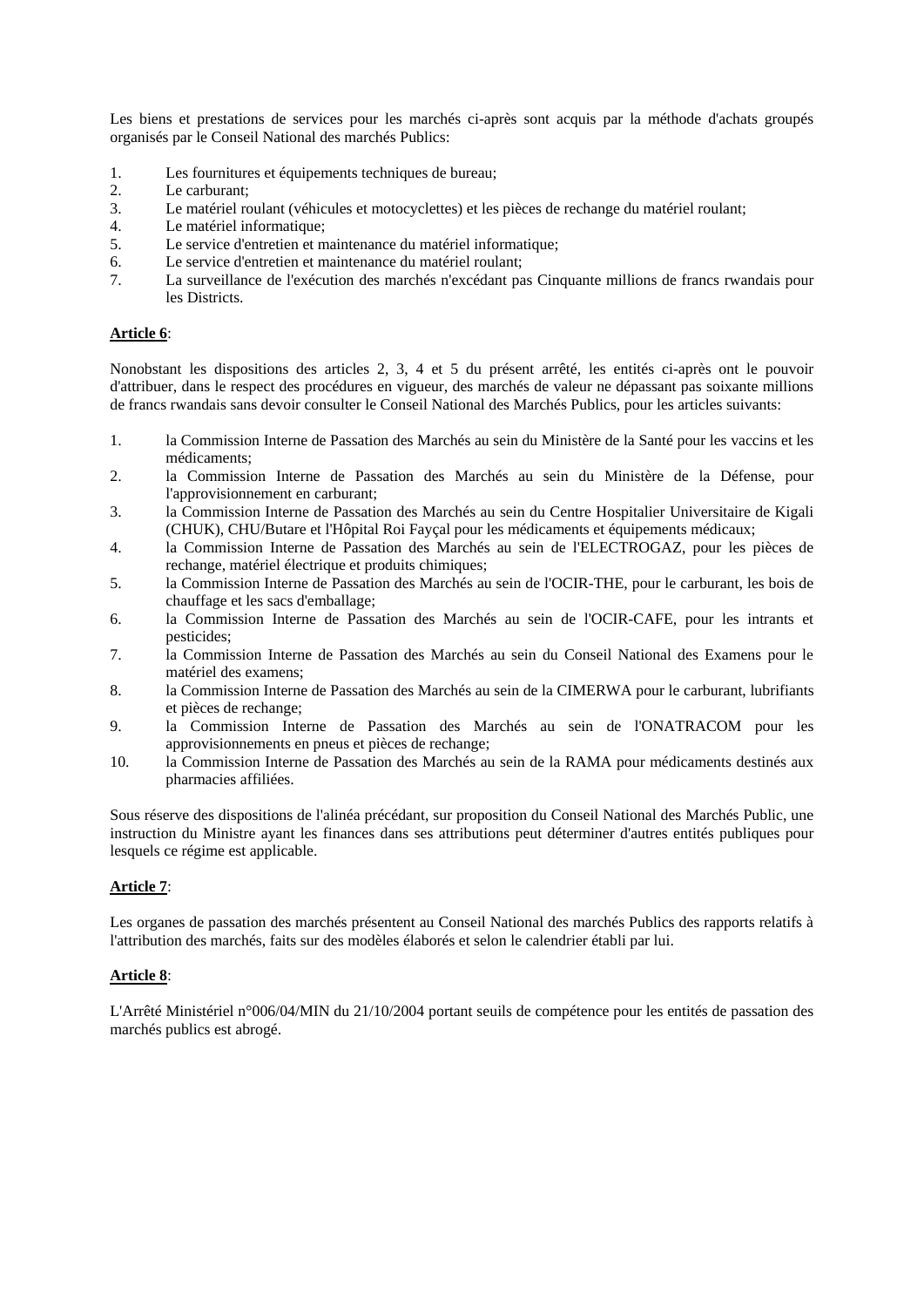Les biens et prestations de services pour les marchés ci-après sont acquis par la méthode d'achats groupés organisés par le Conseil National des marchés Publics:

- 1. Les fournitures et équipements techniques de bureau;
- 2. Le carburant;
- 3. Le matériel roulant (véhicules et motocyclettes) et les pièces de rechange du matériel roulant;
- 4. Le matériel informatique;
- 5. Le service d'entretien et maintenance du matériel informatique;
- 6. Le service d'entretien et maintenance du matériel roulant;
- 7. La surveillance de l'exécution des marchés n'excédant pas Cinquante millions de francs rwandais pour les Districts.

#### **Article 6**:

Nonobstant les dispositions des articles 2, 3, 4 et 5 du présent arrêté, les entités ci-après ont le pouvoir d'attribuer, dans le respect des procédures en vigueur, des marchés de valeur ne dépassant pas soixante millions de francs rwandais sans devoir consulter le Conseil National des Marchés Publics, pour les articles suivants:

- 1. la Commission Interne de Passation des Marchés au sein du Ministère de la Santé pour les vaccins et les médicaments;
- 2. la Commission Interne de Passation des Marchés au sein du Ministère de la Défense, pour l'approvisionnement en carburant;
- 3. la Commission Interne de Passation des Marchés au sein du Centre Hospitalier Universitaire de Kigali (CHUK), CHU/Butare et l'Hôpital Roi Fayçal pour les médicaments et équipements médicaux;
- 4. la Commission Interne de Passation des Marchés au sein de l'ELECTROGAZ, pour les pièces de rechange, matériel électrique et produits chimiques;
- 5. la Commission Interne de Passation des Marchés au sein de l'OCIR-THE, pour le carburant, les bois de chauffage et les sacs d'emballage;
- 6. la Commission Interne de Passation des Marchés au sein de l'OCIR-CAFE, pour les intrants et pesticides;
- 7. la Commission Interne de Passation des Marchés au sein du Conseil National des Examens pour le matériel des examens;
- 8. la Commission Interne de Passation des Marchés au sein de la CIMERWA pour le carburant, lubrifiants et pièces de rechange;
- 9. la Commission Interne de Passation des Marchés au sein de l'ONATRACOM pour les approvisionnements en pneus et pièces de rechange;
- 10. la Commission Interne de Passation des Marchés au sein de la RAMA pour médicaments destinés aux pharmacies affiliées.

Sous réserve des dispositions de l'alinéa précédant, sur proposition du Conseil National des Marchés Public, une instruction du Ministre ayant les finances dans ses attributions peut déterminer d'autres entités publiques pour lesquels ce régime est applicable.

### **Article 7**:

Les organes de passation des marchés présentent au Conseil National des marchés Publics des rapports relatifs à l'attribution des marchés, faits sur des modèles élaborés et selon le calendrier établi par lui.

### **Article 8**:

L'Arrêté Ministériel n°006/04/MIN du 21/10/2004 portant seuils de compétence pour les entités de passation des marchés publics est abrogé.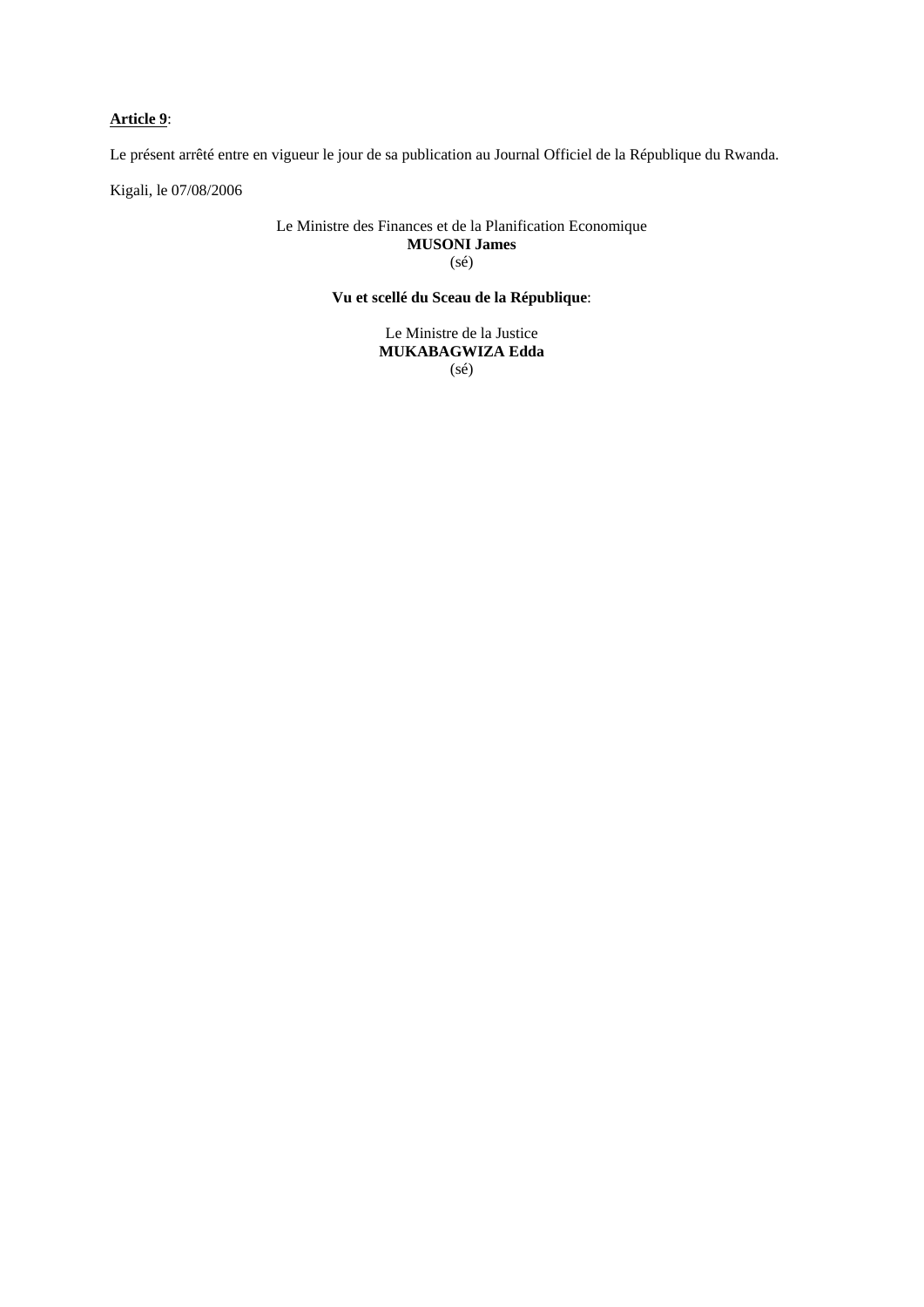# **Article 9**:

Le présent arrêté entre en vigueur le jour de sa publication au Journal Officiel de la République du Rwanda.

Kigali, le 07/08/2006

#### Le Ministre des Finances et de la Planification Economique **MUSONI James**  (sé)

# **Vu et scellé du Sceau de la République**:

Le Ministre de la Justice **MUKABAGWIZA Edda**  (sé)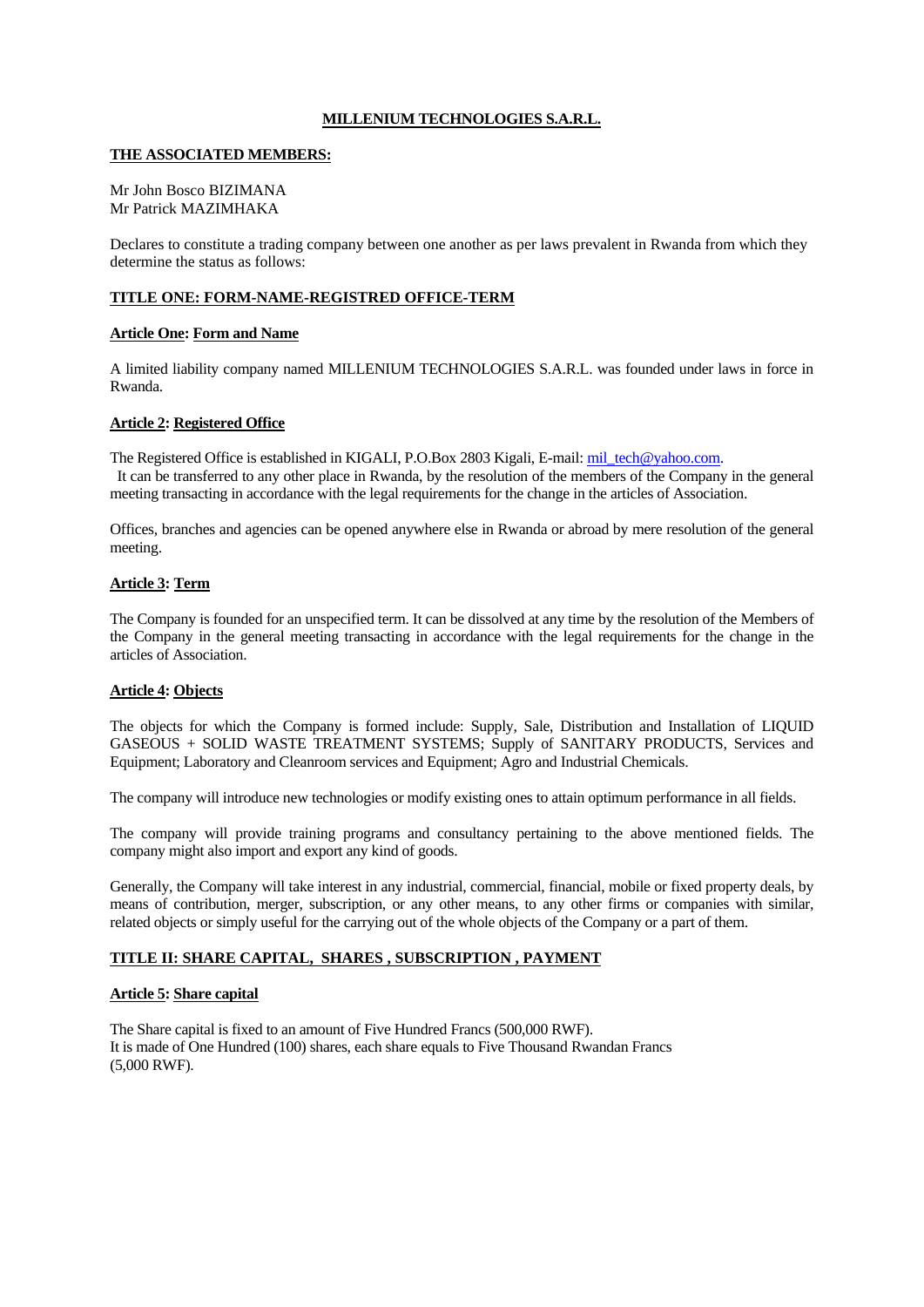### **MILLENIUM TECHNOLOGIES S.A.R.L.**

#### **THE ASSOCIATED MEMBERS:**

#### Mr John Bosco BIZIMANA Mr Patrick MAZIMHAKA

Declares to constitute a trading company between one another as per laws prevalent in Rwanda from which they determine the status as follows:

### **TITLE ONE: FORM-NAME-REGISTRED OFFICE-TERM**

#### **Article One: Form and Name**

A limited liability company named MILLENIUM TECHNOLOGIES S.A.R.L. was founded under laws in force in Rwanda.

### **Article 2: Registered Office**

The Registered Office is established in KIGALI, P.O.Box 2803 Kigali, E-mail: [mil\\_tech@yahoo.com](mailto:mil_tech@yahoo.com).

 It can be transferred to any other place in Rwanda, by the resolution of the members of the Company in the general meeting transacting in accordance with the legal requirements for the change in the articles of Association.

Offices, branches and agencies can be opened anywhere else in Rwanda or abroad by mere resolution of the general meeting.

### **Article 3: Term**

The Company is founded for an unspecified term. It can be dissolved at any time by the resolution of the Members of the Company in the general meeting transacting in accordance with the legal requirements for the change in the articles of Association.

# **Article 4: Objects**

The objects for which the Company is formed include: Supply, Sale, Distribution and Installation of LIQUID GASEOUS + SOLID WASTE TREATMENT SYSTEMS; Supply of SANITARY PRODUCTS, Services and Equipment; Laboratory and Cleanroom services and Equipment; Agro and Industrial Chemicals.

The company will introduce new technologies or modify existing ones to attain optimum performance in all fields.

The company will provide training programs and consultancy pertaining to the above mentioned fields. The company might also import and export any kind of goods.

Generally, the Company will take interest in any industrial, commercial, financial, mobile or fixed property deals, by means of contribution, merger, subscription, or any other means, to any other firms or companies with similar, related objects or simply useful for the carrying out of the whole objects of the Company or a part of them.

### **TITLE II: SHARE CAPITAL, SHARES , SUBSCRIPTION , PAYMENT**

# **Article 5: Share capital**

The Share capital is fixed to an amount of Five Hundred Francs (500,000 RWF). It is made of One Hundred (100) shares, each share equals to Five Thousand Rwandan Francs (5,000 RWF).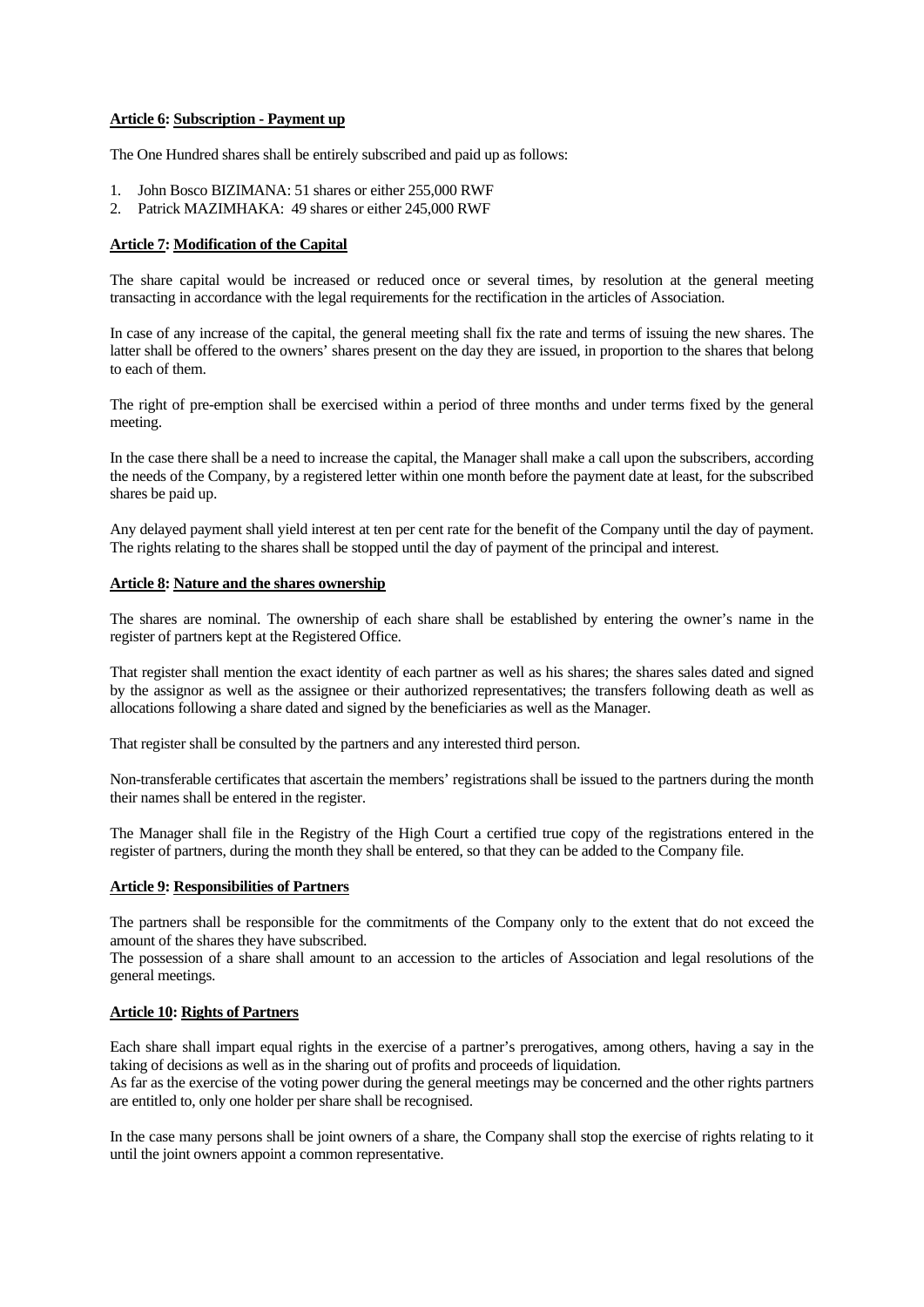#### **Article 6: Subscription - Payment up**

The One Hundred shares shall be entirely subscribed and paid up as follows:

- 1. John Bosco BIZIMANA: 51 shares or either 255,000 RWF
- 2. Patrick MAZIMHAKA: 49 shares or either 245,000 RWF

#### **Article 7: Modification of the Capital**

The share capital would be increased or reduced once or several times, by resolution at the general meeting transacting in accordance with the legal requirements for the rectification in the articles of Association.

In case of any increase of the capital, the general meeting shall fix the rate and terms of issuing the new shares. The latter shall be offered to the owners' shares present on the day they are issued, in proportion to the shares that belong to each of them.

The right of pre-emption shall be exercised within a period of three months and under terms fixed by the general meeting.

In the case there shall be a need to increase the capital, the Manager shall make a call upon the subscribers, according the needs of the Company, by a registered letter within one month before the payment date at least, for the subscribed shares be paid up.

Any delayed payment shall yield interest at ten per cent rate for the benefit of the Company until the day of payment. The rights relating to the shares shall be stopped until the day of payment of the principal and interest.

### **Article 8: Nature and the shares ownership**

The shares are nominal. The ownership of each share shall be established by entering the owner's name in the register of partners kept at the Registered Office.

That register shall mention the exact identity of each partner as well as his shares; the shares sales dated and signed by the assignor as well as the assignee or their authorized representatives; the transfers following death as well as allocations following a share dated and signed by the beneficiaries as well as the Manager.

That register shall be consulted by the partners and any interested third person.

Non-transferable certificates that ascertain the members' registrations shall be issued to the partners during the month their names shall be entered in the register.

The Manager shall file in the Registry of the High Court a certified true copy of the registrations entered in the register of partners, during the month they shall be entered, so that they can be added to the Company file.

### **Article 9: Responsibilities of Partners**

The partners shall be responsible for the commitments of the Company only to the extent that do not exceed the amount of the shares they have subscribed.

The possession of a share shall amount to an accession to the articles of Association and legal resolutions of the general meetings.

### **Article 10: Rights of Partners**

Each share shall impart equal rights in the exercise of a partner's prerogatives, among others, having a say in the taking of decisions as well as in the sharing out of profits and proceeds of liquidation.

As far as the exercise of the voting power during the general meetings may be concerned and the other rights partners are entitled to, only one holder per share shall be recognised.

In the case many persons shall be joint owners of a share, the Company shall stop the exercise of rights relating to it until the joint owners appoint a common representative.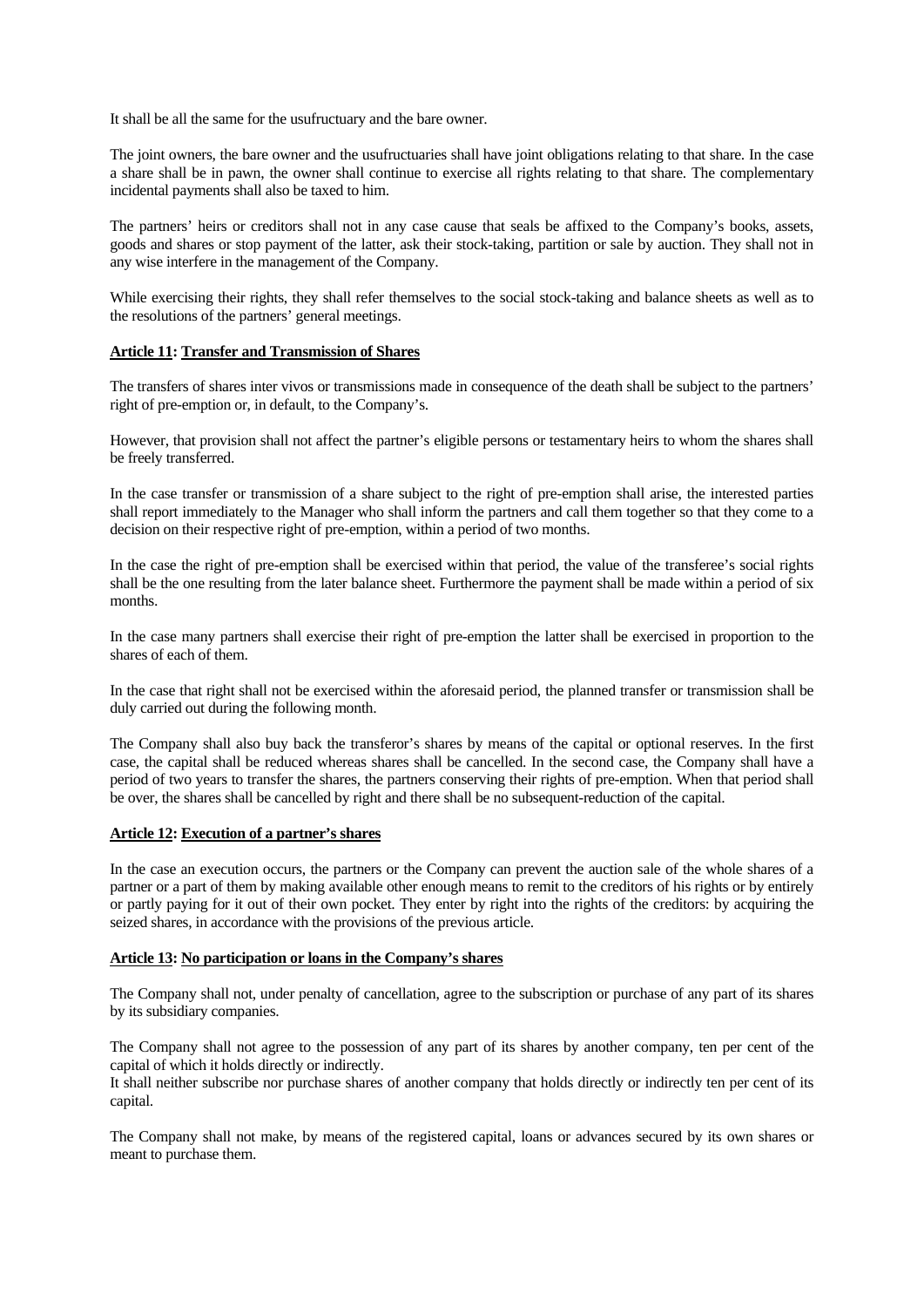It shall be all the same for the usufructuary and the bare owner.

The joint owners, the bare owner and the usufructuaries shall have joint obligations relating to that share. In the case a share shall be in pawn, the owner shall continue to exercise all rights relating to that share. The complementary incidental payments shall also be taxed to him.

The partners' heirs or creditors shall not in any case cause that seals be affixed to the Company's books, assets, goods and shares or stop payment of the latter, ask their stock-taking, partition or sale by auction. They shall not in any wise interfere in the management of the Company.

While exercising their rights, they shall refer themselves to the social stock-taking and balance sheets as well as to the resolutions of the partners' general meetings.

#### **Article 11: Transfer and Transmission of Shares**

The transfers of shares inter vivos or transmissions made in consequence of the death shall be subject to the partners' right of pre-emption or, in default, to the Company's.

However, that provision shall not affect the partner's eligible persons or testamentary heirs to whom the shares shall be freely transferred.

In the case transfer or transmission of a share subject to the right of pre-emption shall arise, the interested parties shall report immediately to the Manager who shall inform the partners and call them together so that they come to a decision on their respective right of pre-emption, within a period of two months.

In the case the right of pre-emption shall be exercised within that period, the value of the transferee's social rights shall be the one resulting from the later balance sheet. Furthermore the payment shall be made within a period of six months.

In the case many partners shall exercise their right of pre-emption the latter shall be exercised in proportion to the shares of each of them.

In the case that right shall not be exercised within the aforesaid period, the planned transfer or transmission shall be duly carried out during the following month.

The Company shall also buy back the transferor's shares by means of the capital or optional reserves. In the first case, the capital shall be reduced whereas shares shall be cancelled. In the second case, the Company shall have a period of two years to transfer the shares, the partners conserving their rights of pre-emption. When that period shall be over, the shares shall be cancelled by right and there shall be no subsequent-reduction of the capital.

#### **Article 12: Execution of a partner's shares**

In the case an execution occurs, the partners or the Company can prevent the auction sale of the whole shares of a partner or a part of them by making available other enough means to remit to the creditors of his rights or by entirely or partly paying for it out of their own pocket. They enter by right into the rights of the creditors: by acquiring the seized shares, in accordance with the provisions of the previous article.

#### **Article 13: No participation or loans in the Company's shares**

The Company shall not, under penalty of cancellation, agree to the subscription or purchase of any part of its shares by its subsidiary companies.

The Company shall not agree to the possession of any part of its shares by another company, ten per cent of the capital of which it holds directly or indirectly.

It shall neither subscribe nor purchase shares of another company that holds directly or indirectly ten per cent of its capital.

The Company shall not make, by means of the registered capital, loans or advances secured by its own shares or meant to purchase them.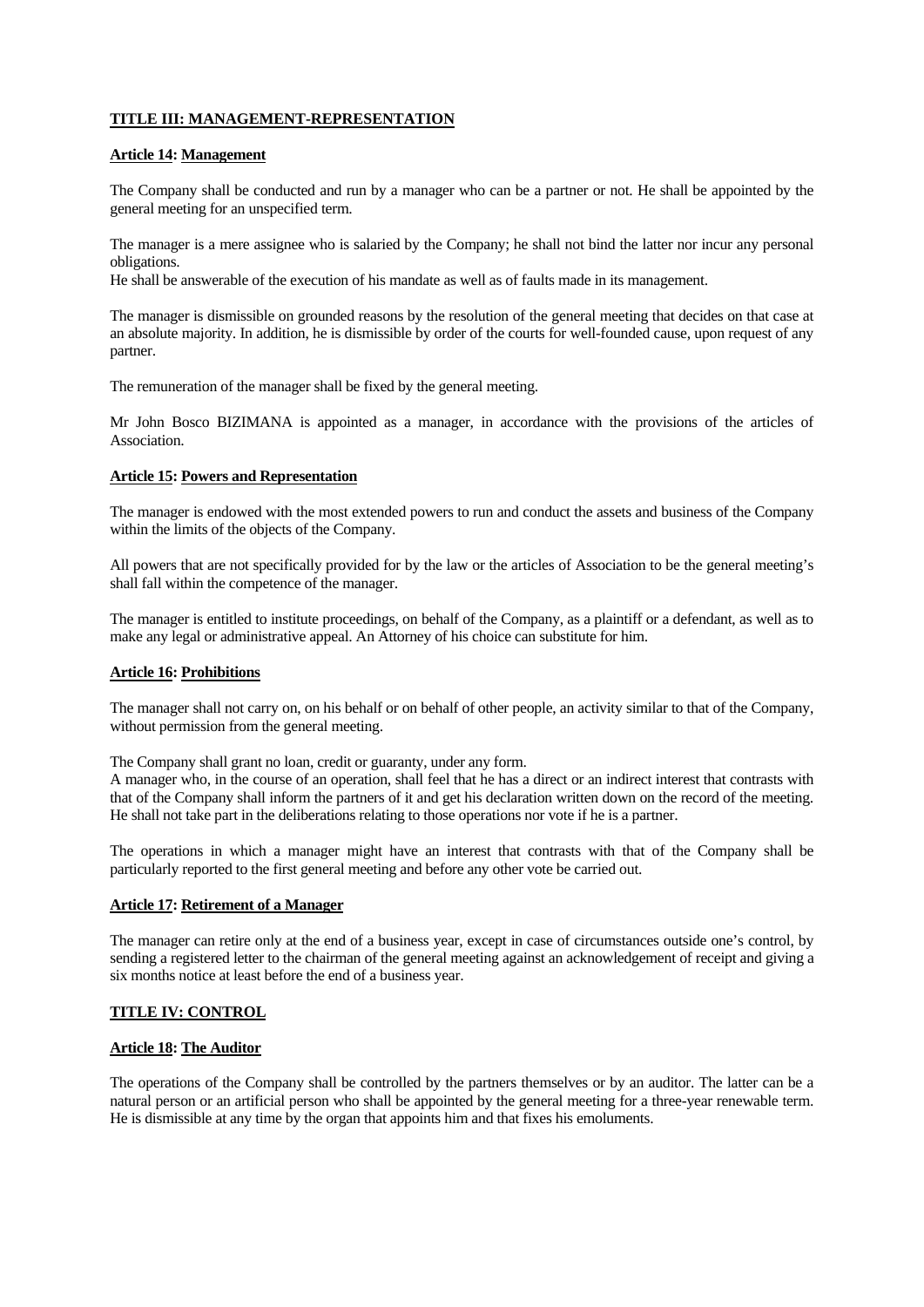# **TITLE III: MANAGEMENT-REPRESENTATION**

#### **Article 14: Management**

The Company shall be conducted and run by a manager who can be a partner or not. He shall be appointed by the general meeting for an unspecified term.

The manager is a mere assignee who is salaried by the Company; he shall not bind the latter nor incur any personal obligations.

He shall be answerable of the execution of his mandate as well as of faults made in its management.

The manager is dismissible on grounded reasons by the resolution of the general meeting that decides on that case at an absolute majority. In addition, he is dismissible by order of the courts for well-founded cause, upon request of any partner.

The remuneration of the manager shall be fixed by the general meeting.

Mr John Bosco BIZIMANA is appointed as a manager, in accordance with the provisions of the articles of Association.

### **Article 15: Powers and Representation**

The manager is endowed with the most extended powers to run and conduct the assets and business of the Company within the limits of the objects of the Company.

All powers that are not specifically provided for by the law or the articles of Association to be the general meeting's shall fall within the competence of the manager.

The manager is entitled to institute proceedings, on behalf of the Company, as a plaintiff or a defendant, as well as to make any legal or administrative appeal. An Attorney of his choice can substitute for him.

### **Article 16: Prohibitions**

The manager shall not carry on, on his behalf or on behalf of other people, an activity similar to that of the Company, without permission from the general meeting.

The Company shall grant no loan, credit or guaranty, under any form.

A manager who, in the course of an operation, shall feel that he has a direct or an indirect interest that contrasts with that of the Company shall inform the partners of it and get his declaration written down on the record of the meeting. He shall not take part in the deliberations relating to those operations nor vote if he is a partner.

The operations in which a manager might have an interest that contrasts with that of the Company shall be particularly reported to the first general meeting and before any other vote be carried out.

### **Article 17: Retirement of a Manager**

The manager can retire only at the end of a business year, except in case of circumstances outside one's control, by sending a registered letter to the chairman of the general meeting against an acknowledgement of receipt and giving a six months notice at least before the end of a business year.

# **TITLE IV: CONTROL**

### **Article 18: The Auditor**

The operations of the Company shall be controlled by the partners themselves or by an auditor. The latter can be a natural person or an artificial person who shall be appointed by the general meeting for a three-year renewable term. He is dismissible at any time by the organ that appoints him and that fixes his emoluments.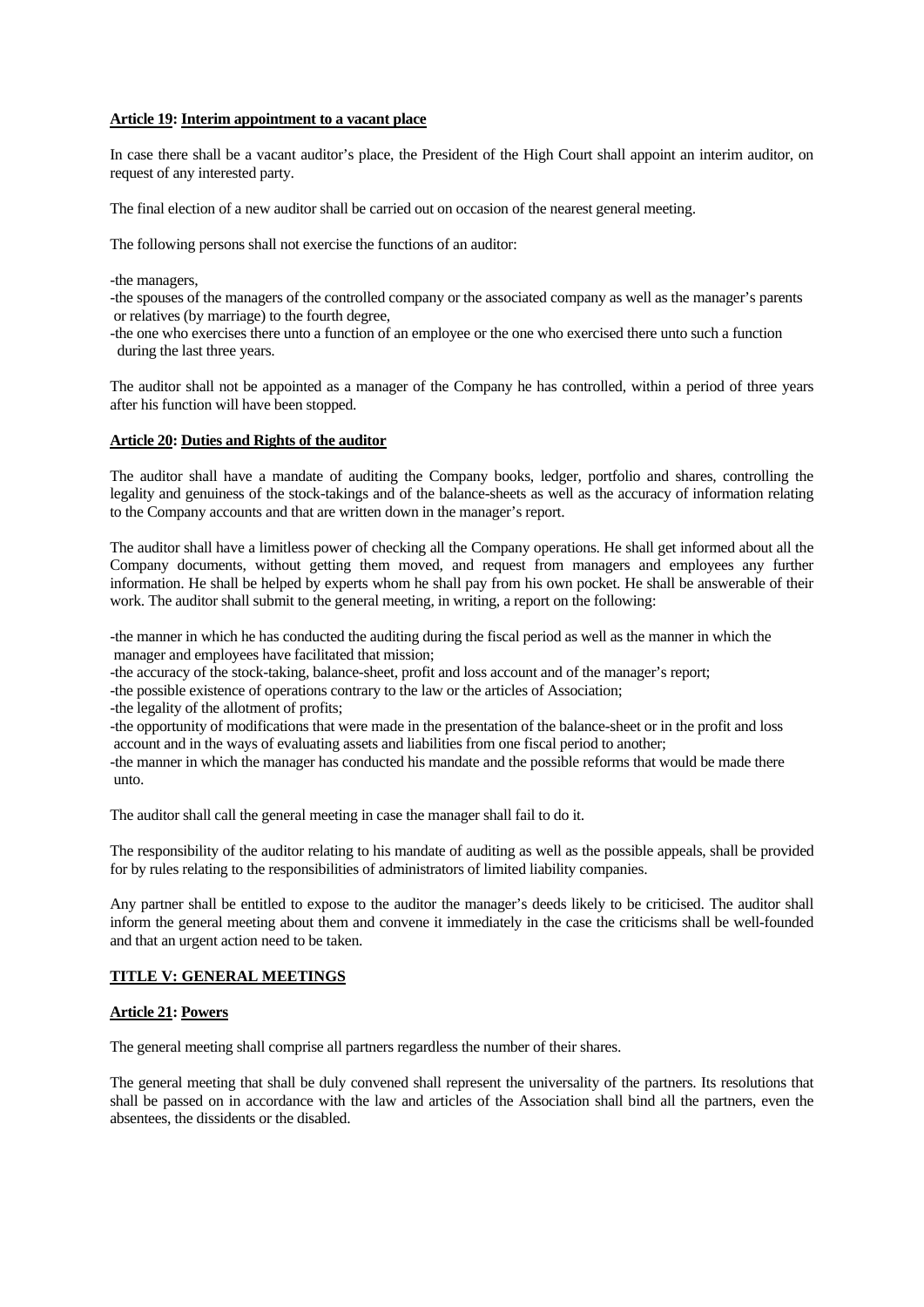#### **Article 19: Interim appointment to a vacant place**

In case there shall be a vacant auditor's place, the President of the High Court shall appoint an interim auditor, on request of any interested party.

The final election of a new auditor shall be carried out on occasion of the nearest general meeting.

The following persons shall not exercise the functions of an auditor:

-the managers,

-the spouses of the managers of the controlled company or the associated company as well as the manager's parents or relatives (by marriage) to the fourth degree,

-the one who exercises there unto a function of an employee or the one who exercised there unto such a function during the last three years.

The auditor shall not be appointed as a manager of the Company he has controlled, within a period of three years after his function will have been stopped.

# **Article 20: Duties and Rights of the auditor**

The auditor shall have a mandate of auditing the Company books, ledger, portfolio and shares, controlling the legality and genuiness of the stock-takings and of the balance-sheets as well as the accuracy of information relating to the Company accounts and that are written down in the manager's report.

The auditor shall have a limitless power of checking all the Company operations. He shall get informed about all the Company documents, without getting them moved, and request from managers and employees any further information. He shall be helped by experts whom he shall pay from his own pocket. He shall be answerable of their work. The auditor shall submit to the general meeting, in writing, a report on the following:

-the manner in which he has conducted the auditing during the fiscal period as well as the manner in which the manager and employees have facilitated that mission;

-the accuracy of the stock-taking, balance-sheet, profit and loss account and of the manager's report;

-the possible existence of operations contrary to the law or the articles of Association;

-the legality of the allotment of profits;

-the opportunity of modifications that were made in the presentation of the balance-sheet or in the profit and loss account and in the ways of evaluating assets and liabilities from one fiscal period to another;

-the manner in which the manager has conducted his mandate and the possible reforms that would be made there unto.

The auditor shall call the general meeting in case the manager shall fail to do it.

The responsibility of the auditor relating to his mandate of auditing as well as the possible appeals, shall be provided for by rules relating to the responsibilities of administrators of limited liability companies.

Any partner shall be entitled to expose to the auditor the manager's deeds likely to be criticised. The auditor shall inform the general meeting about them and convene it immediately in the case the criticisms shall be well-founded and that an urgent action need to be taken.

#### **TITLE V: GENERAL MEETINGS**

### **Article 21: Powers**

The general meeting shall comprise all partners regardless the number of their shares.

The general meeting that shall be duly convened shall represent the universality of the partners. Its resolutions that shall be passed on in accordance with the law and articles of the Association shall bind all the partners, even the absentees, the dissidents or the disabled.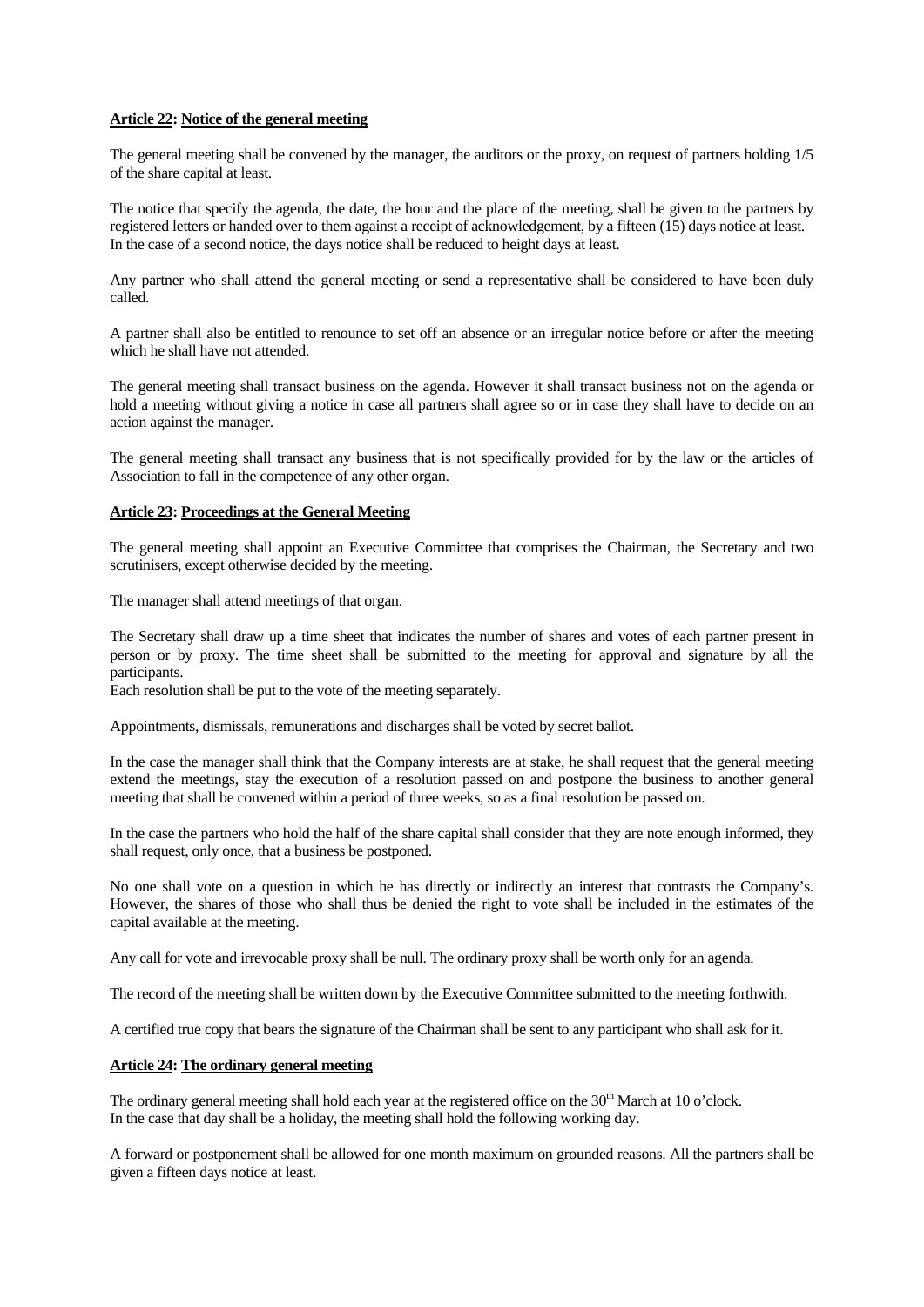#### **Article 22: Notice of the general meeting**

The general meeting shall be convened by the manager, the auditors or the proxy, on request of partners holding 1/5 of the share capital at least.

The notice that specify the agenda, the date, the hour and the place of the meeting, shall be given to the partners by registered letters or handed over to them against a receipt of acknowledgement, by a fifteen (15) days notice at least. In the case of a second notice, the days notice shall be reduced to height days at least.

Any partner who shall attend the general meeting or send a representative shall be considered to have been duly called.

A partner shall also be entitled to renounce to set off an absence or an irregular notice before or after the meeting which he shall have not attended.

The general meeting shall transact business on the agenda. However it shall transact business not on the agenda or hold a meeting without giving a notice in case all partners shall agree so or in case they shall have to decide on an action against the manager.

The general meeting shall transact any business that is not specifically provided for by the law or the articles of Association to fall in the competence of any other organ.

#### **Article 23: Proceedings at the General Meeting**

The general meeting shall appoint an Executive Committee that comprises the Chairman, the Secretary and two scrutinisers, except otherwise decided by the meeting.

The manager shall attend meetings of that organ.

The Secretary shall draw up a time sheet that indicates the number of shares and votes of each partner present in person or by proxy. The time sheet shall be submitted to the meeting for approval and signature by all the participants.

Each resolution shall be put to the vote of the meeting separately.

Appointments, dismissals, remunerations and discharges shall be voted by secret ballot.

In the case the manager shall think that the Company interests are at stake, he shall request that the general meeting extend the meetings, stay the execution of a resolution passed on and postpone the business to another general meeting that shall be convened within a period of three weeks, so as a final resolution be passed on.

In the case the partners who hold the half of the share capital shall consider that they are note enough informed, they shall request, only once, that a business be postponed.

No one shall vote on a question in which he has directly or indirectly an interest that contrasts the Company's. However, the shares of those who shall thus be denied the right to vote shall be included in the estimates of the capital available at the meeting.

Any call for vote and irrevocable proxy shall be null. The ordinary proxy shall be worth only for an agenda.

The record of the meeting shall be written down by the Executive Committee submitted to the meeting forthwith.

A certified true copy that bears the signature of the Chairman shall be sent to any participant who shall ask for it.

# **Article 24: The ordinary general meeting**

The ordinary general meeting shall hold each year at the registered office on the 30<sup>th</sup> March at 10 o'clock. In the case that day shall be a holiday, the meeting shall hold the following working day.

A forward or postponement shall be allowed for one month maximum on grounded reasons. All the partners shall be given a fifteen days notice at least.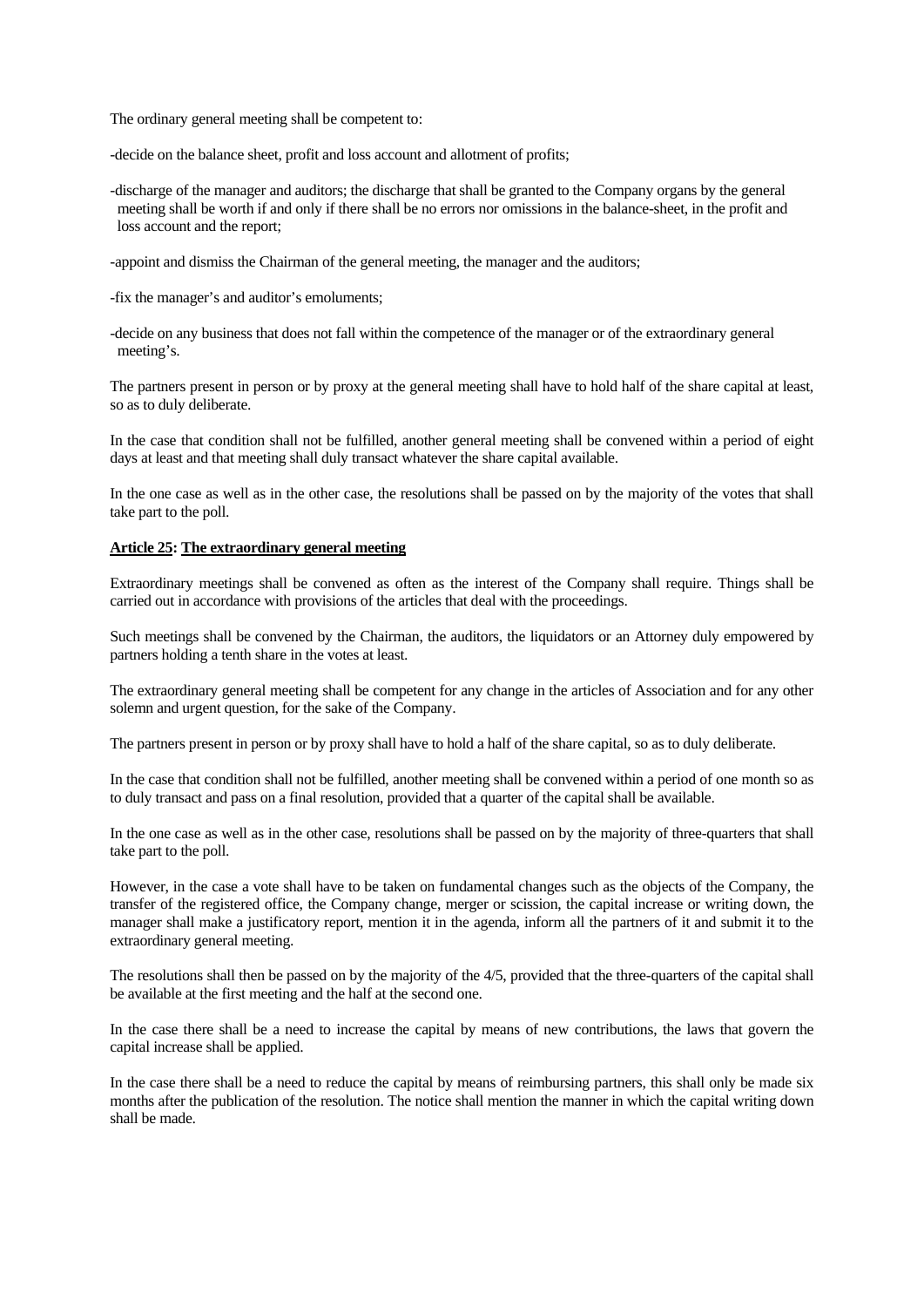The ordinary general meeting shall be competent to:

-decide on the balance sheet, profit and loss account and allotment of profits;

-discharge of the manager and auditors; the discharge that shall be granted to the Company organs by the general meeting shall be worth if and only if there shall be no errors nor omissions in the balance-sheet, in the profit and loss account and the report;

-appoint and dismiss the Chairman of the general meeting, the manager and the auditors;

-fix the manager's and auditor's emoluments;

-decide on any business that does not fall within the competence of the manager or of the extraordinary general meeting's.

The partners present in person or by proxy at the general meeting shall have to hold half of the share capital at least, so as to duly deliberate.

In the case that condition shall not be fulfilled, another general meeting shall be convened within a period of eight days at least and that meeting shall duly transact whatever the share capital available.

In the one case as well as in the other case, the resolutions shall be passed on by the majority of the votes that shall take part to the poll.

#### **Article 25: The extraordinary general meeting**

Extraordinary meetings shall be convened as often as the interest of the Company shall require. Things shall be carried out in accordance with provisions of the articles that deal with the proceedings.

Such meetings shall be convened by the Chairman, the auditors, the liquidators or an Attorney duly empowered by partners holding a tenth share in the votes at least.

The extraordinary general meeting shall be competent for any change in the articles of Association and for any other solemn and urgent question, for the sake of the Company.

The partners present in person or by proxy shall have to hold a half of the share capital, so as to duly deliberate.

In the case that condition shall not be fulfilled, another meeting shall be convened within a period of one month so as to duly transact and pass on a final resolution, provided that a quarter of the capital shall be available.

In the one case as well as in the other case, resolutions shall be passed on by the majority of three-quarters that shall take part to the poll.

However, in the case a vote shall have to be taken on fundamental changes such as the objects of the Company, the transfer of the registered office, the Company change, merger or scission, the capital increase or writing down, the manager shall make a justificatory report, mention it in the agenda, inform all the partners of it and submit it to the extraordinary general meeting.

The resolutions shall then be passed on by the majority of the 4/5, provided that the three-quarters of the capital shall be available at the first meeting and the half at the second one.

In the case there shall be a need to increase the capital by means of new contributions, the laws that govern the capital increase shall be applied.

In the case there shall be a need to reduce the capital by means of reimbursing partners, this shall only be made six months after the publication of the resolution. The notice shall mention the manner in which the capital writing down shall be made.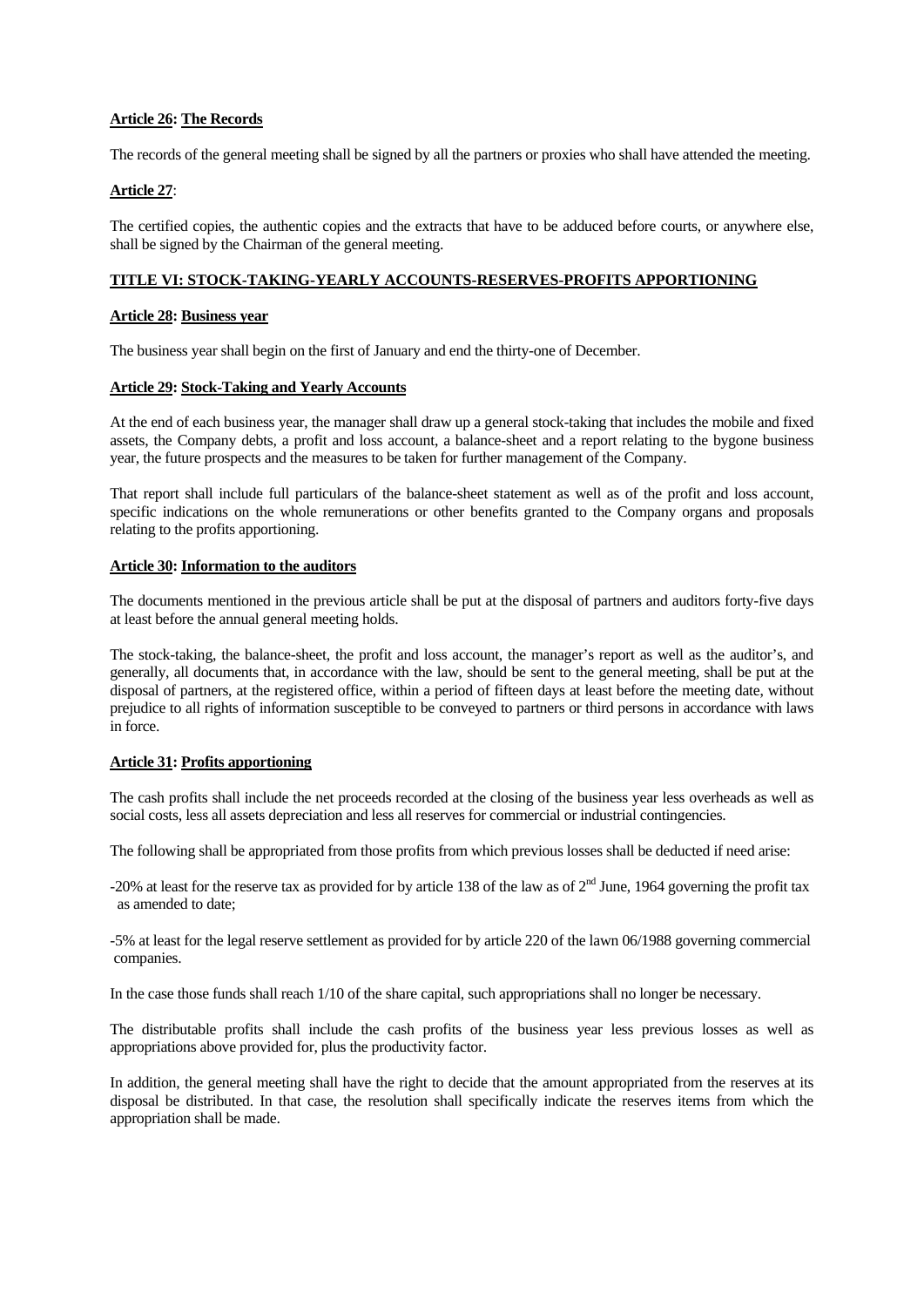### **Article 26: The Records**

The records of the general meeting shall be signed by all the partners or proxies who shall have attended the meeting.

### **Article 27**:

The certified copies, the authentic copies and the extracts that have to be adduced before courts, or anywhere else, shall be signed by the Chairman of the general meeting.

#### **TITLE VI: STOCK-TAKING-YEARLY ACCOUNTS-RESERVES-PROFITS APPORTIONING**

#### **Article 28: Business year**

The business year shall begin on the first of January and end the thirty-one of December.

#### **Article 29: Stock-Taking and Yearly Accounts**

At the end of each business year, the manager shall draw up a general stock-taking that includes the mobile and fixed assets, the Company debts, a profit and loss account, a balance-sheet and a report relating to the bygone business year, the future prospects and the measures to be taken for further management of the Company.

That report shall include full particulars of the balance-sheet statement as well as of the profit and loss account, specific indications on the whole remunerations or other benefits granted to the Company organs and proposals relating to the profits apportioning.

#### **Article 30: Information to the auditors**

The documents mentioned in the previous article shall be put at the disposal of partners and auditors forty-five days at least before the annual general meeting holds.

The stock-taking, the balance-sheet, the profit and loss account, the manager's report as well as the auditor's, and generally, all documents that, in accordance with the law, should be sent to the general meeting, shall be put at the disposal of partners, at the registered office, within a period of fifteen days at least before the meeting date, without prejudice to all rights of information susceptible to be conveyed to partners or third persons in accordance with laws in force.

### **Article 31: Profits apportioning**

The cash profits shall include the net proceeds recorded at the closing of the business year less overheads as well as social costs, less all assets depreciation and less all reserves for commercial or industrial contingencies.

The following shall be appropriated from those profits from which previous losses shall be deducted if need arise:

-20% at least for the reserve tax as provided for by article 138 of the law as of  $2^{nd}$  June, 1964 governing the profit tax as amended to date;

-5% at least for the legal reserve settlement as provided for by article 220 of the lawn 06/1988 governing commercial companies.

In the case those funds shall reach 1/10 of the share capital, such appropriations shall no longer be necessary.

The distributable profits shall include the cash profits of the business year less previous losses as well as appropriations above provided for, plus the productivity factor.

In addition, the general meeting shall have the right to decide that the amount appropriated from the reserves at its disposal be distributed. In that case, the resolution shall specifically indicate the reserves items from which the appropriation shall be made.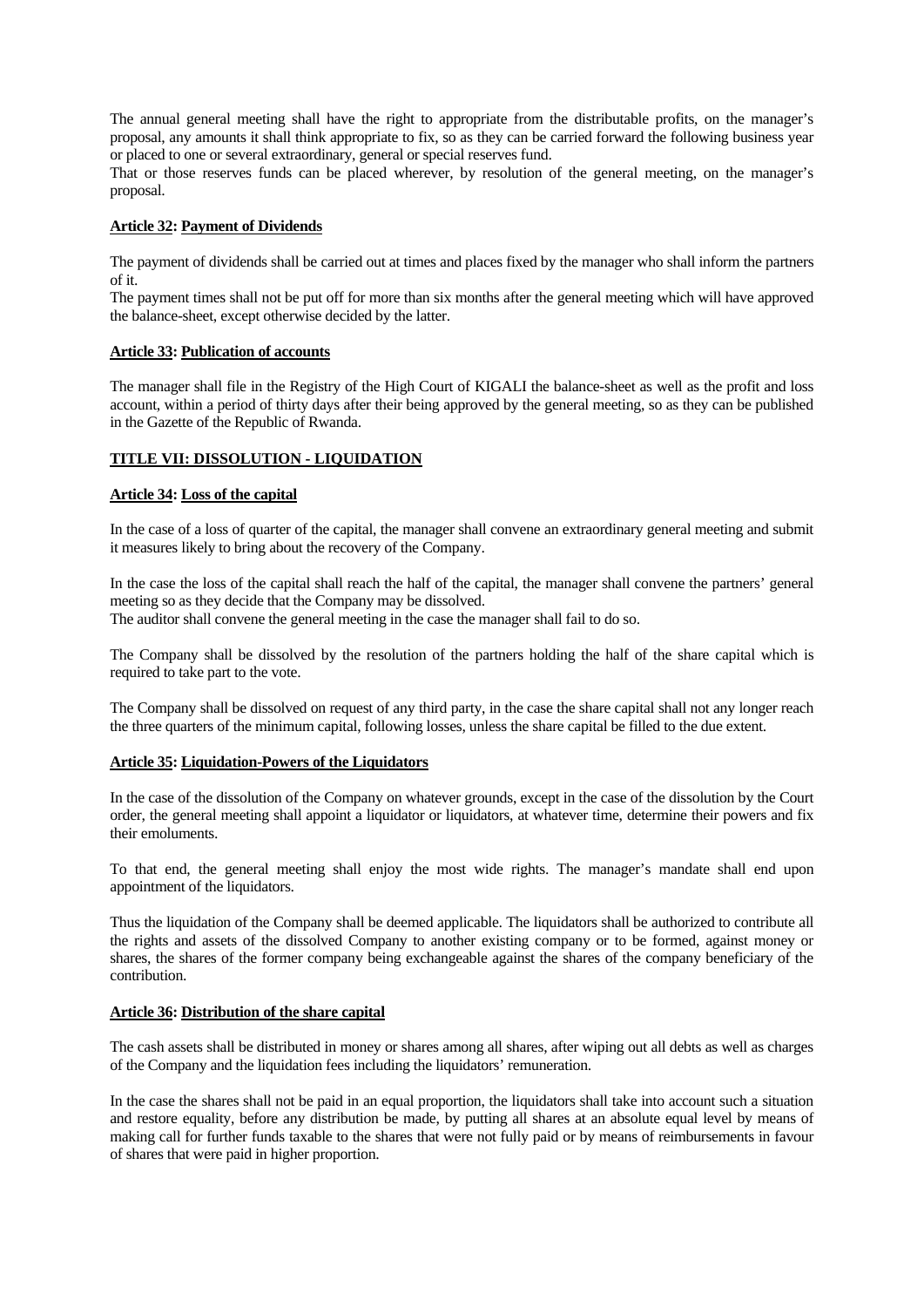The annual general meeting shall have the right to appropriate from the distributable profits, on the manager's proposal, any amounts it shall think appropriate to fix, so as they can be carried forward the following business year or placed to one or several extraordinary, general or special reserves fund.

That or those reserves funds can be placed wherever, by resolution of the general meeting, on the manager's proposal.

# **Article 32: Payment of Dividends**

The payment of dividends shall be carried out at times and places fixed by the manager who shall inform the partners of it.

The payment times shall not be put off for more than six months after the general meeting which will have approved the balance-sheet, except otherwise decided by the latter.

### **Article 33: Publication of accounts**

The manager shall file in the Registry of the High Court of KIGALI the balance-sheet as well as the profit and loss account, within a period of thirty days after their being approved by the general meeting, so as they can be published in the Gazette of the Republic of Rwanda.

### **TITLE VII: DISSOLUTION - LIQUIDATION**

#### **Article 34: Loss of the capital**

In the case of a loss of quarter of the capital, the manager shall convene an extraordinary general meeting and submit it measures likely to bring about the recovery of the Company.

In the case the loss of the capital shall reach the half of the capital, the manager shall convene the partners' general meeting so as they decide that the Company may be dissolved. The auditor shall convene the general meeting in the case the manager shall fail to do so.

The Company shall be dissolved by the resolution of the partners holding the half of the share capital which is required to take part to the vote.

The Company shall be dissolved on request of any third party, in the case the share capital shall not any longer reach the three quarters of the minimum capital, following losses, unless the share capital be filled to the due extent.

### **Article 35: Liquidation-Powers of the Liquidators**

In the case of the dissolution of the Company on whatever grounds, except in the case of the dissolution by the Court order, the general meeting shall appoint a liquidator or liquidators, at whatever time, determine their powers and fix their emoluments.

To that end, the general meeting shall enjoy the most wide rights. The manager's mandate shall end upon appointment of the liquidators.

Thus the liquidation of the Company shall be deemed applicable. The liquidators shall be authorized to contribute all the rights and assets of the dissolved Company to another existing company or to be formed, against money or shares, the shares of the former company being exchangeable against the shares of the company beneficiary of the contribution.

# **Article 36: Distribution of the share capital**

The cash assets shall be distributed in money or shares among all shares, after wiping out all debts as well as charges of the Company and the liquidation fees including the liquidators' remuneration.

In the case the shares shall not be paid in an equal proportion, the liquidators shall take into account such a situation and restore equality, before any distribution be made, by putting all shares at an absolute equal level by means of making call for further funds taxable to the shares that were not fully paid or by means of reimbursements in favour of shares that were paid in higher proportion.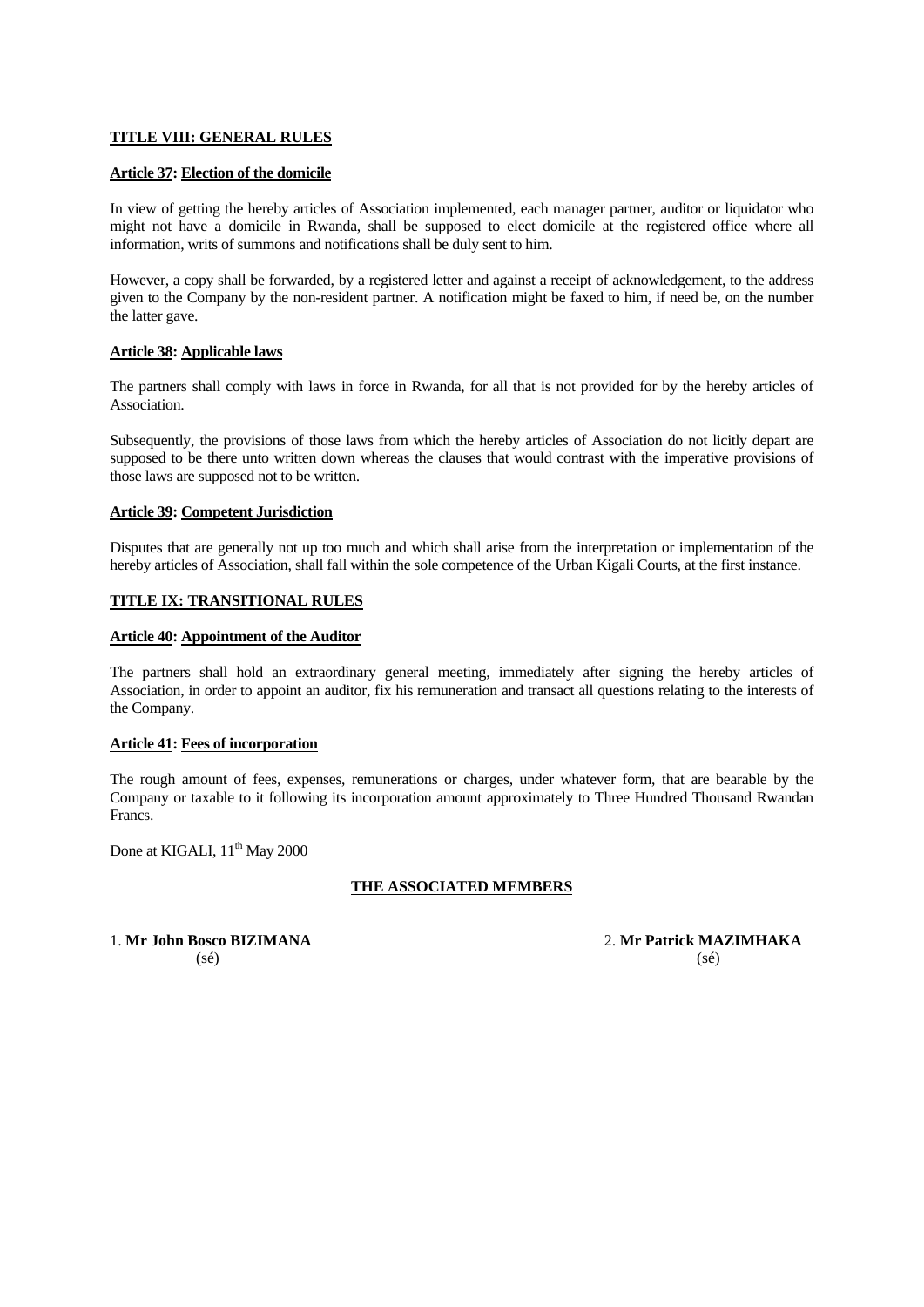### **TITLE VIII: GENERAL RULES**

### **Article 37: Election of the domicile**

In view of getting the hereby articles of Association implemented, each manager partner, auditor or liquidator who might not have a domicile in Rwanda, shall be supposed to elect domicile at the registered office where all information, writs of summons and notifications shall be duly sent to him.

However, a copy shall be forwarded, by a registered letter and against a receipt of acknowledgement, to the address given to the Company by the non-resident partner. A notification might be faxed to him, if need be, on the number the latter gave.

### **Article 38: Applicable laws**

The partners shall comply with laws in force in Rwanda, for all that is not provided for by the hereby articles of Association.

Subsequently, the provisions of those laws from which the hereby articles of Association do not licitly depart are supposed to be there unto written down whereas the clauses that would contrast with the imperative provisions of those laws are supposed not to be written.

#### **Article 39: Competent Jurisdiction**

Disputes that are generally not up too much and which shall arise from the interpretation or implementation of the hereby articles of Association, shall fall within the sole competence of the Urban Kigali Courts, at the first instance.

#### **TITLE IX: TRANSITIONAL RULES**

#### **Article 40: Appointment of the Auditor**

The partners shall hold an extraordinary general meeting, immediately after signing the hereby articles of Association, in order to appoint an auditor, fix his remuneration and transact all questions relating to the interests of the Company.

#### **Article 41: Fees of incorporation**

The rough amount of fees, expenses, remunerations or charges, under whatever form, that are bearable by the Company or taxable to it following its incorporation amount approximately to Three Hundred Thousand Rwandan Francs.

Done at KIGALI,  $11<sup>th</sup>$  May 2000

### **THE ASSOCIATED MEMBERS**

1. **Mr John Bosco BIZIMANA** 2. **Mr Patrick MAZIMHAKA**  $(s\acute{e})$  (se)  $(s\acute{e})$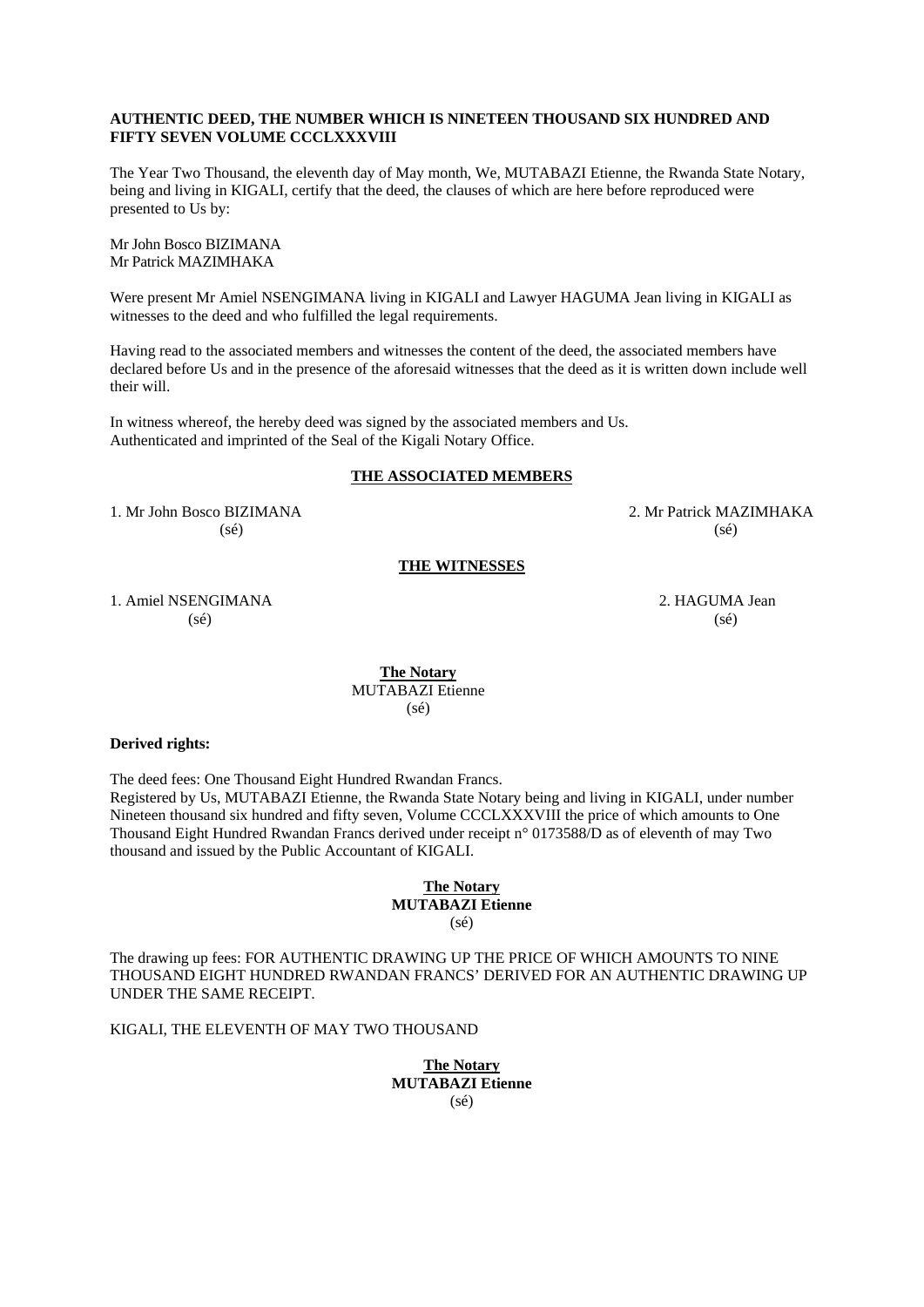#### **AUTHENTIC DEED, THE NUMBER WHICH IS NINETEEN THOUSAND SIX HUNDRED AND FIFTY SEVEN VOLUME CCCLXXXVIII**

The Year Two Thousand, the eleventh day of May month, We, MUTABAZI Etienne, the Rwanda State Notary, being and living in KIGALI, certify that the deed, the clauses of which are here before reproduced were presented to Us by:

Mr John Bosco BIZIMANA Mr Patrick MAZIMHAKA

Were present Mr Amiel NSENGIMANA living in KIGALI and Lawyer HAGUMA Jean living in KIGALI as witnesses to the deed and who fulfilled the legal requirements.

Having read to the associated members and witnesses the content of the deed, the associated members have declared before Us and in the presence of the aforesaid witnesses that the deed as it is written down include well their will.

In witness whereof, the hereby deed was signed by the associated members and Us. Authenticated and imprinted of the Seal of the Kigali Notary Office.

### **THE ASSOCIATED MEMBERS**

1. Mr John Bosco BIZIMANA 2. Mr Patrick MAZIMHAKA  $(s\acute{e})$  (sé)

#### **THE WITNESSES**

1. Amiel NSENGIMANA 2. HAGUMA Jean  $(s\acute{e})$  (sé)

**The Notary** MUTABAZI Etienne  $(s\acute{e})$ 

#### **Derived rights:**

The deed fees: One Thousand Eight Hundred Rwandan Francs.

Registered by Us, MUTABAZI Etienne, the Rwanda State Notary being and living in KIGALI, under number Nineteen thousand six hundred and fifty seven, Volume CCCLXXXVIII the price of which amounts to One Thousand Eight Hundred Rwandan Francs derived under receipt n° 0173588/D as of eleventh of may Two thousand and issued by the Public Accountant of KIGALI.

> **The Notary MUTABAZI Etienne**  (sé)

The drawing up fees: FOR AUTHENTIC DRAWING UP THE PRICE OF WHICH AMOUNTS TO NINE THOUSAND EIGHT HUNDRED RWANDAN FRANCS' DERIVED FOR AN AUTHENTIC DRAWING UP UNDER THE SAME RECEIPT.

KIGALI, THE ELEVENTH OF MAY TWO THOUSAND

**The Notary MUTABAZI Etienne**  (sé)